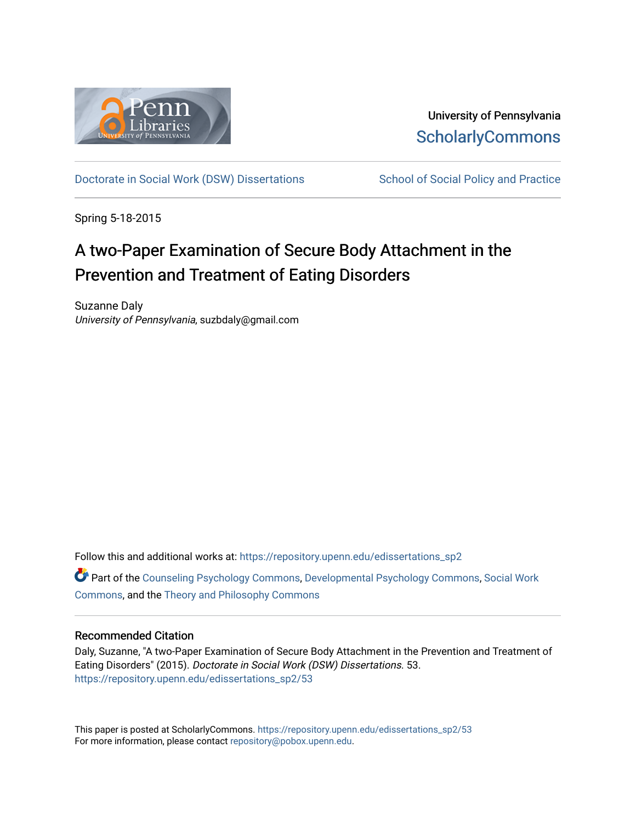

University of Pennsylvania **ScholarlyCommons** 

[Doctorate in Social Work \(DSW\) Dissertations](https://repository.upenn.edu/edissertations_sp2) School of Social Policy and Practice

Spring 5-18-2015

# A two-Paper Examination of Secure Body Attachment in the Prevention and Treatment of Eating Disorders

Suzanne Daly University of Pennsylvania, suzbdaly@gmail.com

Follow this and additional works at: [https://repository.upenn.edu/edissertations\\_sp2](https://repository.upenn.edu/edissertations_sp2?utm_source=repository.upenn.edu%2Fedissertations_sp2%2F53&utm_medium=PDF&utm_campaign=PDFCoverPages)  Part of the [Counseling Psychology Commons](http://network.bepress.com/hgg/discipline/1044?utm_source=repository.upenn.edu%2Fedissertations_sp2%2F53&utm_medium=PDF&utm_campaign=PDFCoverPages), [Developmental Psychology Commons,](http://network.bepress.com/hgg/discipline/410?utm_source=repository.upenn.edu%2Fedissertations_sp2%2F53&utm_medium=PDF&utm_campaign=PDFCoverPages) [Social Work](http://network.bepress.com/hgg/discipline/713?utm_source=repository.upenn.edu%2Fedissertations_sp2%2F53&utm_medium=PDF&utm_campaign=PDFCoverPages)  [Commons](http://network.bepress.com/hgg/discipline/713?utm_source=repository.upenn.edu%2Fedissertations_sp2%2F53&utm_medium=PDF&utm_campaign=PDFCoverPages), and the [Theory and Philosophy Commons](http://network.bepress.com/hgg/discipline/1238?utm_source=repository.upenn.edu%2Fedissertations_sp2%2F53&utm_medium=PDF&utm_campaign=PDFCoverPages) 

#### Recommended Citation

Daly, Suzanne, "A two-Paper Examination of Secure Body Attachment in the Prevention and Treatment of Eating Disorders" (2015). Doctorate in Social Work (DSW) Dissertations. 53. [https://repository.upenn.edu/edissertations\\_sp2/53](https://repository.upenn.edu/edissertations_sp2/53?utm_source=repository.upenn.edu%2Fedissertations_sp2%2F53&utm_medium=PDF&utm_campaign=PDFCoverPages)

This paper is posted at ScholarlyCommons. [https://repository.upenn.edu/edissertations\\_sp2/53](https://repository.upenn.edu/edissertations_sp2/53)  For more information, please contact [repository@pobox.upenn.edu.](mailto:repository@pobox.upenn.edu)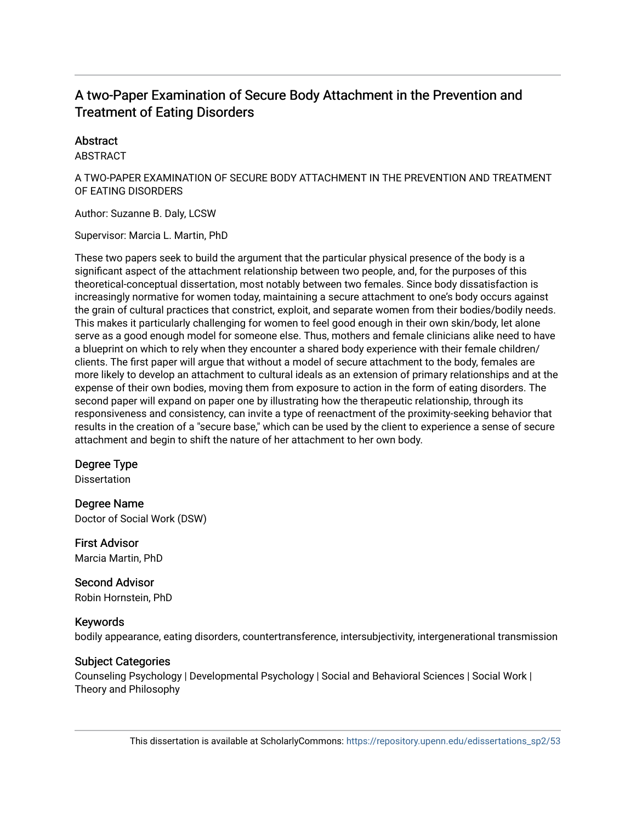# A two-Paper Examination of Secure Body Attachment in the Prevention and Treatment of Eating Disorders

### **Abstract**

ABSTRACT

A TWO-PAPER EXAMINATION OF SECURE BODY ATTACHMENT IN THE PREVENTION AND TREATMENT OF EATING DISORDERS

Author: Suzanne B. Daly, LCSW

Supervisor: Marcia L. Martin, PhD

These two papers seek to build the argument that the particular physical presence of the body is a significant aspect of the attachment relationship between two people, and, for the purposes of this theoretical-conceptual dissertation, most notably between two females. Since body dissatisfaction is increasingly normative for women today, maintaining a secure attachment to one's body occurs against the grain of cultural practices that constrict, exploit, and separate women from their bodies/bodily needs. This makes it particularly challenging for women to feel good enough in their own skin/body, let alone serve as a good enough model for someone else. Thus, mothers and female clinicians alike need to have a blueprint on which to rely when they encounter a shared body experience with their female children/ clients. The first paper will argue that without a model of secure attachment to the body, females are more likely to develop an attachment to cultural ideals as an extension of primary relationships and at the expense of their own bodies, moving them from exposure to action in the form of eating disorders. The second paper will expand on paper one by illustrating how the therapeutic relationship, through its responsiveness and consistency, can invite a type of reenactment of the proximity-seeking behavior that results in the creation of a "secure base," which can be used by the client to experience a sense of secure attachment and begin to shift the nature of her attachment to her own body.

### Degree Type

**Dissertation** 

## Degree Name

Doctor of Social Work (DSW)

### First Advisor

Marcia Martin, PhD

### Second Advisor Robin Hornstein, PhD

### Keywords

bodily appearance, eating disorders, countertransference, intersubjectivity, intergenerational transmission

### Subject Categories

Counseling Psychology | Developmental Psychology | Social and Behavioral Sciences | Social Work | Theory and Philosophy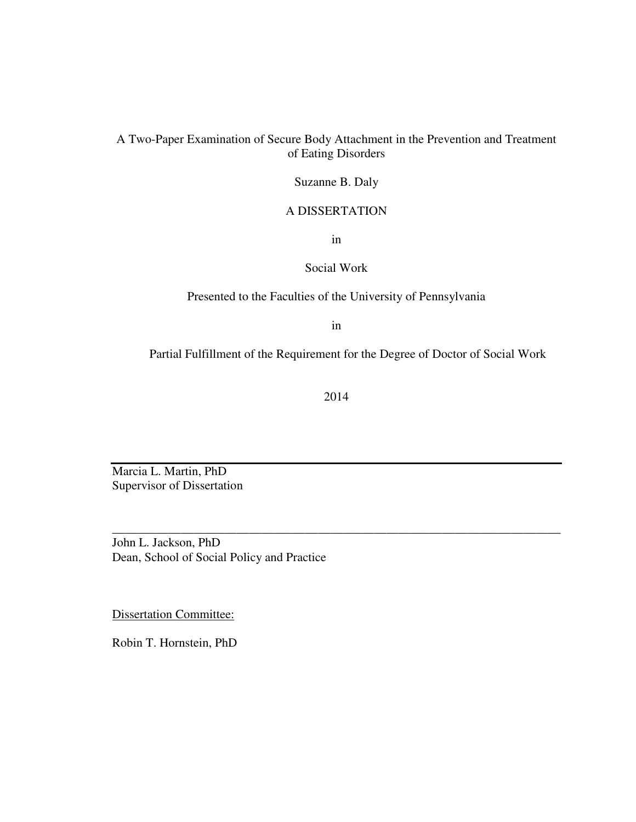### A Two-Paper Examination of Secure Body Attachment in the Prevention and Treatment of Eating Disorders

Suzanne B. Daly

### A DISSERTATION

in

Social Work

Presented to the Faculties of the University of Pennsylvania

in

Partial Fulfillment of the Requirement for the Degree of Doctor of Social Work

2014

 $\overline{\phantom{a}}$  , and the contract of the contract of the contract of the contract of the contract of the contract of the contract of the contract of the contract of the contract of the contract of the contract of the contrac

Marcia L. Martin, PhD Supervisor of Dissertation

John L. Jackson, PhD Dean, School of Social Policy and Practice

Dissertation Committee:

Robin T. Hornstein, PhD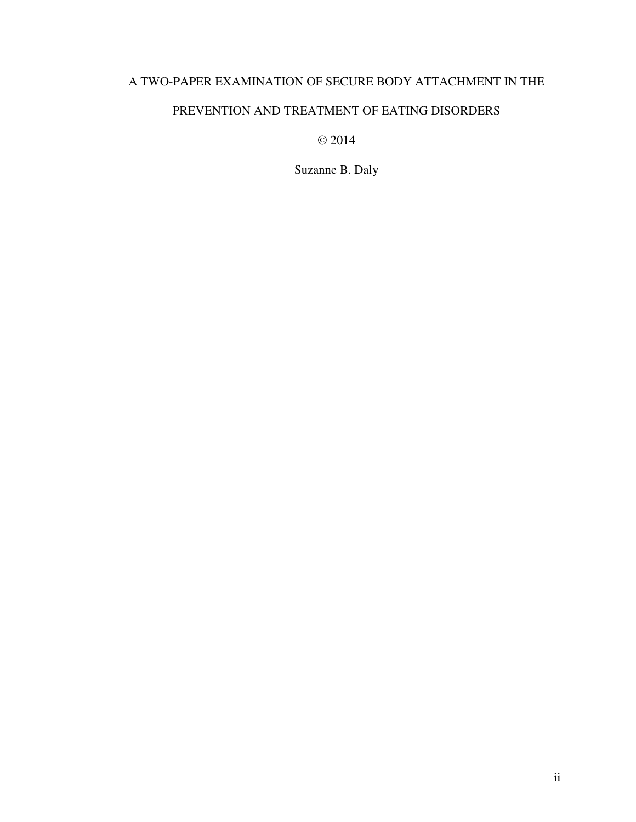## A TWO-PAPER EXAMINATION OF SECURE BODY ATTACHMENT IN THE

# PREVENTION AND TREATMENT OF EATING DISORDERS

 $© 2014$ 

Suzanne B. Daly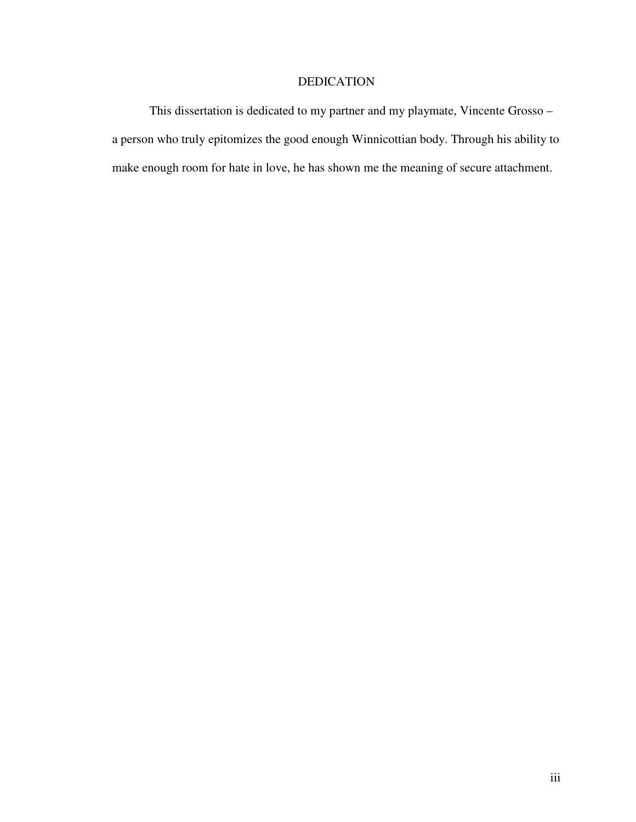### DEDICATION

This dissertation is dedicated to my partner and my playmate, Vincente Grosso – a person who truly epitomizes the good enough Winnicottian body. Through his ability to make enough room for hate in love, he has shown me the meaning of secure attachment.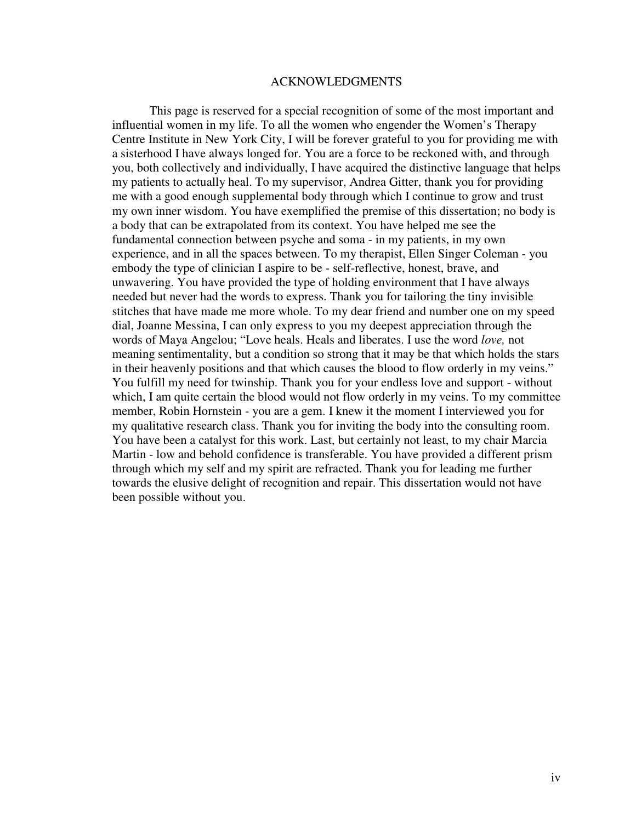#### ACKNOWLEDGMENTS

This page is reserved for a special recognition of some of the most important and influential women in my life. To all the women who engender the Women's Therapy Centre Institute in New York City, I will be forever grateful to you for providing me with a sisterhood I have always longed for. You are a force to be reckoned with, and through you, both collectively and individually, I have acquired the distinctive language that helps my patients to actually heal. To my supervisor, Andrea Gitter, thank you for providing me with a good enough supplemental body through which I continue to grow and trust my own inner wisdom. You have exemplified the premise of this dissertation; no body is a body that can be extrapolated from its context. You have helped me see the fundamental connection between psyche and soma - in my patients, in my own experience, and in all the spaces between. To my therapist, Ellen Singer Coleman - you embody the type of clinician I aspire to be - self-reflective, honest, brave, and unwavering. You have provided the type of holding environment that I have always needed but never had the words to express. Thank you for tailoring the tiny invisible stitches that have made me more whole. To my dear friend and number one on my speed dial, Joanne Messina, I can only express to you my deepest appreciation through the words of Maya Angelou; "Love heals. Heals and liberates. I use the word *love,* not meaning sentimentality, but a condition so strong that it may be that which holds the stars in their heavenly positions and that which causes the blood to flow orderly in my veins." You fulfill my need for twinship. Thank you for your endless love and support - without which, I am quite certain the blood would not flow orderly in my veins. To my committee member, Robin Hornstein - you are a gem. I knew it the moment I interviewed you for my qualitative research class. Thank you for inviting the body into the consulting room. You have been a catalyst for this work. Last, but certainly not least, to my chair Marcia Martin - low and behold confidence is transferable. You have provided a different prism through which my self and my spirit are refracted. Thank you for leading me further towards the elusive delight of recognition and repair. This dissertation would not have been possible without you.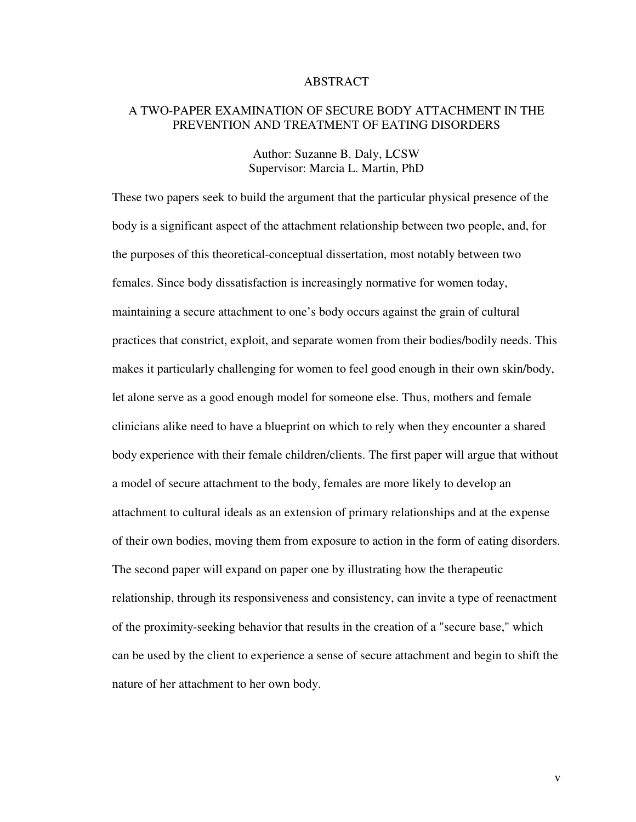#### ABSTRACT

### A TWO-PAPER EXAMINATION OF SECURE BODY ATTACHMENT IN THE PREVENTION AND TREATMENT OF EATING DISORDERS

Author: Suzanne B. Daly, LCSW Supervisor: Marcia L. Martin, PhD

These two papers seek to build the argument that the particular physical presence of the body is a significant aspect of the attachment relationship between two people, and, for the purposes of this theoretical-conceptual dissertation, most notably between two females. Since body dissatisfaction is increasingly normative for women today, maintaining a secure attachment to one's body occurs against the grain of cultural practices that constrict, exploit, and separate women from their bodies/bodily needs. This makes it particularly challenging for women to feel good enough in their own skin/body, let alone serve as a good enough model for someone else. Thus, mothers and female clinicians alike need to have a blueprint on which to rely when they encounter a shared body experience with their female children/clients. The first paper will argue that without a model of secure attachment to the body, females are more likely to develop an attachment to cultural ideals as an extension of primary relationships and at the expense of their own bodies, moving them from exposure to action in the form of eating disorders. The second paper will expand on paper one by illustrating how the therapeutic relationship, through its responsiveness and consistency, can invite a type of reenactment of the proximity-seeking behavior that results in the creation of a "secure base," which can be used by the client to experience a sense of secure attachment and begin to shift the nature of her attachment to her own body.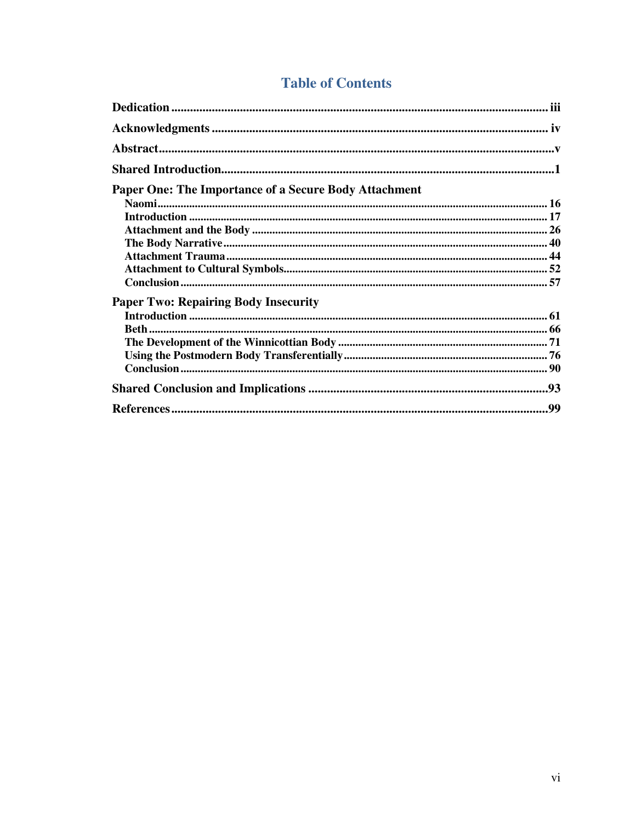# **Table of Contents**

| <b>Paper One: The Importance of a Secure Body Attachment</b> |  |
|--------------------------------------------------------------|--|
|                                                              |  |
|                                                              |  |
|                                                              |  |
|                                                              |  |
|                                                              |  |
|                                                              |  |
|                                                              |  |
| <b>Paper Two: Repairing Body Insecurity</b>                  |  |
|                                                              |  |
|                                                              |  |
|                                                              |  |
|                                                              |  |
|                                                              |  |
|                                                              |  |
|                                                              |  |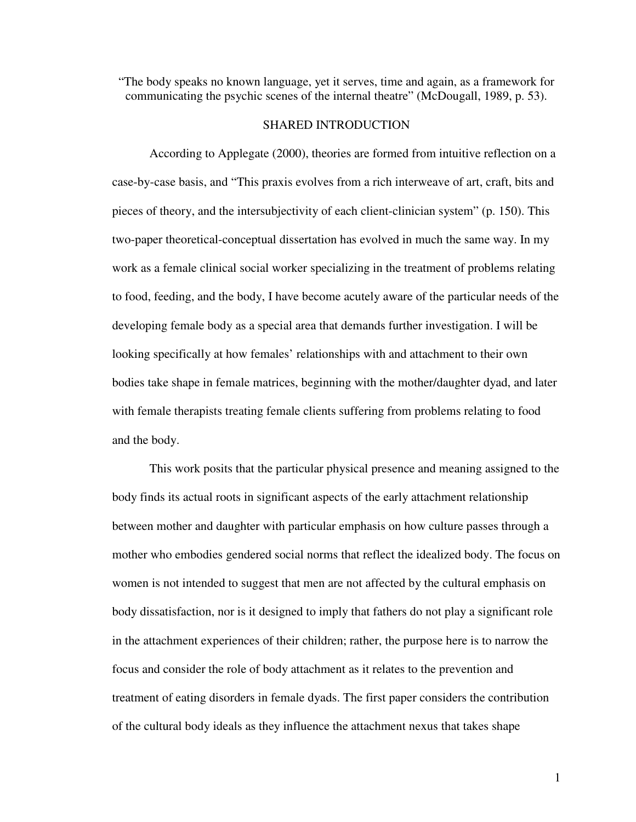"The body speaks no known language, yet it serves, time and again, as a framework for communicating the psychic scenes of the internal theatre" (McDougall, 1989, p. 53).

### SHARED INTRODUCTION

According to Applegate (2000), theories are formed from intuitive reflection on a case-by-case basis, and "This praxis evolves from a rich interweave of art, craft, bits and pieces of theory, and the intersubjectivity of each client-clinician system" (p. 150). This two-paper theoretical-conceptual dissertation has evolved in much the same way. In my work as a female clinical social worker specializing in the treatment of problems relating to food, feeding, and the body, I have become acutely aware of the particular needs of the developing female body as a special area that demands further investigation. I will be looking specifically at how females' relationships with and attachment to their own bodies take shape in female matrices, beginning with the mother/daughter dyad, and later with female therapists treating female clients suffering from problems relating to food and the body.

This work posits that the particular physical presence and meaning assigned to the body finds its actual roots in significant aspects of the early attachment relationship between mother and daughter with particular emphasis on how culture passes through a mother who embodies gendered social norms that reflect the idealized body. The focus on women is not intended to suggest that men are not affected by the cultural emphasis on body dissatisfaction, nor is it designed to imply that fathers do not play a significant role in the attachment experiences of their children; rather, the purpose here is to narrow the focus and consider the role of body attachment as it relates to the prevention and treatment of eating disorders in female dyads. The first paper considers the contribution of the cultural body ideals as they influence the attachment nexus that takes shape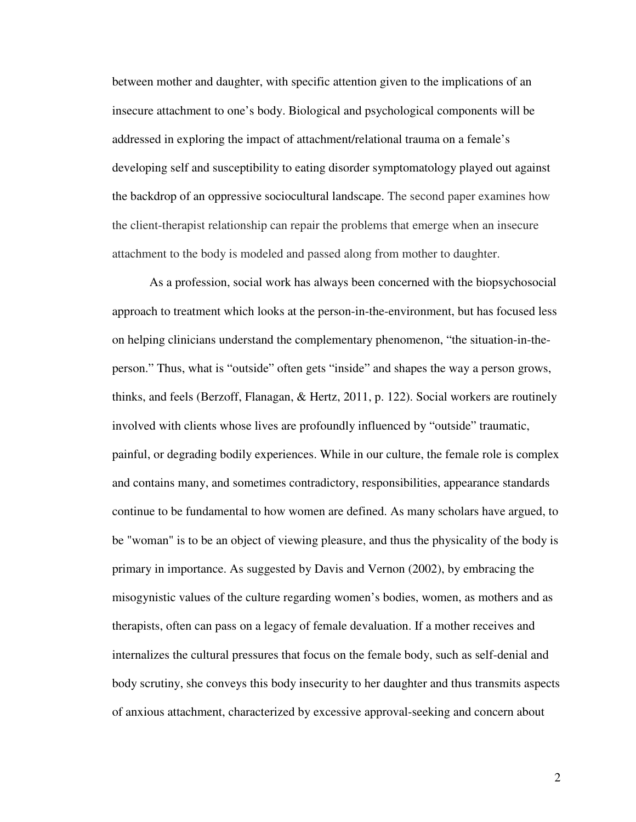between mother and daughter, with specific attention given to the implications of an insecure attachment to one's body. Biological and psychological components will be addressed in exploring the impact of attachment/relational trauma on a female's developing self and susceptibility to eating disorder symptomatology played out against the backdrop of an oppressive sociocultural landscape. The second paper examines how the client-therapist relationship can repair the problems that emerge when an insecure attachment to the body is modeled and passed along from mother to daughter.

As a profession, social work has always been concerned with the biopsychosocial approach to treatment which looks at the person-in-the-environment, but has focused less on helping clinicians understand the complementary phenomenon, "the situation-in-theperson." Thus, what is "outside" often gets "inside" and shapes the way a person grows, thinks, and feels (Berzoff, Flanagan, & Hertz, 2011, p. 122). Social workers are routinely involved with clients whose lives are profoundly influenced by "outside" traumatic, painful, or degrading bodily experiences. While in our culture, the female role is complex and contains many, and sometimes contradictory, responsibilities, appearance standards continue to be fundamental to how women are defined. As many scholars have argued, to be "woman" is to be an object of viewing pleasure, and thus the physicality of the body is primary in importance. As suggested by Davis and Vernon (2002), by embracing the misogynistic values of the culture regarding women's bodies, women, as mothers and as therapists, often can pass on a legacy of female devaluation. If a mother receives and internalizes the cultural pressures that focus on the female body, such as self-denial and body scrutiny, she conveys this body insecurity to her daughter and thus transmits aspects of anxious attachment, characterized by excessive approval-seeking and concern about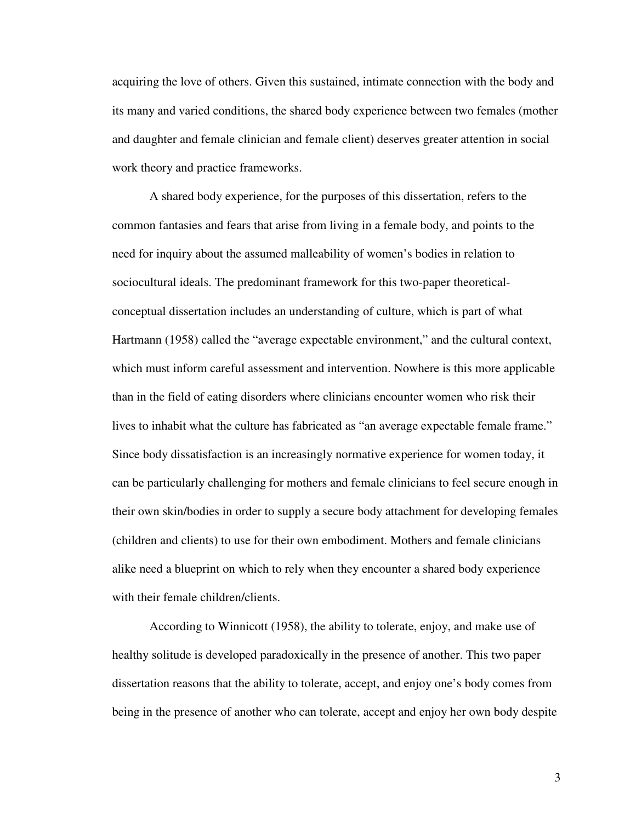acquiring the love of others. Given this sustained, intimate connection with the body and its many and varied conditions, the shared body experience between two females (mother and daughter and female clinician and female client) deserves greater attention in social work theory and practice frameworks.

A shared body experience, for the purposes of this dissertation, refers to the common fantasies and fears that arise from living in a female body, and points to the need for inquiry about the assumed malleability of women's bodies in relation to sociocultural ideals. The predominant framework for this two-paper theoreticalconceptual dissertation includes an understanding of culture, which is part of what Hartmann (1958) called the "average expectable environment," and the cultural context, which must inform careful assessment and intervention. Nowhere is this more applicable than in the field of eating disorders where clinicians encounter women who risk their lives to inhabit what the culture has fabricated as "an average expectable female frame." Since body dissatisfaction is an increasingly normative experience for women today, it can be particularly challenging for mothers and female clinicians to feel secure enough in their own skin/bodies in order to supply a secure body attachment for developing females (children and clients) to use for their own embodiment. Mothers and female clinicians alike need a blueprint on which to rely when they encounter a shared body experience with their female children/clients.

According to Winnicott (1958), the ability to tolerate, enjoy, and make use of healthy solitude is developed paradoxically in the presence of another. This two paper dissertation reasons that the ability to tolerate, accept, and enjoy one's body comes from being in the presence of another who can tolerate, accept and enjoy her own body despite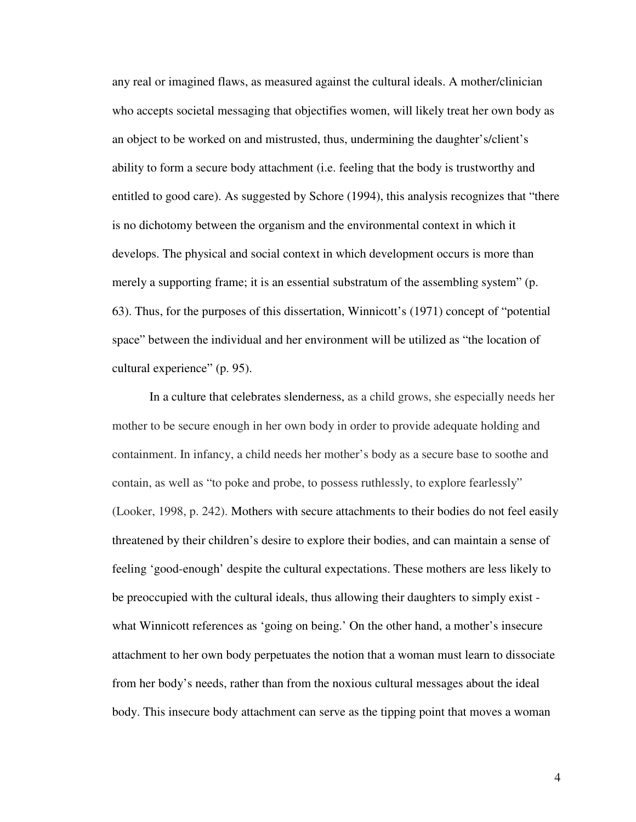any real or imagined flaws, as measured against the cultural ideals. A mother/clinician who accepts societal messaging that objectifies women, will likely treat her own body as an object to be worked on and mistrusted, thus, undermining the daughter's/client's ability to form a secure body attachment (i.e. feeling that the body is trustworthy and entitled to good care). As suggested by Schore (1994), this analysis recognizes that "there is no dichotomy between the organism and the environmental context in which it develops. The physical and social context in which development occurs is more than merely a supporting frame; it is an essential substratum of the assembling system" (p. 63). Thus, for the purposes of this dissertation, Winnicott's (1971) concept of "potential space" between the individual and her environment will be utilized as "the location of cultural experience" (p. 95).

In a culture that celebrates slenderness, as a child grows, she especially needs her mother to be secure enough in her own body in order to provide adequate holding and containment. In infancy, a child needs her mother's body as a secure base to soothe and contain, as well as "to poke and probe, to possess ruthlessly, to explore fearlessly" (Looker, 1998, p. 242). Mothers with secure attachments to their bodies do not feel easily threatened by their children's desire to explore their bodies, and can maintain a sense of feeling 'good-enough' despite the cultural expectations. These mothers are less likely to be preoccupied with the cultural ideals, thus allowing their daughters to simply exist what Winnicott references as 'going on being.' On the other hand, a mother's insecure attachment to her own body perpetuates the notion that a woman must learn to dissociate from her body's needs, rather than from the noxious cultural messages about the ideal body. This insecure body attachment can serve as the tipping point that moves a woman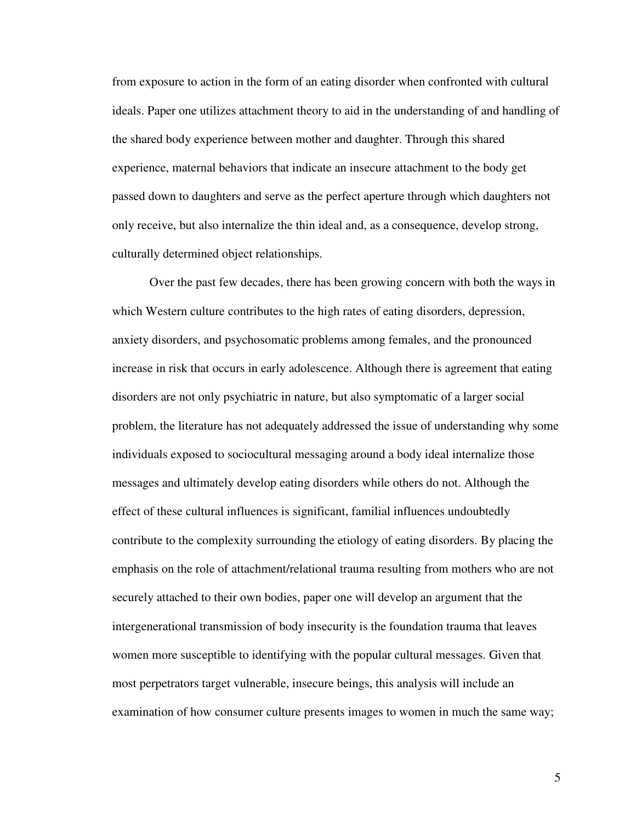from exposure to action in the form of an eating disorder when confronted with cultural ideals. Paper one utilizes attachment theory to aid in the understanding of and handling of the shared body experience between mother and daughter. Through this shared experience, maternal behaviors that indicate an insecure attachment to the body get passed down to daughters and serve as the perfect aperture through which daughters not only receive, but also internalize the thin ideal and, as a consequence, develop strong, culturally determined object relationships.

Over the past few decades, there has been growing concern with both the ways in which Western culture contributes to the high rates of eating disorders, depression, anxiety disorders, and psychosomatic problems among females, and the pronounced increase in risk that occurs in early adolescence. Although there is agreement that eating disorders are not only psychiatric in nature, but also symptomatic of a larger social problem, the literature has not adequately addressed the issue of understanding why some individuals exposed to sociocultural messaging around a body ideal internalize those messages and ultimately develop eating disorders while others do not. Although the effect of these cultural influences is significant, familial influences undoubtedly contribute to the complexity surrounding the etiology of eating disorders. By placing the emphasis on the role of attachment/relational trauma resulting from mothers who are not securely attached to their own bodies, paper one will develop an argument that the intergenerational transmission of body insecurity is the foundation trauma that leaves women more susceptible to identifying with the popular cultural messages. Given that most perpetrators target vulnerable, insecure beings, this analysis will include an examination of how consumer culture presents images to women in much the same way;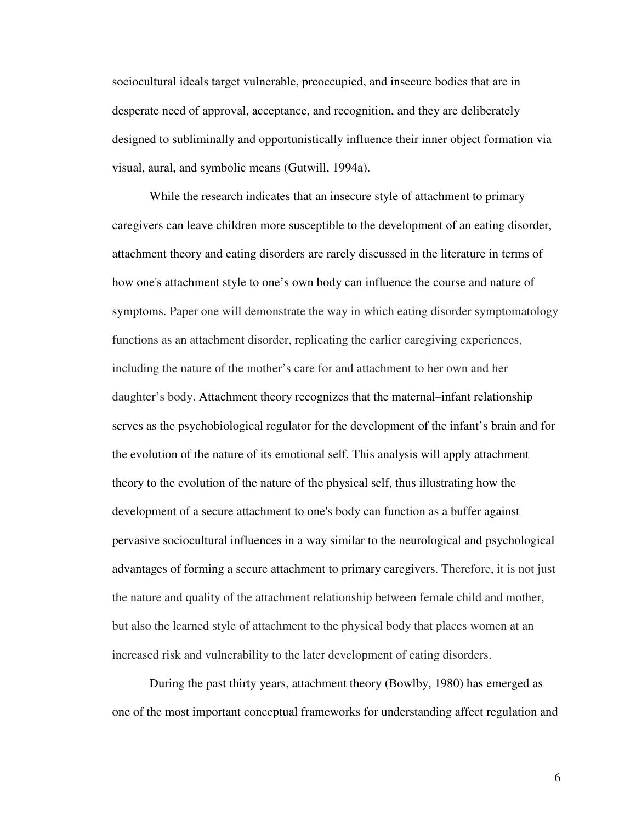sociocultural ideals target vulnerable, preoccupied, and insecure bodies that are in desperate need of approval, acceptance, and recognition, and they are deliberately designed to subliminally and opportunistically influence their inner object formation via visual, aural, and symbolic means (Gutwill, 1994a).

While the research indicates that an insecure style of attachment to primary caregivers can leave children more susceptible to the development of an eating disorder, attachment theory and eating disorders are rarely discussed in the literature in terms of how one's attachment style to one's own body can influence the course and nature of symptoms. Paper one will demonstrate the way in which eating disorder symptomatology functions as an attachment disorder, replicating the earlier caregiving experiences, including the nature of the mother's care for and attachment to her own and her daughter's body. Attachment theory recognizes that the maternal–infant relationship serves as the psychobiological regulator for the development of the infant's brain and for the evolution of the nature of its emotional self. This analysis will apply attachment theory to the evolution of the nature of the physical self, thus illustrating how the development of a secure attachment to one's body can function as a buffer against pervasive sociocultural influences in a way similar to the neurological and psychological advantages of forming a secure attachment to primary caregivers. Therefore, it is not just the nature and quality of the attachment relationship between female child and mother, but also the learned style of attachment to the physical body that places women at an increased risk and vulnerability to the later development of eating disorders.

During the past thirty years, attachment theory (Bowlby, 1980) has emerged as one of the most important conceptual frameworks for understanding affect regulation and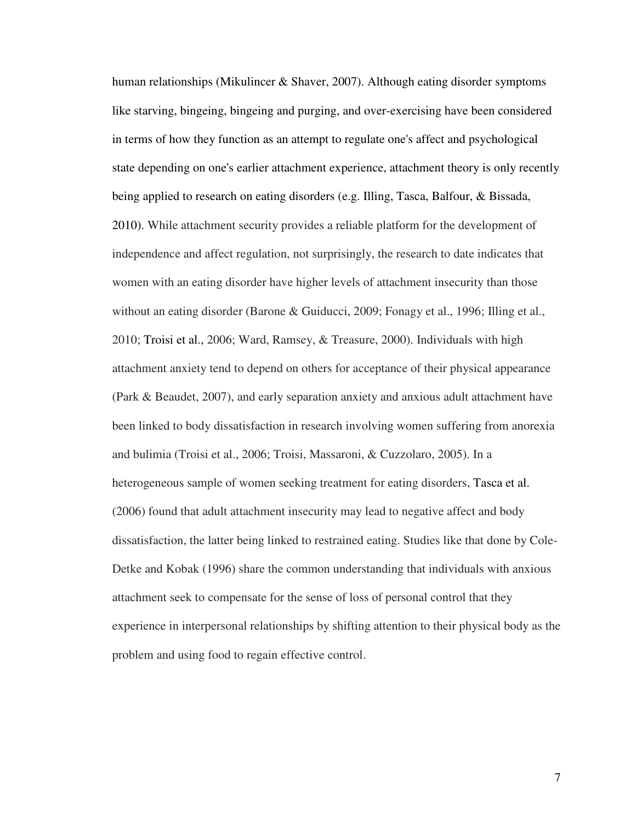human relationships (Mikulincer & Shaver, 2007). Although eating disorder symptoms like starving, bingeing, bingeing and purging, and over-exercising have been considered in terms of how they function as an attempt to regulate one's affect and psychological state depending on one's earlier attachment experience, attachment theory is only recently being applied to research on eating disorders (e.g. Illing, Tasca, Balfour, & Bissada, 2010). While attachment security provides a reliable platform for the development of independence and affect regulation, not surprisingly, the research to date indicates that women with an eating disorder have higher levels of attachment insecurity than those without an eating disorder (Barone & Guiducci, 2009; Fonagy et al., 1996; Illing et al., 2010; Troisi et al., 2006; Ward, Ramsey, & Treasure, 2000). Individuals with high attachment anxiety tend to depend on others for acceptance of their physical appearance (Park & Beaudet, 2007), and early separation anxiety and anxious adult attachment have been linked to body dissatisfaction in research involving women suffering from anorexia and bulimia (Troisi et al., 2006; Troisi, Massaroni, & Cuzzolaro, 2005). In a heterogeneous sample of women seeking treatment for eating disorders, Tasca et al. (2006) found that adult attachment insecurity may lead to negative affect and body dissatisfaction, the latter being linked to restrained eating. Studies like that done by Cole-Detke and Kobak (1996) share the common understanding that individuals with anxious attachment seek to compensate for the sense of loss of personal control that they experience in interpersonal relationships by shifting attention to their physical body as the problem and using food to regain effective control.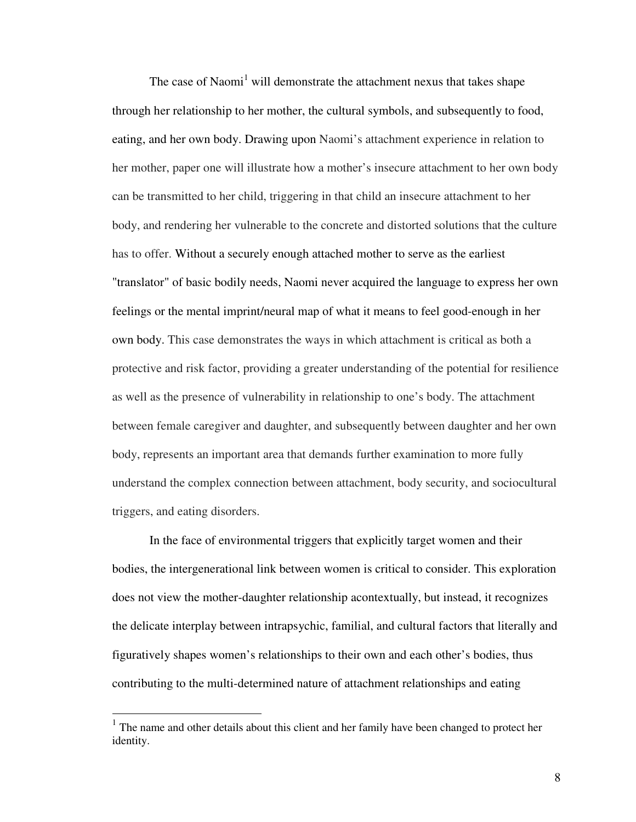The case of Naomi<sup>1</sup> will demonstrate the attachment nexus that takes shape through her relationship to her mother, the cultural symbols, and subsequently to food, eating, and her own body. Drawing upon Naomi's attachment experience in relation to her mother, paper one will illustrate how a mother's insecure attachment to her own body can be transmitted to her child, triggering in that child an insecure attachment to her body, and rendering her vulnerable to the concrete and distorted solutions that the culture has to offer. Without a securely enough attached mother to serve as the earliest "translator" of basic bodily needs, Naomi never acquired the language to express her own feelings or the mental imprint/neural map of what it means to feel good-enough in her own body. This case demonstrates the ways in which attachment is critical as both a protective and risk factor, providing a greater understanding of the potential for resilience as well as the presence of vulnerability in relationship to one's body. The attachment between female caregiver and daughter, and subsequently between daughter and her own body, represents an important area that demands further examination to more fully understand the complex connection between attachment, body security, and sociocultural triggers, and eating disorders.

In the face of environmental triggers that explicitly target women and their bodies, the intergenerational link between women is critical to consider. This exploration does not view the mother-daughter relationship acontextually, but instead, it recognizes the delicate interplay between intrapsychic, familial, and cultural factors that literally and figuratively shapes women's relationships to their own and each other's bodies, thus contributing to the multi-determined nature of attachment relationships and eating

 $\overline{a}$ 

 $<sup>1</sup>$  The name and other details about this client and her family have been changed to protect her</sup> identity.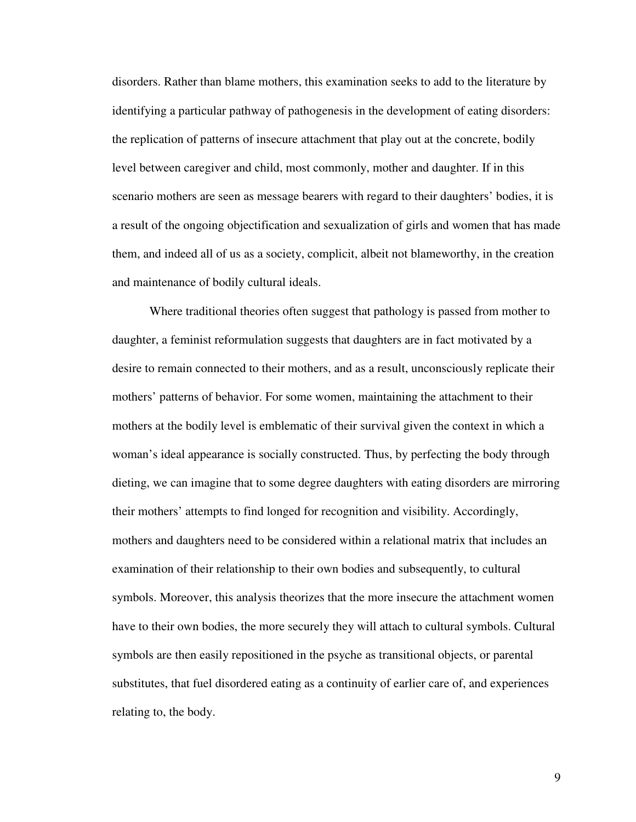disorders. Rather than blame mothers, this examination seeks to add to the literature by identifying a particular pathway of pathogenesis in the development of eating disorders: the replication of patterns of insecure attachment that play out at the concrete, bodily level between caregiver and child, most commonly, mother and daughter. If in this scenario mothers are seen as message bearers with regard to their daughters' bodies, it is a result of the ongoing objectification and sexualization of girls and women that has made them, and indeed all of us as a society, complicit, albeit not blameworthy, in the creation and maintenance of bodily cultural ideals.

Where traditional theories often suggest that pathology is passed from mother to daughter, a feminist reformulation suggests that daughters are in fact motivated by a desire to remain connected to their mothers, and as a result, unconsciously replicate their mothers' patterns of behavior. For some women, maintaining the attachment to their mothers at the bodily level is emblematic of their survival given the context in which a woman's ideal appearance is socially constructed. Thus, by perfecting the body through dieting, we can imagine that to some degree daughters with eating disorders are mirroring their mothers' attempts to find longed for recognition and visibility. Accordingly, mothers and daughters need to be considered within a relational matrix that includes an examination of their relationship to their own bodies and subsequently, to cultural symbols. Moreover, this analysis theorizes that the more insecure the attachment women have to their own bodies, the more securely they will attach to cultural symbols. Cultural symbols are then easily repositioned in the psyche as transitional objects, or parental substitutes, that fuel disordered eating as a continuity of earlier care of, and experiences relating to, the body.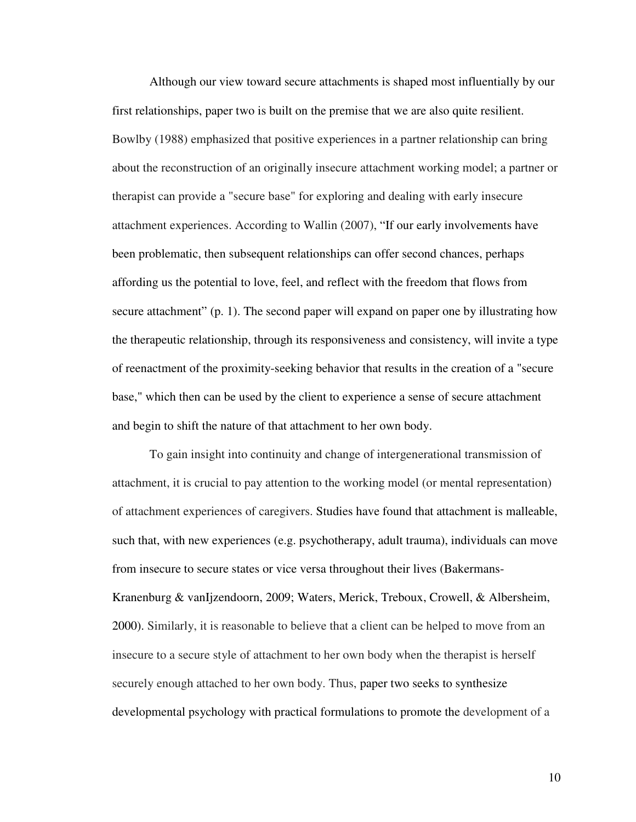Although our view toward secure attachments is shaped most influentially by our first relationships, paper two is built on the premise that we are also quite resilient. Bowlby (1988) emphasized that positive experiences in a partner relationship can bring about the reconstruction of an originally insecure attachment working model; a partner or therapist can provide a "secure base" for exploring and dealing with early insecure attachment experiences. According to Wallin (2007), "If our early involvements have been problematic, then subsequent relationships can offer second chances, perhaps affording us the potential to love, feel, and reflect with the freedom that flows from secure attachment" (p. 1). The second paper will expand on paper one by illustrating how the therapeutic relationship, through its responsiveness and consistency, will invite a type of reenactment of the proximity-seeking behavior that results in the creation of a "secure base," which then can be used by the client to experience a sense of secure attachment and begin to shift the nature of that attachment to her own body.

To gain insight into continuity and change of intergenerational transmission of attachment, it is crucial to pay attention to the working model (or mental representation) of attachment experiences of caregivers. Studies have found that attachment is malleable, such that, with new experiences (e.g. psychotherapy, adult trauma), individuals can move from insecure to secure states or vice versa throughout their lives (Bakermans-Kranenburg & vanIjzendoorn, 2009; Waters, Merick, Treboux, Crowell, & Albersheim, 2000). Similarly, it is reasonable to believe that a client can be helped to move from an insecure to a secure style of attachment to her own body when the therapist is herself securely enough attached to her own body. Thus, paper two seeks to synthesize developmental psychology with practical formulations to promote the development of a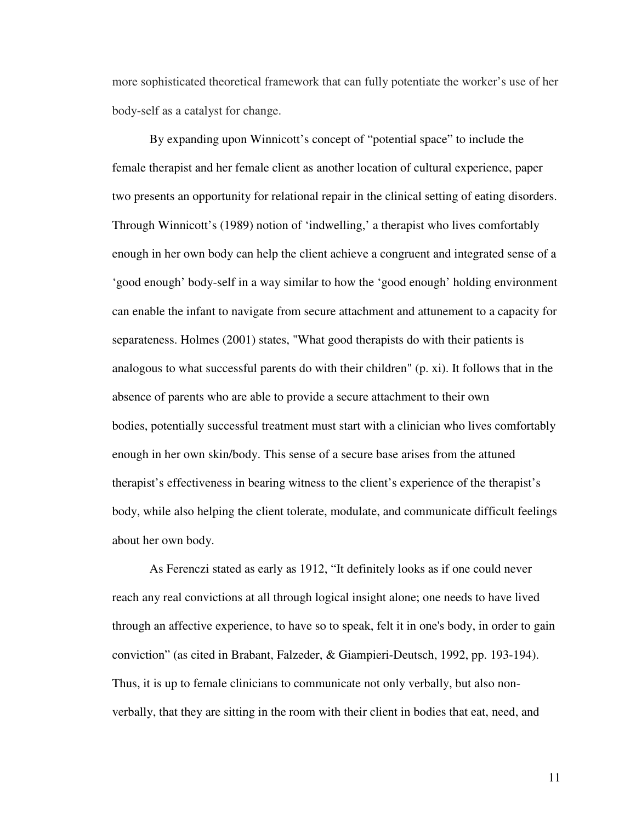more sophisticated theoretical framework that can fully potentiate the worker's use of her body-self as a catalyst for change.

By expanding upon Winnicott's concept of "potential space" to include the female therapist and her female client as another location of cultural experience, paper two presents an opportunity for relational repair in the clinical setting of eating disorders. Through Winnicott's (1989) notion of 'indwelling,' a therapist who lives comfortably enough in her own body can help the client achieve a congruent and integrated sense of a 'good enough' body-self in a way similar to how the 'good enough' holding environment can enable the infant to navigate from secure attachment and attunement to a capacity for separateness. Holmes (2001) states, "What good therapists do with their patients is analogous to what successful parents do with their children" (p. xi). It follows that in the absence of parents who are able to provide a secure attachment to their own bodies, potentially successful treatment must start with a clinician who lives comfortably enough in her own skin/body. This sense of a secure base arises from the attuned therapist's effectiveness in bearing witness to the client's experience of the therapist's body, while also helping the client tolerate, modulate, and communicate difficult feelings about her own body.

As Ferenczi stated as early as 1912, "It definitely looks as if one could never reach any real convictions at all through logical insight alone; one needs to have lived through an affective experience, to have so to speak, felt it in one's body, in order to gain conviction" (as cited in Brabant, Falzeder, & Giampieri-Deutsch, 1992, pp. 193-194). Thus, it is up to female clinicians to communicate not only verbally, but also nonverbally, that they are sitting in the room with their client in bodies that eat, need, and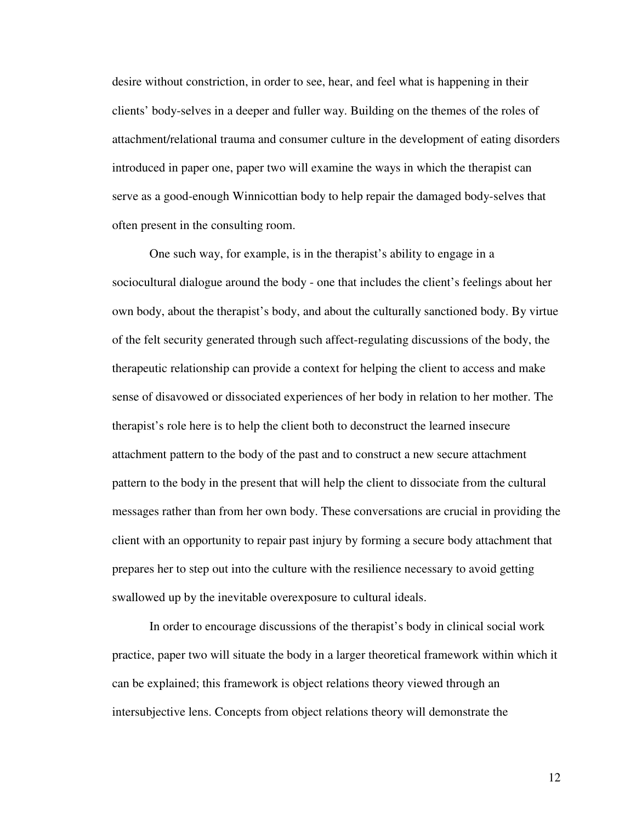desire without constriction, in order to see, hear, and feel what is happening in their clients' body-selves in a deeper and fuller way. Building on the themes of the roles of attachment/relational trauma and consumer culture in the development of eating disorders introduced in paper one, paper two will examine the ways in which the therapist can serve as a good-enough Winnicottian body to help repair the damaged body-selves that often present in the consulting room.

One such way, for example, is in the therapist's ability to engage in a sociocultural dialogue around the body - one that includes the client's feelings about her own body, about the therapist's body, and about the culturally sanctioned body. By virtue of the felt security generated through such affect-regulating discussions of the body, the therapeutic relationship can provide a context for helping the client to access and make sense of disavowed or dissociated experiences of her body in relation to her mother. The therapist's role here is to help the client both to deconstruct the learned insecure attachment pattern to the body of the past and to construct a new secure attachment pattern to the body in the present that will help the client to dissociate from the cultural messages rather than from her own body. These conversations are crucial in providing the client with an opportunity to repair past injury by forming a secure body attachment that prepares her to step out into the culture with the resilience necessary to avoid getting swallowed up by the inevitable overexposure to cultural ideals.

In order to encourage discussions of the therapist's body in clinical social work practice, paper two will situate the body in a larger theoretical framework within which it can be explained; this framework is object relations theory viewed through an intersubjective lens. Concepts from object relations theory will demonstrate the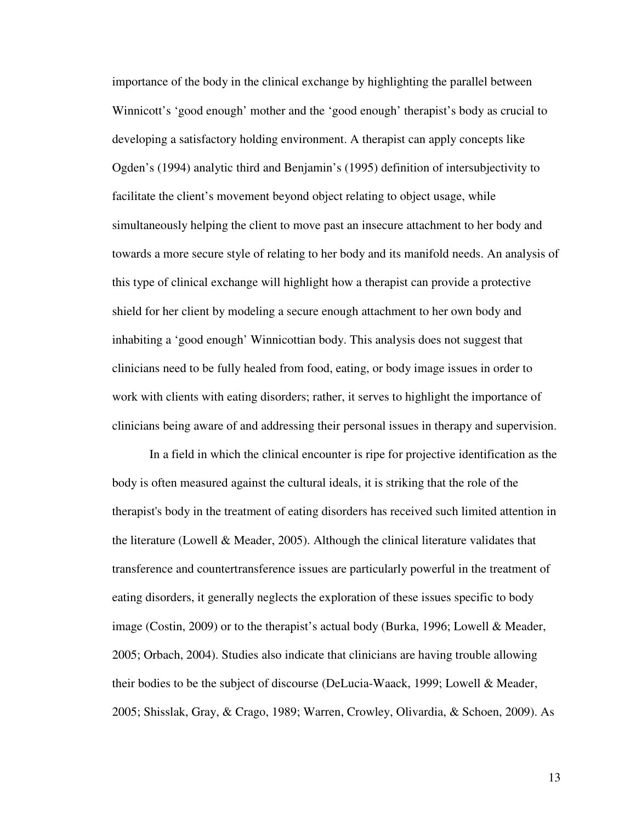importance of the body in the clinical exchange by highlighting the parallel between Winnicott's 'good enough' mother and the 'good enough' therapist's body as crucial to developing a satisfactory holding environment. A therapist can apply concepts like Ogden's (1994) analytic third and Benjamin's (1995) definition of intersubjectivity to facilitate the client's movement beyond object relating to object usage, while simultaneously helping the client to move past an insecure attachment to her body and towards a more secure style of relating to her body and its manifold needs. An analysis of this type of clinical exchange will highlight how a therapist can provide a protective shield for her client by modeling a secure enough attachment to her own body and inhabiting a 'good enough' Winnicottian body. This analysis does not suggest that clinicians need to be fully healed from food, eating, or body image issues in order to work with clients with eating disorders; rather, it serves to highlight the importance of clinicians being aware of and addressing their personal issues in therapy and supervision.

In a field in which the clinical encounter is ripe for projective identification as the body is often measured against the cultural ideals, it is striking that the role of the therapist's body in the treatment of eating disorders has received such limited attention in the literature (Lowell & Meader, 2005). Although the clinical literature validates that transference and countertransference issues are particularly powerful in the treatment of eating disorders, it generally neglects the exploration of these issues specific to body image (Costin, 2009) or to the therapist's actual body (Burka, 1996; Lowell & Meader, 2005; Orbach, 2004). Studies also indicate that clinicians are having trouble allowing their bodies to be the subject of discourse (DeLucia-Waack, 1999; Lowell & Meader, 2005; Shisslak, Gray, & Crago, 1989; Warren, Crowley, Olivardia, & Schoen, 2009). As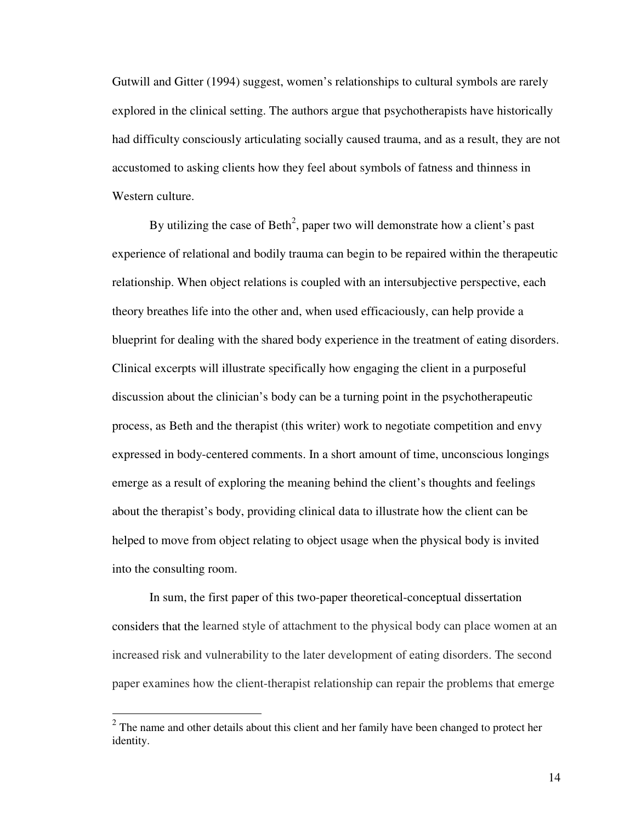Gutwill and Gitter (1994) suggest, women's relationships to cultural symbols are rarely explored in the clinical setting. The authors argue that psychotherapists have historically had difficulty consciously articulating socially caused trauma, and as a result, they are not accustomed to asking clients how they feel about symbols of fatness and thinness in Western culture.

By utilizing the case of Beth<sup>2</sup>, paper two will demonstrate how a client's past experience of relational and bodily trauma can begin to be repaired within the therapeutic relationship. When object relations is coupled with an intersubjective perspective, each theory breathes life into the other and, when used efficaciously, can help provide a blueprint for dealing with the shared body experience in the treatment of eating disorders. Clinical excerpts will illustrate specifically how engaging the client in a purposeful discussion about the clinician's body can be a turning point in the psychotherapeutic process, as Beth and the therapist (this writer) work to negotiate competition and envy expressed in body-centered comments. In a short amount of time, unconscious longings emerge as a result of exploring the meaning behind the client's thoughts and feelings about the therapist's body, providing clinical data to illustrate how the client can be helped to move from object relating to object usage when the physical body is invited into the consulting room.

In sum, the first paper of this two-paper theoretical-conceptual dissertation considers that the learned style of attachment to the physical body can place women at an increased risk and vulnerability to the later development of eating disorders. The second paper examines how the client-therapist relationship can repair the problems that emerge

<sup>&</sup>lt;sup>2</sup> The name and other details about this client and her family have been changed to protect her identity.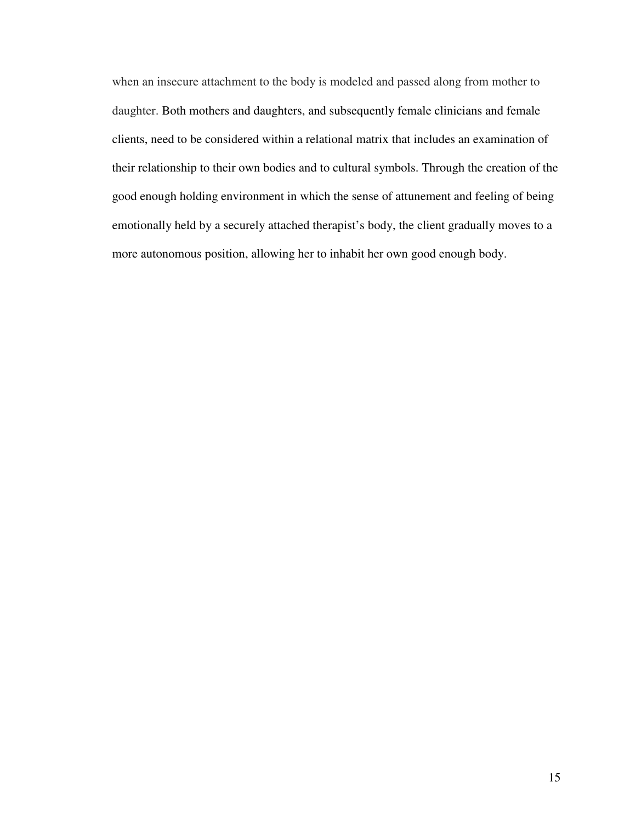when an insecure attachment to the body is modeled and passed along from mother to daughter. Both mothers and daughters, and subsequently female clinicians and female clients, need to be considered within a relational matrix that includes an examination of their relationship to their own bodies and to cultural symbols. Through the creation of the good enough holding environment in which the sense of attunement and feeling of being emotionally held by a securely attached therapist's body, the client gradually moves to a more autonomous position, allowing her to inhabit her own good enough body.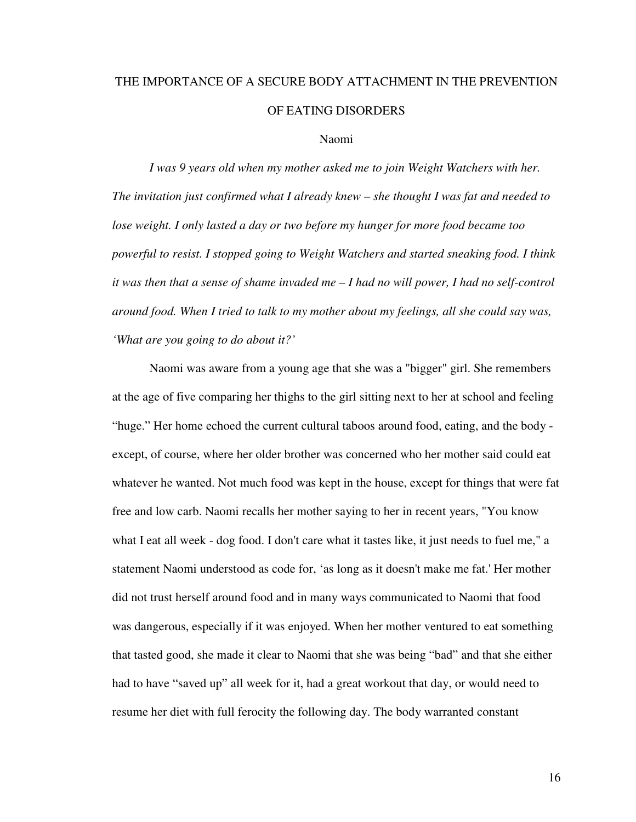# THE IMPORTANCE OF A SECURE BODY ATTACHMENT IN THE PREVENTION OF EATING DISORDERS

#### Naomi

*I was 9 years old when my mother asked me to join Weight Watchers with her. The invitation just confirmed what I already knew – she thought I was fat and needed to lose weight. I only lasted a day or two before my hunger for more food became too powerful to resist. I stopped going to Weight Watchers and started sneaking food. I think it was then that a sense of shame invaded me – I had no will power, I had no self-control around food. When I tried to talk to my mother about my feelings, all she could say was, 'What are you going to do about it?'*

Naomi was aware from a young age that she was a "bigger" girl. She remembers at the age of five comparing her thighs to the girl sitting next to her at school and feeling "huge." Her home echoed the current cultural taboos around food, eating, and the body except, of course, where her older brother was concerned who her mother said could eat whatever he wanted. Not much food was kept in the house, except for things that were fat free and low carb. Naomi recalls her mother saying to her in recent years, "You know what I eat all week - dog food. I don't care what it tastes like, it just needs to fuel me," a statement Naomi understood as code for, 'as long as it doesn't make me fat.' Her mother did not trust herself around food and in many ways communicated to Naomi that food was dangerous, especially if it was enjoyed. When her mother ventured to eat something that tasted good, she made it clear to Naomi that she was being "bad" and that she either had to have "saved up" all week for it, had a great workout that day, or would need to resume her diet with full ferocity the following day. The body warranted constant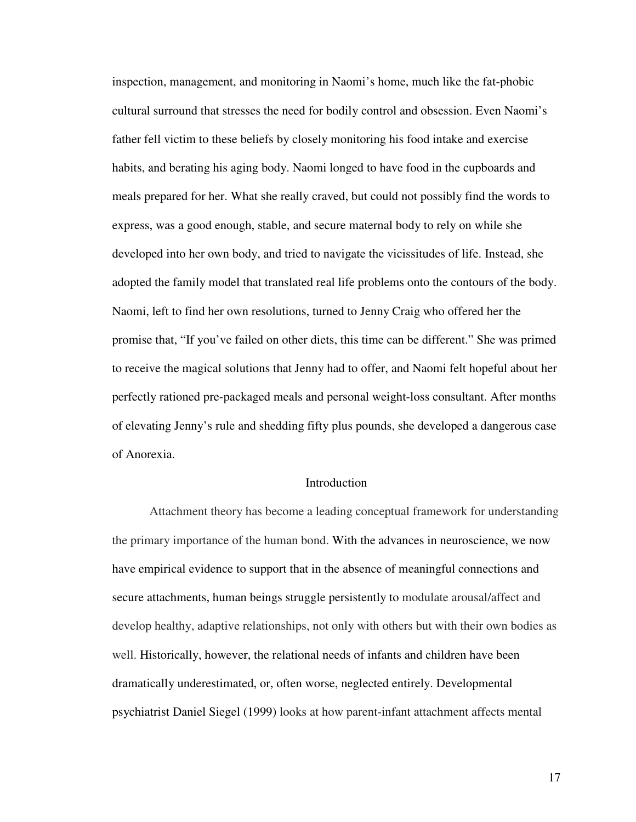inspection, management, and monitoring in Naomi's home, much like the fat-phobic cultural surround that stresses the need for bodily control and obsession. Even Naomi's father fell victim to these beliefs by closely monitoring his food intake and exercise habits, and berating his aging body. Naomi longed to have food in the cupboards and meals prepared for her. What she really craved, but could not possibly find the words to express, was a good enough, stable, and secure maternal body to rely on while she developed into her own body, and tried to navigate the vicissitudes of life. Instead, she adopted the family model that translated real life problems onto the contours of the body. Naomi, left to find her own resolutions, turned to Jenny Craig who offered her the promise that, "If you've failed on other diets, this time can be different." She was primed to receive the magical solutions that Jenny had to offer, and Naomi felt hopeful about her perfectly rationed pre-packaged meals and personal weight-loss consultant. After months of elevating Jenny's rule and shedding fifty plus pounds, she developed a dangerous case of Anorexia.

#### Introduction

Attachment theory has become a leading conceptual framework for understanding the primary importance of the human bond. With the advances in neuroscience, we now have empirical evidence to support that in the absence of meaningful connections and secure attachments, human beings struggle persistently to modulate arousal/affect and develop healthy, adaptive relationships, not only with others but with their own bodies as well. Historically, however, the relational needs of infants and children have been dramatically underestimated, or, often worse, neglected entirely. Developmental psychiatrist Daniel Siegel (1999) looks at how parent-infant attachment affects mental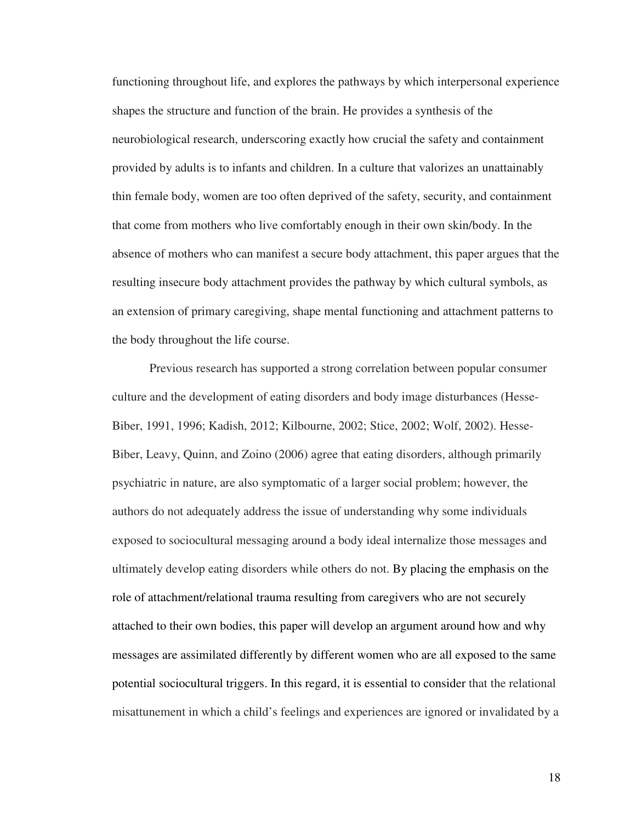functioning throughout life, and explores the pathways by which interpersonal experience shapes the structure and function of the brain. He provides a synthesis of the neurobiological research, underscoring exactly how crucial the safety and containment provided by adults is to infants and children. In a culture that valorizes an unattainably thin female body, women are too often deprived of the safety, security, and containment that come from mothers who live comfortably enough in their own skin/body. In the absence of mothers who can manifest a secure body attachment, this paper argues that the resulting insecure body attachment provides the pathway by which cultural symbols, as an extension of primary caregiving, shape mental functioning and attachment patterns to the body throughout the life course.

Previous research has supported a strong correlation between popular consumer culture and the development of eating disorders and body image disturbances (Hesse-Biber, 1991, 1996; Kadish, 2012; Kilbourne, 2002; Stice, 2002; Wolf, 2002). Hesse-Biber, Leavy, Quinn, and Zoino (2006) agree that eating disorders, although primarily psychiatric in nature, are also symptomatic of a larger social problem; however, the authors do not adequately address the issue of understanding why some individuals exposed to sociocultural messaging around a body ideal internalize those messages and ultimately develop eating disorders while others do not. By placing the emphasis on the role of attachment/relational trauma resulting from caregivers who are not securely attached to their own bodies, this paper will develop an argument around how and why messages are assimilated differently by different women who are all exposed to the same potential sociocultural triggers. In this regard, it is essential to consider that the relational misattunement in which a child's feelings and experiences are ignored or invalidated by a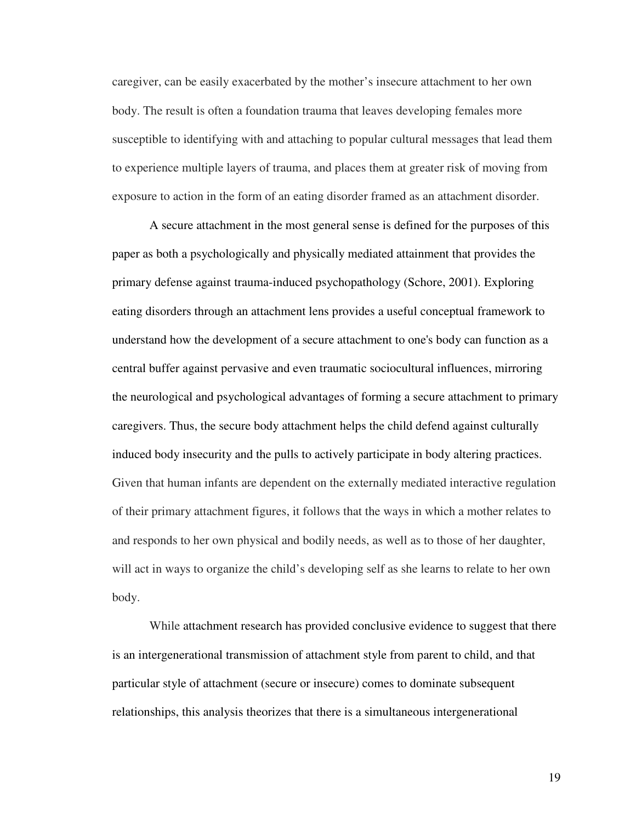caregiver, can be easily exacerbated by the mother's insecure attachment to her own body. The result is often a foundation trauma that leaves developing females more susceptible to identifying with and attaching to popular cultural messages that lead them to experience multiple layers of trauma, and places them at greater risk of moving from exposure to action in the form of an eating disorder framed as an attachment disorder.

A secure attachment in the most general sense is defined for the purposes of this paper as both a psychologically and physically mediated attainment that provides the primary defense against trauma-induced psychopathology (Schore, 2001). Exploring eating disorders through an attachment lens provides a useful conceptual framework to understand how the development of a secure attachment to one's body can function as a central buffer against pervasive and even traumatic sociocultural influences, mirroring the neurological and psychological advantages of forming a secure attachment to primary caregivers. Thus, the secure body attachment helps the child defend against culturally induced body insecurity and the pulls to actively participate in body altering practices. Given that human infants are dependent on the externally mediated interactive regulation of their primary attachment figures, it follows that the ways in which a mother relates to and responds to her own physical and bodily needs, as well as to those of her daughter, will act in ways to organize the child's developing self as she learns to relate to her own body.

While attachment research has provided conclusive evidence to suggest that there is an intergenerational transmission of attachment style from parent to child, and that particular style of attachment (secure or insecure) comes to dominate subsequent relationships, this analysis theorizes that there is a simultaneous intergenerational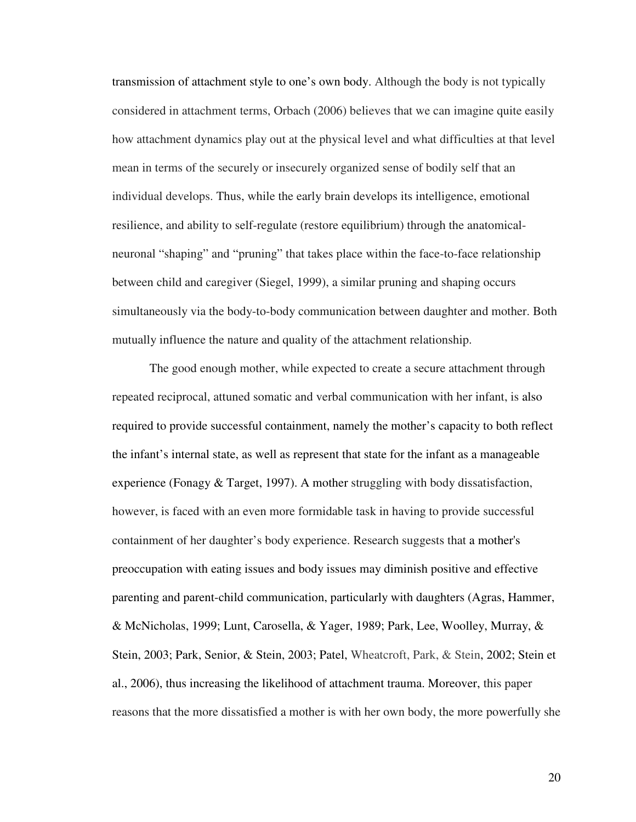transmission of attachment style to one's own body. Although the body is not typically considered in attachment terms, Orbach (2006) believes that we can imagine quite easily how attachment dynamics play out at the physical level and what difficulties at that level mean in terms of the securely or insecurely organized sense of bodily self that an individual develops. Thus, while the early brain develops its intelligence, emotional resilience, and ability to self-regulate (restore equilibrium) through the anatomicalneuronal "shaping" and "pruning" that takes place within the face-to-face relationship between child and caregiver (Siegel, 1999), a similar pruning and shaping occurs simultaneously via the body-to-body communication between daughter and mother. Both mutually influence the nature and quality of the attachment relationship.

The good enough mother, while expected to create a secure attachment through repeated reciprocal, attuned somatic and verbal communication with her infant, is also required to provide successful containment, namely the mother's capacity to both reflect the infant's internal state, as well as represent that state for the infant as a manageable experience (Fonagy & Target, 1997). A mother struggling with body dissatisfaction, however, is faced with an even more formidable task in having to provide successful containment of her daughter's body experience. Research suggests that a mother's preoccupation with eating issues and body issues may diminish positive and effective parenting and parent-child communication, particularly with daughters (Agras, Hammer, & McNicholas, 1999; Lunt, Carosella, & Yager, 1989; Park, Lee, Woolley, Murray, & Stein, 2003; Park, Senior, & Stein, 2003; Patel, Wheatcroft, Park, & Stein, 2002; Stein et al., 2006), thus increasing the likelihood of attachment trauma. Moreover, this paper reasons that the more dissatisfied a mother is with her own body, the more powerfully she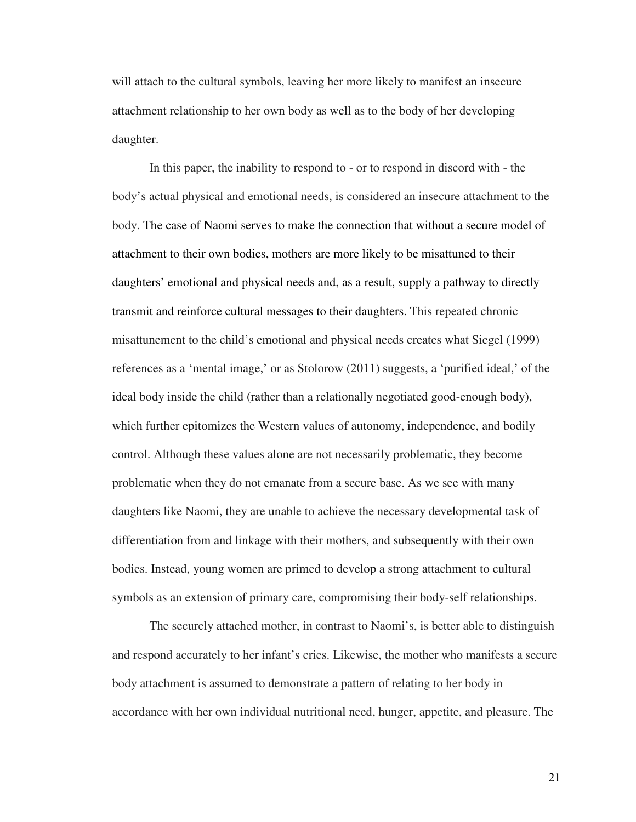will attach to the cultural symbols, leaving her more likely to manifest an insecure attachment relationship to her own body as well as to the body of her developing daughter.

In this paper, the inability to respond to - or to respond in discord with - the body's actual physical and emotional needs, is considered an insecure attachment to the body. The case of Naomi serves to make the connection that without a secure model of attachment to their own bodies, mothers are more likely to be misattuned to their daughters' emotional and physical needs and, as a result, supply a pathway to directly transmit and reinforce cultural messages to their daughters. This repeated chronic misattunement to the child's emotional and physical needs creates what Siegel (1999) references as a 'mental image,' or as Stolorow (2011) suggests, a 'purified ideal,' of the ideal body inside the child (rather than a relationally negotiated good-enough body), which further epitomizes the Western values of autonomy, independence, and bodily control. Although these values alone are not necessarily problematic, they become problematic when they do not emanate from a secure base. As we see with many daughters like Naomi, they are unable to achieve the necessary developmental task of differentiation from and linkage with their mothers, and subsequently with their own bodies. Instead, young women are primed to develop a strong attachment to cultural symbols as an extension of primary care, compromising their body-self relationships.

The securely attached mother, in contrast to Naomi's, is better able to distinguish and respond accurately to her infant's cries. Likewise, the mother who manifests a secure body attachment is assumed to demonstrate a pattern of relating to her body in accordance with her own individual nutritional need, hunger, appetite, and pleasure. The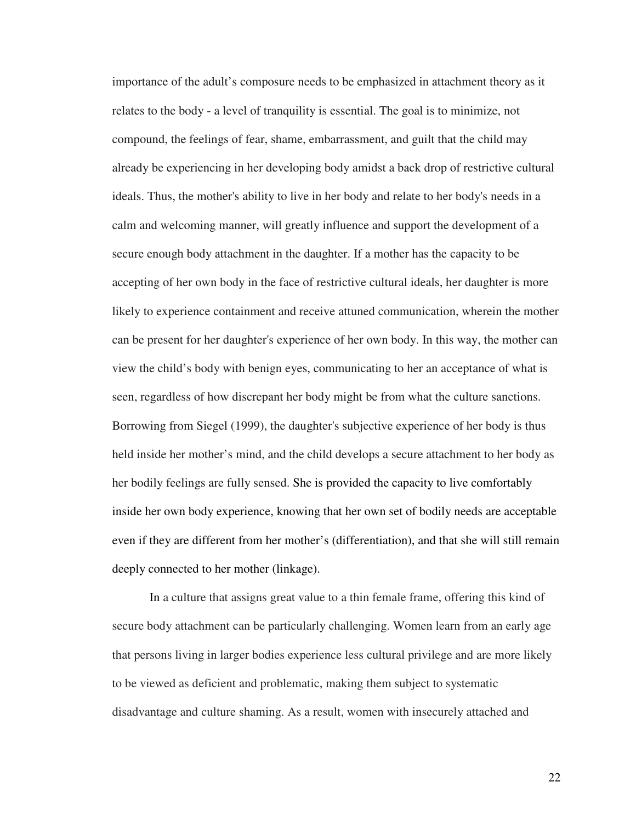importance of the adult's composure needs to be emphasized in attachment theory as it relates to the body - a level of tranquility is essential. The goal is to minimize, not compound, the feelings of fear, shame, embarrassment, and guilt that the child may already be experiencing in her developing body amidst a back drop of restrictive cultural ideals. Thus, the mother's ability to live in her body and relate to her body's needs in a calm and welcoming manner, will greatly influence and support the development of a secure enough body attachment in the daughter. If a mother has the capacity to be accepting of her own body in the face of restrictive cultural ideals, her daughter is more likely to experience containment and receive attuned communication, wherein the mother can be present for her daughter's experience of her own body. In this way, the mother can view the child's body with benign eyes, communicating to her an acceptance of what is seen, regardless of how discrepant her body might be from what the culture sanctions. Borrowing from Siegel (1999), the daughter's subjective experience of her body is thus held inside her mother's mind, and the child develops a secure attachment to her body as her bodily feelings are fully sensed. She is provided the capacity to live comfortably inside her own body experience, knowing that her own set of bodily needs are acceptable even if they are different from her mother's (differentiation), and that she will still remain deeply connected to her mother (linkage).

In a culture that assigns great value to a thin female frame, offering this kind of secure body attachment can be particularly challenging. Women learn from an early age that persons living in larger bodies experience less cultural privilege and are more likely to be viewed as deficient and problematic, making them subject to systematic disadvantage and culture shaming. As a result, women with insecurely attached and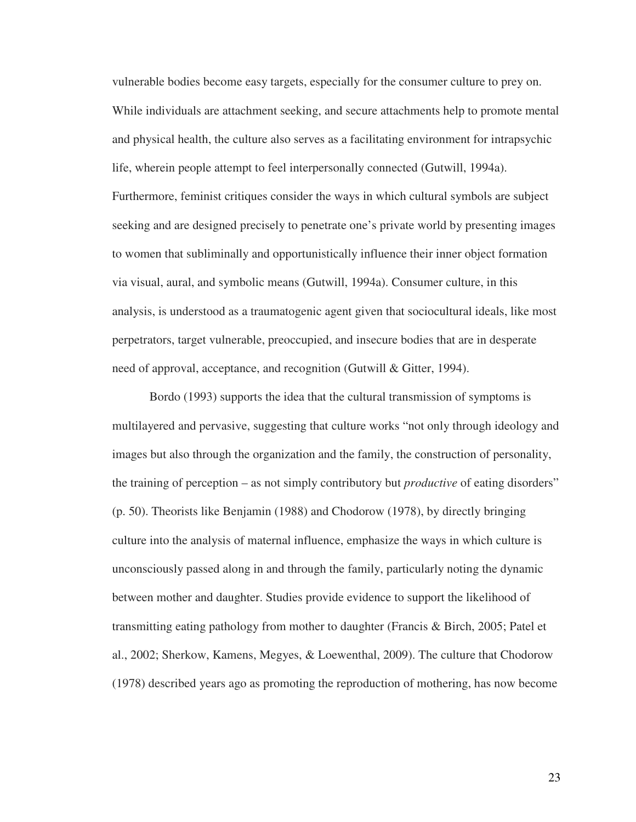vulnerable bodies become easy targets, especially for the consumer culture to prey on. While individuals are attachment seeking, and secure attachments help to promote mental and physical health, the culture also serves as a facilitating environment for intrapsychic life, wherein people attempt to feel interpersonally connected (Gutwill, 1994a). Furthermore, feminist critiques consider the ways in which cultural symbols are subject seeking and are designed precisely to penetrate one's private world by presenting images to women that subliminally and opportunistically influence their inner object formation via visual, aural, and symbolic means (Gutwill, 1994a). Consumer culture, in this analysis, is understood as a traumatogenic agent given that sociocultural ideals, like most perpetrators, target vulnerable, preoccupied, and insecure bodies that are in desperate need of approval, acceptance, and recognition (Gutwill & Gitter, 1994).

Bordo (1993) supports the idea that the cultural transmission of symptoms is multilayered and pervasive, suggesting that culture works "not only through ideology and images but also through the organization and the family, the construction of personality, the training of perception – as not simply contributory but *productive* of eating disorders" (p. 50). Theorists like Benjamin (1988) and Chodorow (1978), by directly bringing culture into the analysis of maternal influence, emphasize the ways in which culture is unconsciously passed along in and through the family, particularly noting the dynamic between mother and daughter. Studies provide evidence to support the likelihood of transmitting eating pathology from mother to daughter (Francis & Birch, 2005; Patel et al., 2002; Sherkow, Kamens, Megyes, & Loewenthal, 2009). The culture that Chodorow (1978) described years ago as promoting the reproduction of mothering, has now become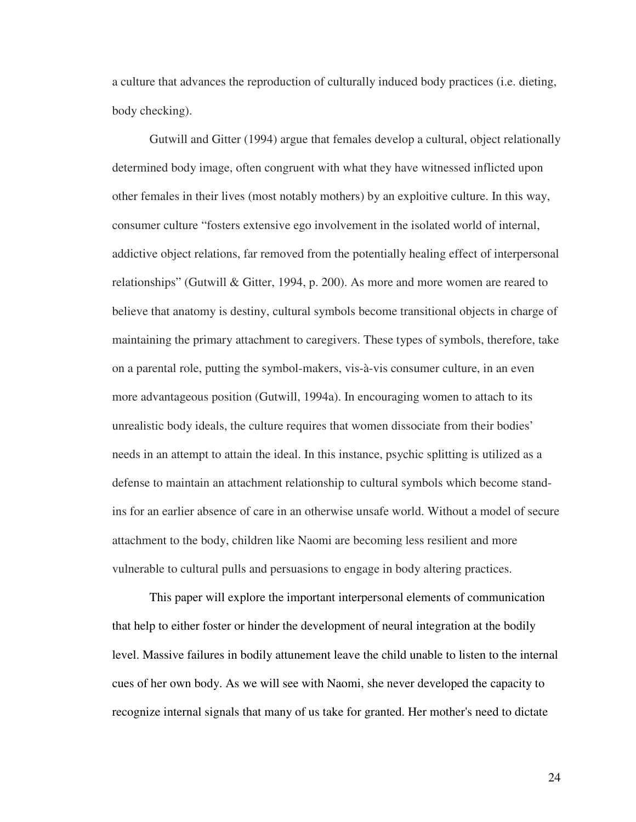a culture that advances the reproduction of culturally induced body practices (i.e. dieting, body checking).

Gutwill and Gitter (1994) argue that females develop a cultural, object relationally determined body image, often congruent with what they have witnessed inflicted upon other females in their lives (most notably mothers) by an exploitive culture. In this way, consumer culture "fosters extensive ego involvement in the isolated world of internal, addictive object relations, far removed from the potentially healing effect of interpersonal relationships" (Gutwill & Gitter, 1994, p. 200). As more and more women are reared to believe that anatomy is destiny, cultural symbols become transitional objects in charge of maintaining the primary attachment to caregivers. These types of symbols, therefore, take on a parental role, putting the symbol-makers, vis-à-vis consumer culture, in an even more advantageous position (Gutwill, 1994a). In encouraging women to attach to its unrealistic body ideals, the culture requires that women dissociate from their bodies' needs in an attempt to attain the ideal. In this instance, psychic splitting is utilized as a defense to maintain an attachment relationship to cultural symbols which become standins for an earlier absence of care in an otherwise unsafe world. Without a model of secure attachment to the body, children like Naomi are becoming less resilient and more vulnerable to cultural pulls and persuasions to engage in body altering practices.

This paper will explore the important interpersonal elements of communication that help to either foster or hinder the development of neural integration at the bodily level. Massive failures in bodily attunement leave the child unable to listen to the internal cues of her own body. As we will see with Naomi, she never developed the capacity to recognize internal signals that many of us take for granted. Her mother's need to dictate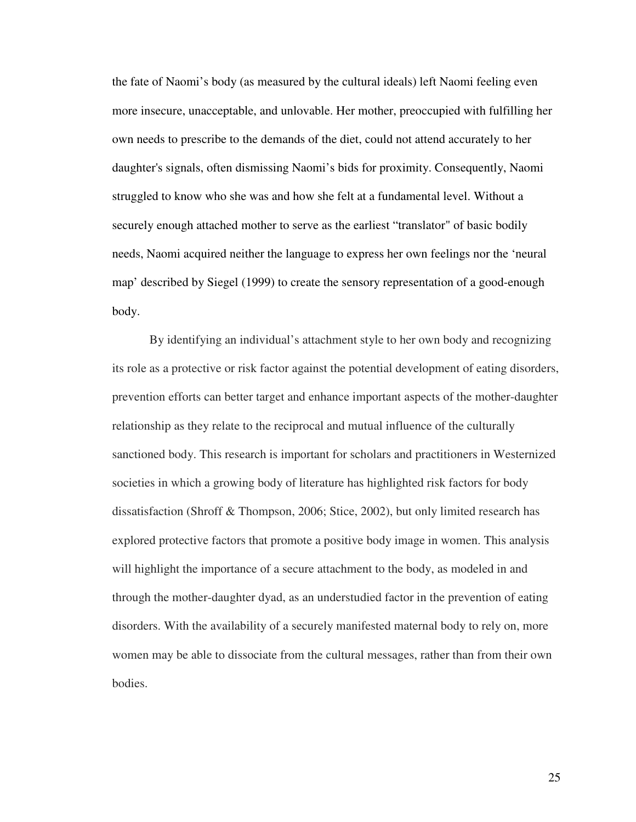the fate of Naomi's body (as measured by the cultural ideals) left Naomi feeling even more insecure, unacceptable, and unlovable. Her mother, preoccupied with fulfilling her own needs to prescribe to the demands of the diet, could not attend accurately to her daughter's signals, often dismissing Naomi's bids for proximity. Consequently, Naomi struggled to know who she was and how she felt at a fundamental level. Without a securely enough attached mother to serve as the earliest "translator" of basic bodily needs, Naomi acquired neither the language to express her own feelings nor the 'neural map' described by Siegel (1999) to create the sensory representation of a good-enough body.

By identifying an individual's attachment style to her own body and recognizing its role as a protective or risk factor against the potential development of eating disorders, prevention efforts can better target and enhance important aspects of the mother-daughter relationship as they relate to the reciprocal and mutual influence of the culturally sanctioned body. This research is important for scholars and practitioners in Westernized societies in which a growing body of literature has highlighted risk factors for body dissatisfaction (Shroff & Thompson, 2006; Stice, 2002), but only limited research has explored protective factors that promote a positive body image in women. This analysis will highlight the importance of a secure attachment to the body, as modeled in and through the mother-daughter dyad, as an understudied factor in the prevention of eating disorders. With the availability of a securely manifested maternal body to rely on, more women may be able to dissociate from the cultural messages, rather than from their own bodies.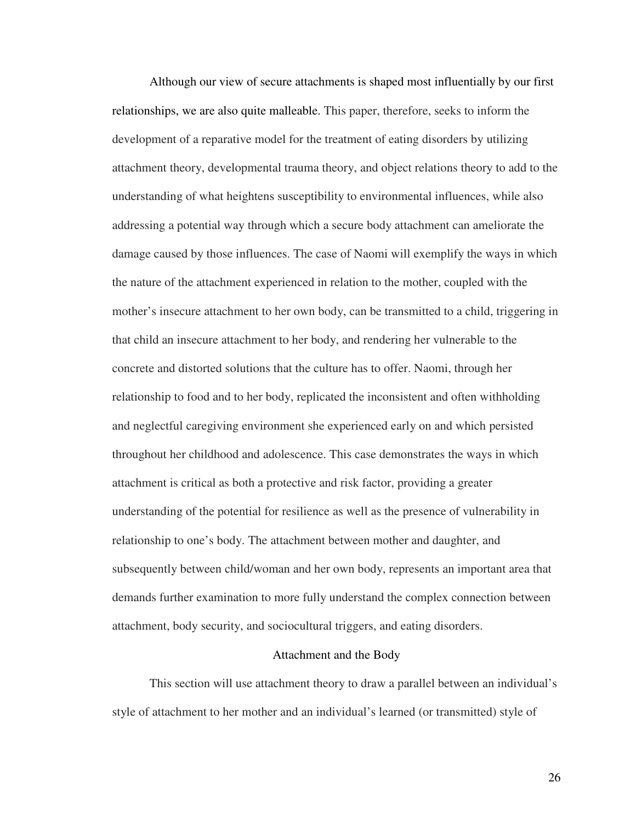Although our view of secure attachments is shaped most influentially by our first relationships, we are also quite malleable. This paper, therefore, seeks to inform the development of a reparative model for the treatment of eating disorders by utilizing attachment theory, developmental trauma theory, and object relations theory to add to the understanding of what heightens susceptibility to environmental influences, while also addressing a potential way through which a secure body attachment can ameliorate the damage caused by those influences. The case of Naomi will exemplify the ways in which the nature of the attachment experienced in relation to the mother, coupled with the mother's insecure attachment to her own body, can be transmitted to a child, triggering in that child an insecure attachment to her body, and rendering her vulnerable to the concrete and distorted solutions that the culture has to offer. Naomi, through her relationship to food and to her body, replicated the inconsistent and often withholding and neglectful caregiving environment she experienced early on and which persisted throughout her childhood and adolescence. This case demonstrates the ways in which attachment is critical as both a protective and risk factor, providing a greater understanding of the potential for resilience as well as the presence of vulnerability in relationship to one's body. The attachment between mother and daughter, and subsequently between child/woman and her own body, represents an important area that demands further examination to more fully understand the complex connection between attachment, body security, and sociocultural triggers, and eating disorders.

#### Attachment and the Body

This section will use attachment theory to draw a parallel between an individual's style of attachment to her mother and an individual's learned (or transmitted) style of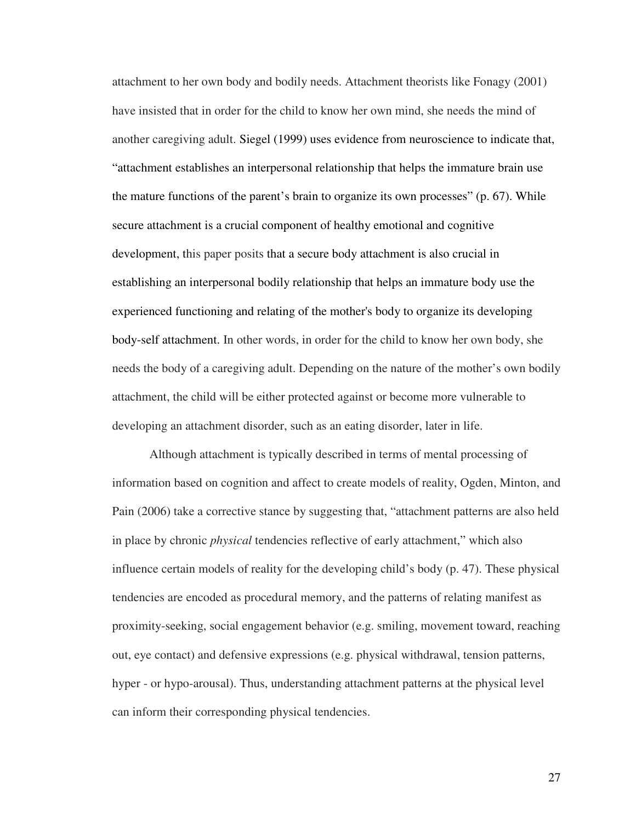attachment to her own body and bodily needs. Attachment theorists like Fonagy (2001) have insisted that in order for the child to know her own mind, she needs the mind of another caregiving adult. Siegel (1999) uses evidence from neuroscience to indicate that, "attachment establishes an interpersonal relationship that helps the immature brain use the mature functions of the parent's brain to organize its own processes" (p. 67). While secure attachment is a crucial component of healthy emotional and cognitive development, this paper posits that a secure body attachment is also crucial in establishing an interpersonal bodily relationship that helps an immature body use the experienced functioning and relating of the mother's body to organize its developing body-self attachment. In other words, in order for the child to know her own body, she needs the body of a caregiving adult. Depending on the nature of the mother's own bodily attachment, the child will be either protected against or become more vulnerable to developing an attachment disorder, such as an eating disorder, later in life.

Although attachment is typically described in terms of mental processing of information based on cognition and affect to create models of reality, Ogden, Minton, and Pain (2006) take a corrective stance by suggesting that, "attachment patterns are also held in place by chronic *physical* tendencies reflective of early attachment," which also influence certain models of reality for the developing child's body (p. 47). These physical tendencies are encoded as procedural memory, and the patterns of relating manifest as proximity-seeking, social engagement behavior (e.g. smiling, movement toward, reaching out, eye contact) and defensive expressions (e.g. physical withdrawal, tension patterns, hyper - or hypo-arousal). Thus, understanding attachment patterns at the physical level can inform their corresponding physical tendencies.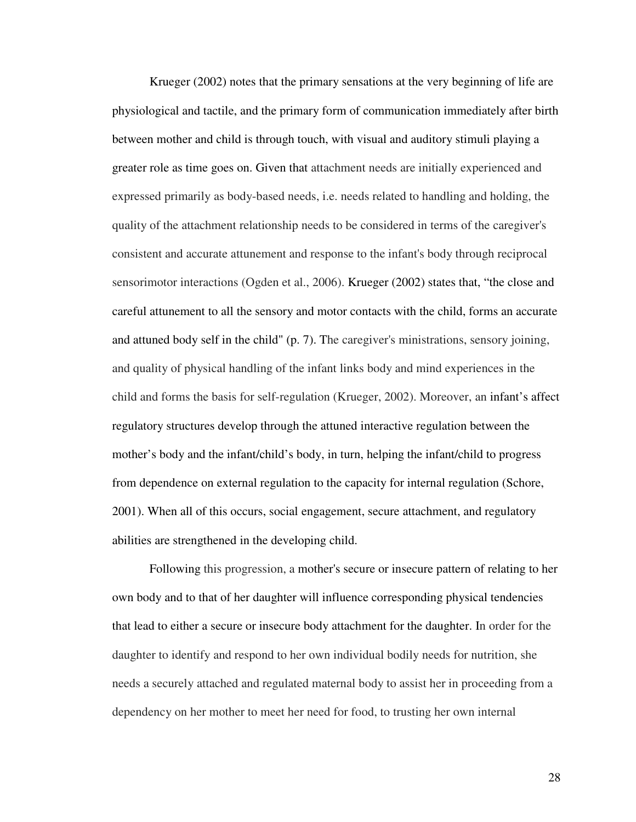Krueger (2002) notes that the primary sensations at the very beginning of life are physiological and tactile, and the primary form of communication immediately after birth between mother and child is through touch, with visual and auditory stimuli playing a greater role as time goes on. Given that attachment needs are initially experienced and expressed primarily as body-based needs, i.e. needs related to handling and holding, the quality of the attachment relationship needs to be considered in terms of the caregiver's consistent and accurate attunement and response to the infant's body through reciprocal sensorimotor interactions (Ogden et al., 2006). Krueger (2002) states that, "the close and careful attunement to all the sensory and motor contacts with the child, forms an accurate and attuned body self in the child" (p. 7). The caregiver's ministrations, sensory joining, and quality of physical handling of the infant links body and mind experiences in the child and forms the basis for self-regulation (Krueger, 2002). Moreover, an infant's affect regulatory structures develop through the attuned interactive regulation between the mother's body and the infant/child's body, in turn, helping the infant/child to progress from dependence on external regulation to the capacity for internal regulation (Schore, 2001). When all of this occurs, social engagement, secure attachment, and regulatory abilities are strengthened in the developing child.

Following this progression, a mother's secure or insecure pattern of relating to her own body and to that of her daughter will influence corresponding physical tendencies that lead to either a secure or insecure body attachment for the daughter. In order for the daughter to identify and respond to her own individual bodily needs for nutrition, she needs a securely attached and regulated maternal body to assist her in proceeding from a dependency on her mother to meet her need for food, to trusting her own internal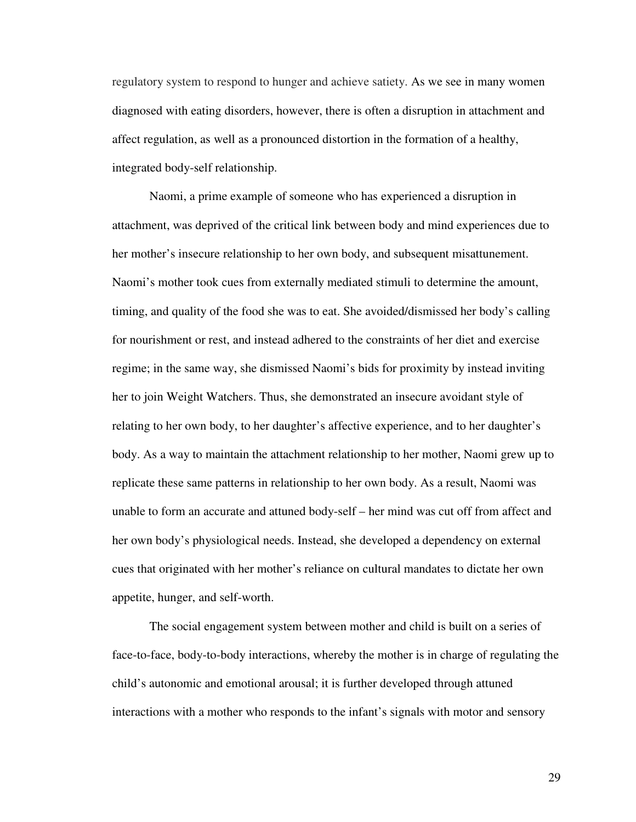regulatory system to respond to hunger and achieve satiety. As we see in many women diagnosed with eating disorders, however, there is often a disruption in attachment and affect regulation, as well as a pronounced distortion in the formation of a healthy, integrated body-self relationship.

Naomi, a prime example of someone who has experienced a disruption in attachment, was deprived of the critical link between body and mind experiences due to her mother's insecure relationship to her own body, and subsequent misattunement. Naomi's mother took cues from externally mediated stimuli to determine the amount, timing, and quality of the food she was to eat. She avoided/dismissed her body's calling for nourishment or rest, and instead adhered to the constraints of her diet and exercise regime; in the same way, she dismissed Naomi's bids for proximity by instead inviting her to join Weight Watchers. Thus, she demonstrated an insecure avoidant style of relating to her own body, to her daughter's affective experience, and to her daughter's body. As a way to maintain the attachment relationship to her mother, Naomi grew up to replicate these same patterns in relationship to her own body. As a result, Naomi was unable to form an accurate and attuned body-self – her mind was cut off from affect and her own body's physiological needs. Instead, she developed a dependency on external cues that originated with her mother's reliance on cultural mandates to dictate her own appetite, hunger, and self-worth.

The social engagement system between mother and child is built on a series of face-to-face, body-to-body interactions, whereby the mother is in charge of regulating the child's autonomic and emotional arousal; it is further developed through attuned interactions with a mother who responds to the infant's signals with motor and sensory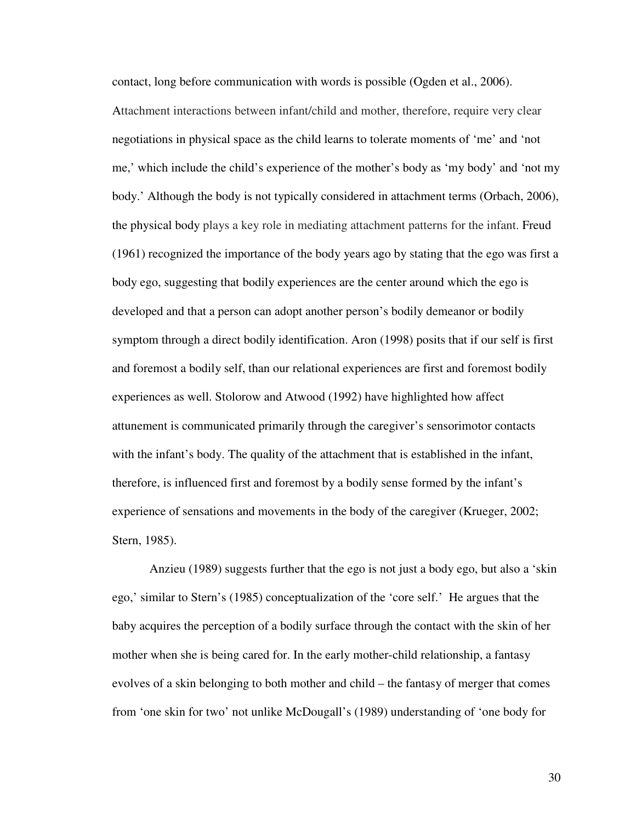contact, long before communication with words is possible (Ogden et al., 2006). Attachment interactions between infant/child and mother, therefore, require very clear negotiations in physical space as the child learns to tolerate moments of 'me' and 'not me,' which include the child's experience of the mother's body as 'my body' and 'not my body.' Although the body is not typically considered in attachment terms (Orbach, 2006), the physical body plays a key role in mediating attachment patterns for the infant. Freud (1961) recognized the importance of the body years ago by stating that the ego was first a body ego, suggesting that bodily experiences are the center around which the ego is developed and that a person can adopt another person's bodily demeanor or bodily symptom through a direct bodily identification. Aron (1998) posits that if our self is first and foremost a bodily self, than our relational experiences are first and foremost bodily experiences as well. Stolorow and Atwood (1992) have highlighted how affect attunement is communicated primarily through the caregiver's sensorimotor contacts with the infant's body. The quality of the attachment that is established in the infant, therefore, is influenced first and foremost by a bodily sense formed by the infant's experience of sensations and movements in the body of the caregiver (Krueger, 2002; Stern, 1985).

Anzieu (1989) suggests further that the ego is not just a body ego, but also a 'skin ego,' similar to Stern's (1985) conceptualization of the 'core self.' He argues that the baby acquires the perception of a bodily surface through the contact with the skin of her mother when she is being cared for. In the early mother-child relationship, a fantasy evolves of a skin belonging to both mother and child – the fantasy of merger that comes from 'one skin for two' not unlike McDougall's (1989) understanding of 'one body for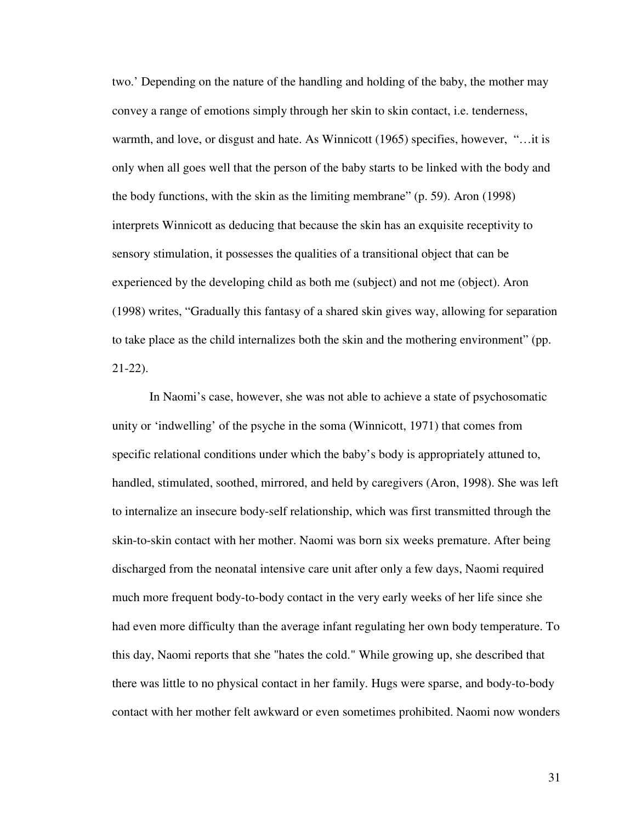two.' Depending on the nature of the handling and holding of the baby, the mother may convey a range of emotions simply through her skin to skin contact, i.e. tenderness, warmth, and love, or disgust and hate. As Winnicott (1965) specifies, however, "…it is only when all goes well that the person of the baby starts to be linked with the body and the body functions, with the skin as the limiting membrane" (p. 59). Aron (1998) interprets Winnicott as deducing that because the skin has an exquisite receptivity to sensory stimulation, it possesses the qualities of a transitional object that can be experienced by the developing child as both me (subject) and not me (object). Aron (1998) writes, "Gradually this fantasy of a shared skin gives way, allowing for separation to take place as the child internalizes both the skin and the mothering environment" (pp. 21-22).

In Naomi's case, however, she was not able to achieve a state of psychosomatic unity or 'indwelling' of the psyche in the soma (Winnicott, 1971) that comes from specific relational conditions under which the baby's body is appropriately attuned to, handled, stimulated, soothed, mirrored, and held by caregivers (Aron, 1998). She was left to internalize an insecure body-self relationship, which was first transmitted through the skin-to-skin contact with her mother. Naomi was born six weeks premature. After being discharged from the neonatal intensive care unit after only a few days, Naomi required much more frequent body-to-body contact in the very early weeks of her life since she had even more difficulty than the average infant regulating her own body temperature. To this day, Naomi reports that she "hates the cold." While growing up, she described that there was little to no physical contact in her family. Hugs were sparse, and body-to-body contact with her mother felt awkward or even sometimes prohibited. Naomi now wonders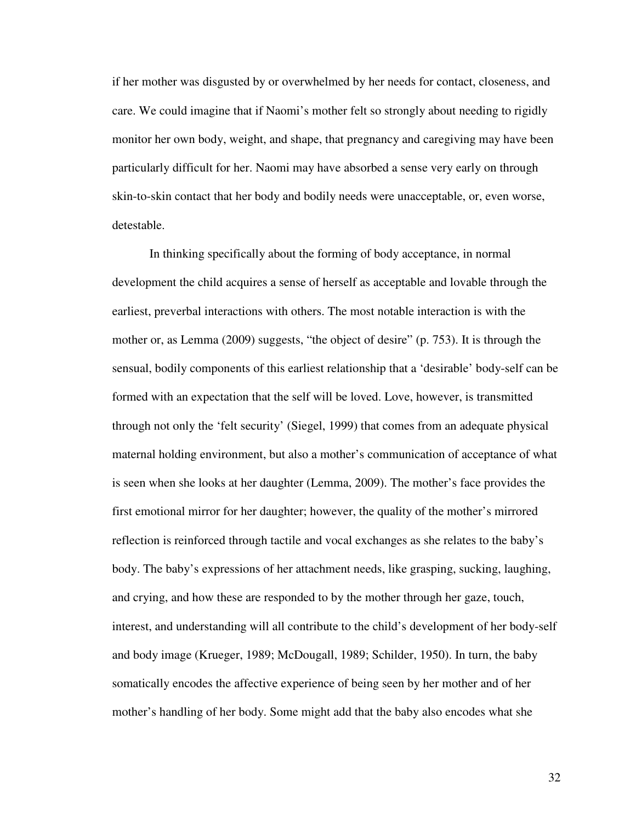if her mother was disgusted by or overwhelmed by her needs for contact, closeness, and care. We could imagine that if Naomi's mother felt so strongly about needing to rigidly monitor her own body, weight, and shape, that pregnancy and caregiving may have been particularly difficult for her. Naomi may have absorbed a sense very early on through skin-to-skin contact that her body and bodily needs were unacceptable, or, even worse, detestable.

In thinking specifically about the forming of body acceptance, in normal development the child acquires a sense of herself as acceptable and lovable through the earliest, preverbal interactions with others. The most notable interaction is with the mother or, as Lemma (2009) suggests, "the object of desire" (p. 753). It is through the sensual, bodily components of this earliest relationship that a 'desirable' body-self can be formed with an expectation that the self will be loved. Love, however, is transmitted through not only the 'felt security' (Siegel, 1999) that comes from an adequate physical maternal holding environment, but also a mother's communication of acceptance of what is seen when she looks at her daughter (Lemma, 2009). The mother's face provides the first emotional mirror for her daughter; however, the quality of the mother's mirrored reflection is reinforced through tactile and vocal exchanges as she relates to the baby's body. The baby's expressions of her attachment needs, like grasping, sucking, laughing, and crying, and how these are responded to by the mother through her gaze, touch, interest, and understanding will all contribute to the child's development of her body-self and body image (Krueger, 1989; McDougall, 1989; Schilder, 1950). In turn, the baby somatically encodes the affective experience of being seen by her mother and of her mother's handling of her body. Some might add that the baby also encodes what she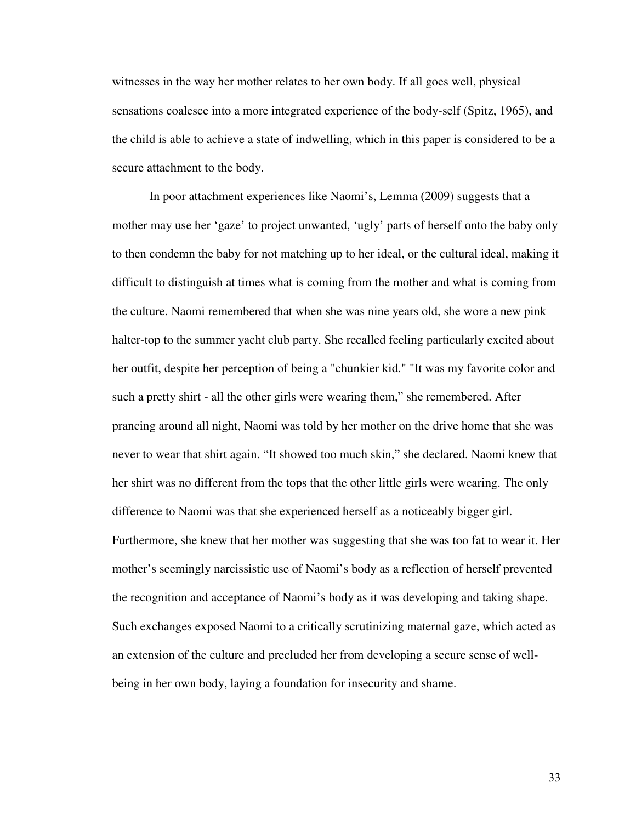witnesses in the way her mother relates to her own body. If all goes well, physical sensations coalesce into a more integrated experience of the body-self (Spitz, 1965), and the child is able to achieve a state of indwelling, which in this paper is considered to be a secure attachment to the body.

In poor attachment experiences like Naomi's, Lemma (2009) suggests that a mother may use her 'gaze' to project unwanted, 'ugly' parts of herself onto the baby only to then condemn the baby for not matching up to her ideal, or the cultural ideal, making it difficult to distinguish at times what is coming from the mother and what is coming from the culture. Naomi remembered that when she was nine years old, she wore a new pink halter-top to the summer yacht club party. She recalled feeling particularly excited about her outfit, despite her perception of being a "chunkier kid." "It was my favorite color and such a pretty shirt - all the other girls were wearing them," she remembered. After prancing around all night, Naomi was told by her mother on the drive home that she was never to wear that shirt again. "It showed too much skin," she declared. Naomi knew that her shirt was no different from the tops that the other little girls were wearing. The only difference to Naomi was that she experienced herself as a noticeably bigger girl. Furthermore, she knew that her mother was suggesting that she was too fat to wear it. Her mother's seemingly narcissistic use of Naomi's body as a reflection of herself prevented the recognition and acceptance of Naomi's body as it was developing and taking shape. Such exchanges exposed Naomi to a critically scrutinizing maternal gaze, which acted as an extension of the culture and precluded her from developing a secure sense of wellbeing in her own body, laying a foundation for insecurity and shame.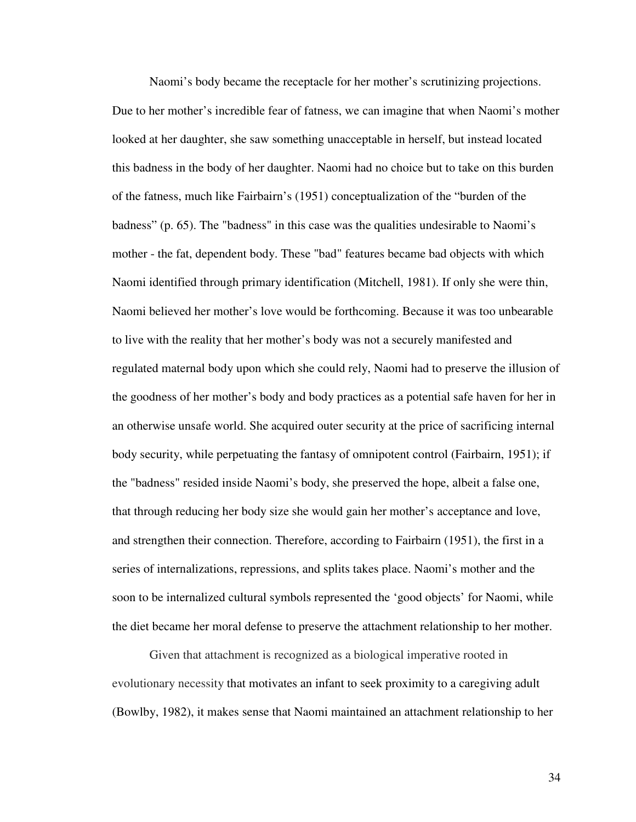Naomi's body became the receptacle for her mother's scrutinizing projections. Due to her mother's incredible fear of fatness, we can imagine that when Naomi's mother looked at her daughter, she saw something unacceptable in herself, but instead located this badness in the body of her daughter. Naomi had no choice but to take on this burden of the fatness, much like Fairbairn's (1951) conceptualization of the "burden of the badness" (p. 65). The "badness" in this case was the qualities undesirable to Naomi's mother - the fat, dependent body. These "bad" features became bad objects with which Naomi identified through primary identification (Mitchell, 1981). If only she were thin, Naomi believed her mother's love would be forthcoming. Because it was too unbearable to live with the reality that her mother's body was not a securely manifested and regulated maternal body upon which she could rely, Naomi had to preserve the illusion of the goodness of her mother's body and body practices as a potential safe haven for her in an otherwise unsafe world. She acquired outer security at the price of sacrificing internal body security, while perpetuating the fantasy of omnipotent control (Fairbairn, 1951); if the "badness" resided inside Naomi's body, she preserved the hope, albeit a false one, that through reducing her body size she would gain her mother's acceptance and love, and strengthen their connection. Therefore, according to Fairbairn (1951), the first in a series of internalizations, repressions, and splits takes place. Naomi's mother and the soon to be internalized cultural symbols represented the 'good objects' for Naomi, while the diet became her moral defense to preserve the attachment relationship to her mother.

Given that attachment is recognized as a biological imperative rooted in evolutionary necessity that motivates an infant to seek proximity to a caregiving adult (Bowlby, 1982), it makes sense that Naomi maintained an attachment relationship to her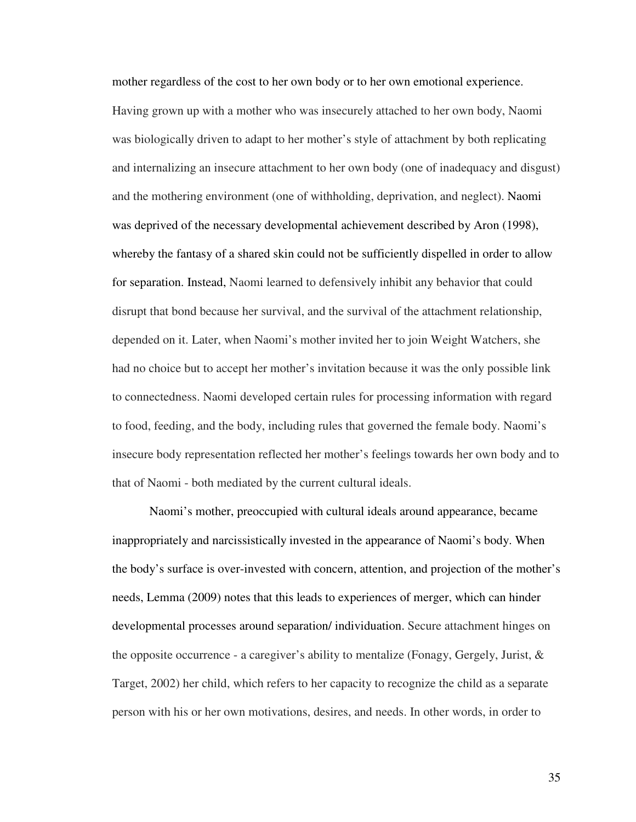mother regardless of the cost to her own body or to her own emotional experience. Having grown up with a mother who was insecurely attached to her own body, Naomi was biologically driven to adapt to her mother's style of attachment by both replicating and internalizing an insecure attachment to her own body (one of inadequacy and disgust) and the mothering environment (one of withholding, deprivation, and neglect). Naomi was deprived of the necessary developmental achievement described by Aron (1998), whereby the fantasy of a shared skin could not be sufficiently dispelled in order to allow for separation. Instead, Naomi learned to defensively inhibit any behavior that could disrupt that bond because her survival, and the survival of the attachment relationship, depended on it. Later, when Naomi's mother invited her to join Weight Watchers, she had no choice but to accept her mother's invitation because it was the only possible link to connectedness. Naomi developed certain rules for processing information with regard to food, feeding, and the body, including rules that governed the female body. Naomi's insecure body representation reflected her mother's feelings towards her own body and to that of Naomi - both mediated by the current cultural ideals.

Naomi's mother, preoccupied with cultural ideals around appearance, became inappropriately and narcissistically invested in the appearance of Naomi's body. When the body's surface is over-invested with concern, attention, and projection of the mother's needs, Lemma (2009) notes that this leads to experiences of merger, which can hinder developmental processes around separation/ individuation. Secure attachment hinges on the opposite occurrence - a caregiver's ability to mentalize (Fonagy, Gergely, Jurist,  $\&$ Target, 2002) her child, which refers to her capacity to recognize the child as a separate person with his or her own motivations, desires, and needs. In other words, in order to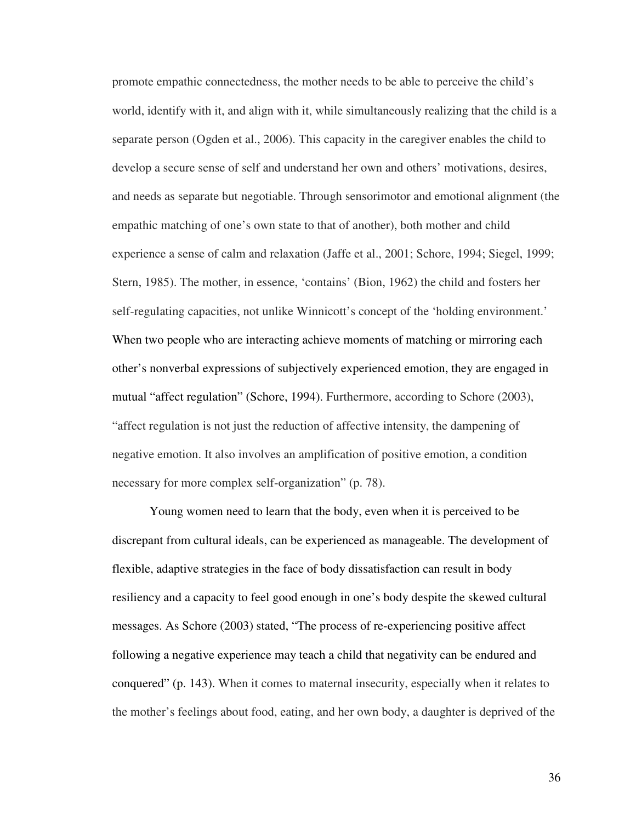promote empathic connectedness, the mother needs to be able to perceive the child's world, identify with it, and align with it, while simultaneously realizing that the child is a separate person (Ogden et al., 2006). This capacity in the caregiver enables the child to develop a secure sense of self and understand her own and others' motivations, desires, and needs as separate but negotiable. Through sensorimotor and emotional alignment (the empathic matching of one's own state to that of another), both mother and child experience a sense of calm and relaxation (Jaffe et al., 2001; Schore, 1994; Siegel, 1999; Stern, 1985). The mother, in essence, 'contains' (Bion, 1962) the child and fosters her self-regulating capacities, not unlike Winnicott's concept of the 'holding environment.' When two people who are interacting achieve moments of matching or mirroring each other's nonverbal expressions of subjectively experienced emotion, they are engaged in mutual "affect regulation" (Schore, 1994). Furthermore, according to Schore (2003), "affect regulation is not just the reduction of affective intensity, the dampening of negative emotion. It also involves an amplification of positive emotion, a condition necessary for more complex self-organization" (p. 78).

Young women need to learn that the body, even when it is perceived to be discrepant from cultural ideals, can be experienced as manageable. The development of flexible, adaptive strategies in the face of body dissatisfaction can result in body resiliency and a capacity to feel good enough in one's body despite the skewed cultural messages. As Schore (2003) stated, "The process of re-experiencing positive affect following a negative experience may teach a child that negativity can be endured and conquered" (p. 143). When it comes to maternal insecurity, especially when it relates to the mother's feelings about food, eating, and her own body, a daughter is deprived of the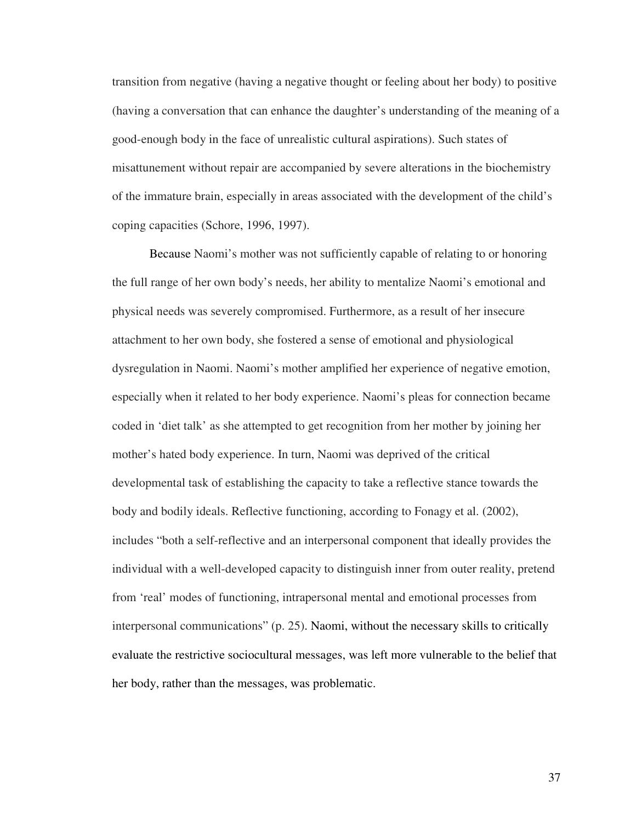transition from negative (having a negative thought or feeling about her body) to positive (having a conversation that can enhance the daughter's understanding of the meaning of a good-enough body in the face of unrealistic cultural aspirations). Such states of misattunement without repair are accompanied by severe alterations in the biochemistry of the immature brain, especially in areas associated with the development of the child's coping capacities (Schore, 1996, 1997).

Because Naomi's mother was not sufficiently capable of relating to or honoring the full range of her own body's needs, her ability to mentalize Naomi's emotional and physical needs was severely compromised. Furthermore, as a result of her insecure attachment to her own body, she fostered a sense of emotional and physiological dysregulation in Naomi. Naomi's mother amplified her experience of negative emotion, especially when it related to her body experience. Naomi's pleas for connection became coded in 'diet talk' as she attempted to get recognition from her mother by joining her mother's hated body experience. In turn, Naomi was deprived of the critical developmental task of establishing the capacity to take a reflective stance towards the body and bodily ideals. Reflective functioning, according to Fonagy et al. (2002), includes "both a self-reflective and an interpersonal component that ideally provides the individual with a well-developed capacity to distinguish inner from outer reality, pretend from 'real' modes of functioning, intrapersonal mental and emotional processes from interpersonal communications" (p. 25). Naomi, without the necessary skills to critically evaluate the restrictive sociocultural messages, was left more vulnerable to the belief that her body, rather than the messages, was problematic.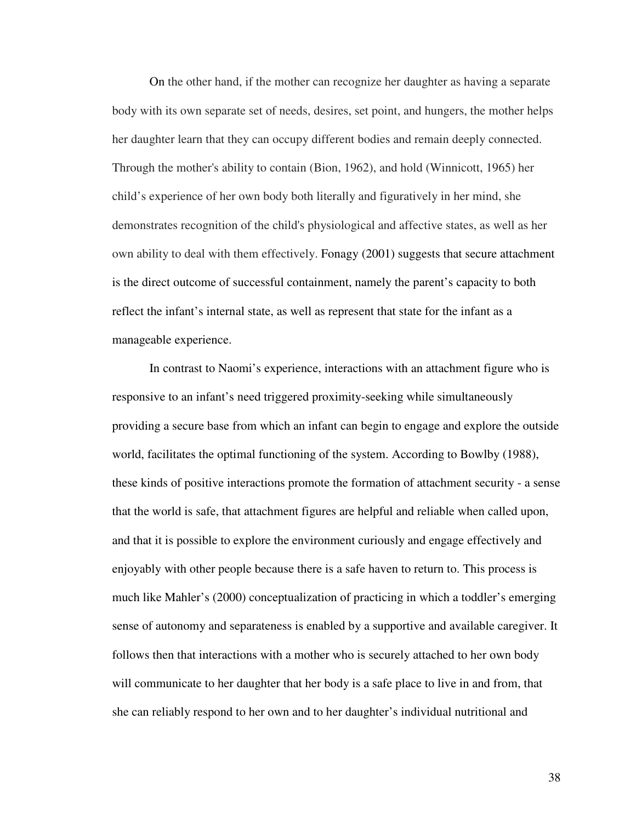On the other hand, if the mother can recognize her daughter as having a separate body with its own separate set of needs, desires, set point, and hungers, the mother helps her daughter learn that they can occupy different bodies and remain deeply connected. Through the mother's ability to contain (Bion, 1962), and hold (Winnicott, 1965) her child's experience of her own body both literally and figuratively in her mind, she demonstrates recognition of the child's physiological and affective states, as well as her own ability to deal with them effectively. Fonagy (2001) suggests that secure attachment is the direct outcome of successful containment, namely the parent's capacity to both reflect the infant's internal state, as well as represent that state for the infant as a manageable experience.

In contrast to Naomi's experience, interactions with an attachment figure who is responsive to an infant's need triggered proximity-seeking while simultaneously providing a secure base from which an infant can begin to engage and explore the outside world, facilitates the optimal functioning of the system. According to Bowlby (1988), these kinds of positive interactions promote the formation of attachment security - a sense that the world is safe, that attachment figures are helpful and reliable when called upon, and that it is possible to explore the environment curiously and engage effectively and enjoyably with other people because there is a safe haven to return to. This process is much like Mahler's (2000) conceptualization of practicing in which a toddler's emerging sense of autonomy and separateness is enabled by a supportive and available caregiver. It follows then that interactions with a mother who is securely attached to her own body will communicate to her daughter that her body is a safe place to live in and from, that she can reliably respond to her own and to her daughter's individual nutritional and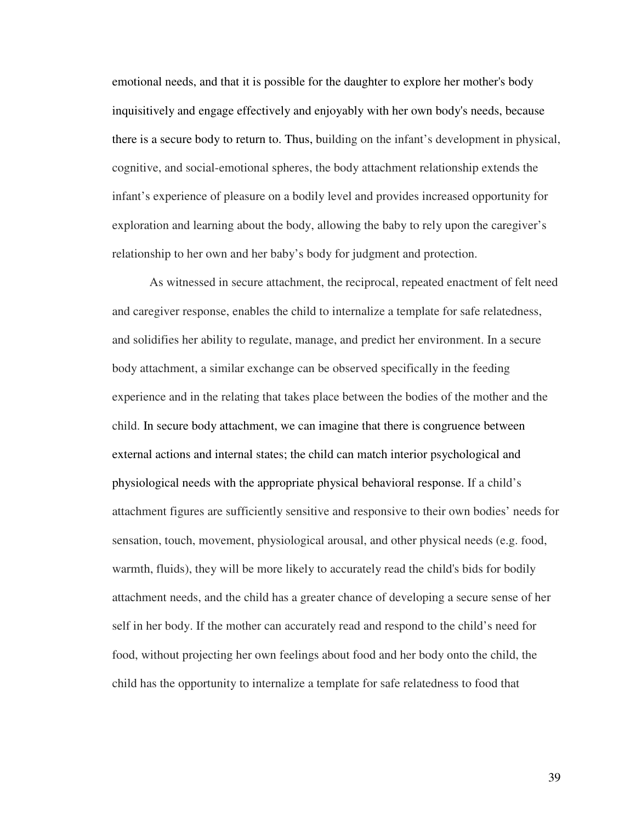emotional needs, and that it is possible for the daughter to explore her mother's body inquisitively and engage effectively and enjoyably with her own body's needs, because there is a secure body to return to. Thus, building on the infant's development in physical, cognitive, and social-emotional spheres, the body attachment relationship extends the infant's experience of pleasure on a bodily level and provides increased opportunity for exploration and learning about the body, allowing the baby to rely upon the caregiver's relationship to her own and her baby's body for judgment and protection.

As witnessed in secure attachment, the reciprocal, repeated enactment of felt need and caregiver response, enables the child to internalize a template for safe relatedness, and solidifies her ability to regulate, manage, and predict her environment. In a secure body attachment, a similar exchange can be observed specifically in the feeding experience and in the relating that takes place between the bodies of the mother and the child. In secure body attachment, we can imagine that there is congruence between external actions and internal states; the child can match interior psychological and physiological needs with the appropriate physical behavioral response. If a child's attachment figures are sufficiently sensitive and responsive to their own bodies' needs for sensation, touch, movement, physiological arousal, and other physical needs (e.g. food, warmth, fluids), they will be more likely to accurately read the child's bids for bodily attachment needs, and the child has a greater chance of developing a secure sense of her self in her body. If the mother can accurately read and respond to the child's need for food, without projecting her own feelings about food and her body onto the child, the child has the opportunity to internalize a template for safe relatedness to food that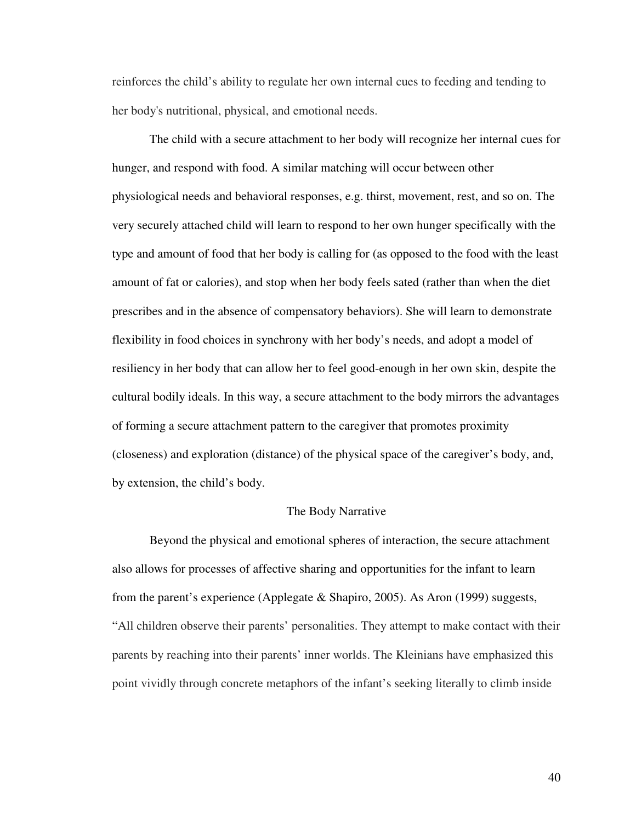reinforces the child's ability to regulate her own internal cues to feeding and tending to her body's nutritional, physical, and emotional needs.

The child with a secure attachment to her body will recognize her internal cues for hunger, and respond with food. A similar matching will occur between other physiological needs and behavioral responses, e.g. thirst, movement, rest, and so on. The very securely attached child will learn to respond to her own hunger specifically with the type and amount of food that her body is calling for (as opposed to the food with the least amount of fat or calories), and stop when her body feels sated (rather than when the diet prescribes and in the absence of compensatory behaviors). She will learn to demonstrate flexibility in food choices in synchrony with her body's needs, and adopt a model of resiliency in her body that can allow her to feel good-enough in her own skin, despite the cultural bodily ideals. In this way, a secure attachment to the body mirrors the advantages of forming a secure attachment pattern to the caregiver that promotes proximity (closeness) and exploration (distance) of the physical space of the caregiver's body, and, by extension, the child's body.

#### The Body Narrative

Beyond the physical and emotional spheres of interaction, the secure attachment also allows for processes of affective sharing and opportunities for the infant to learn from the parent's experience (Applegate & Shapiro, 2005). As Aron (1999) suggests, "All children observe their parents' personalities. They attempt to make contact with their parents by reaching into their parents' inner worlds. The Kleinians have emphasized this point vividly through concrete metaphors of the infant's seeking literally to climb inside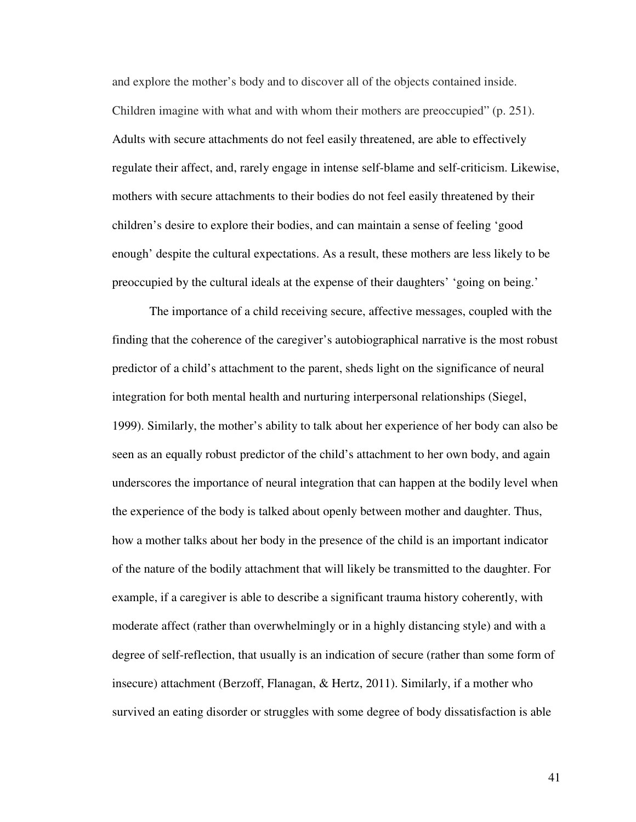and explore the mother's body and to discover all of the objects contained inside. Children imagine with what and with whom their mothers are preoccupied" (p. 251). Adults with secure attachments do not feel easily threatened, are able to effectively regulate their affect, and, rarely engage in intense self-blame and self-criticism. Likewise, mothers with secure attachments to their bodies do not feel easily threatened by their children's desire to explore their bodies, and can maintain a sense of feeling 'good enough' despite the cultural expectations. As a result, these mothers are less likely to be preoccupied by the cultural ideals at the expense of their daughters' 'going on being.'

The importance of a child receiving secure, affective messages, coupled with the finding that the coherence of the caregiver's autobiographical narrative is the most robust predictor of a child's attachment to the parent, sheds light on the significance of neural integration for both mental health and nurturing interpersonal relationships (Siegel, 1999). Similarly, the mother's ability to talk about her experience of her body can also be seen as an equally robust predictor of the child's attachment to her own body, and again underscores the importance of neural integration that can happen at the bodily level when the experience of the body is talked about openly between mother and daughter. Thus, how a mother talks about her body in the presence of the child is an important indicator of the nature of the bodily attachment that will likely be transmitted to the daughter. For example, if a caregiver is able to describe a significant trauma history coherently, with moderate affect (rather than overwhelmingly or in a highly distancing style) and with a degree of self-reflection, that usually is an indication of secure (rather than some form of insecure) attachment (Berzoff, Flanagan, & Hertz, 2011). Similarly, if a mother who survived an eating disorder or struggles with some degree of body dissatisfaction is able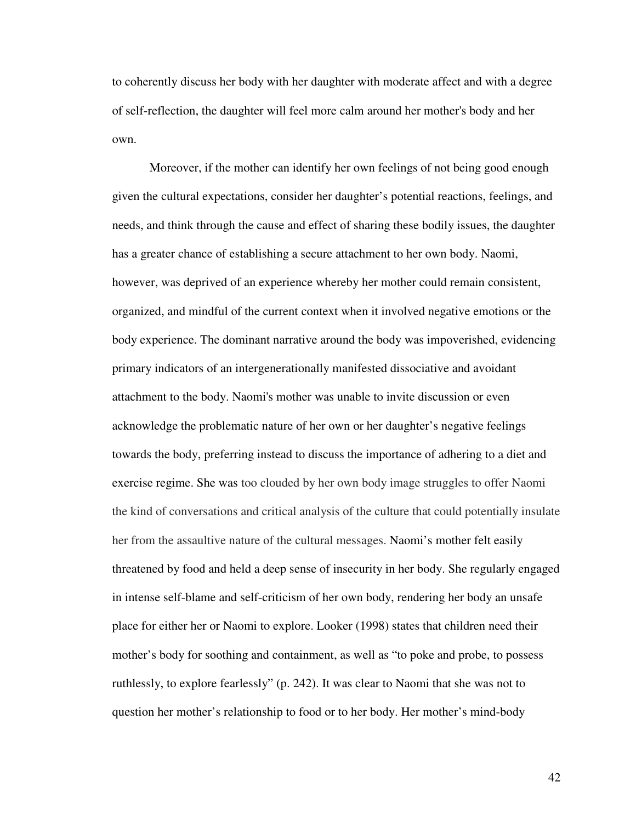to coherently discuss her body with her daughter with moderate affect and with a degree of self-reflection, the daughter will feel more calm around her mother's body and her own.

Moreover, if the mother can identify her own feelings of not being good enough given the cultural expectations, consider her daughter's potential reactions, feelings, and needs, and think through the cause and effect of sharing these bodily issues, the daughter has a greater chance of establishing a secure attachment to her own body. Naomi, however, was deprived of an experience whereby her mother could remain consistent, organized, and mindful of the current context when it involved negative emotions or the body experience. The dominant narrative around the body was impoverished, evidencing primary indicators of an intergenerationally manifested dissociative and avoidant attachment to the body. Naomi's mother was unable to invite discussion or even acknowledge the problematic nature of her own or her daughter's negative feelings towards the body, preferring instead to discuss the importance of adhering to a diet and exercise regime. She was too clouded by her own body image struggles to offer Naomi the kind of conversations and critical analysis of the culture that could potentially insulate her from the assaultive nature of the cultural messages. Naomi's mother felt easily threatened by food and held a deep sense of insecurity in her body. She regularly engaged in intense self-blame and self-criticism of her own body, rendering her body an unsafe place for either her or Naomi to explore. Looker (1998) states that children need their mother's body for soothing and containment, as well as "to poke and probe, to possess ruthlessly, to explore fearlessly" (p. 242). It was clear to Naomi that she was not to question her mother's relationship to food or to her body. Her mother's mind-body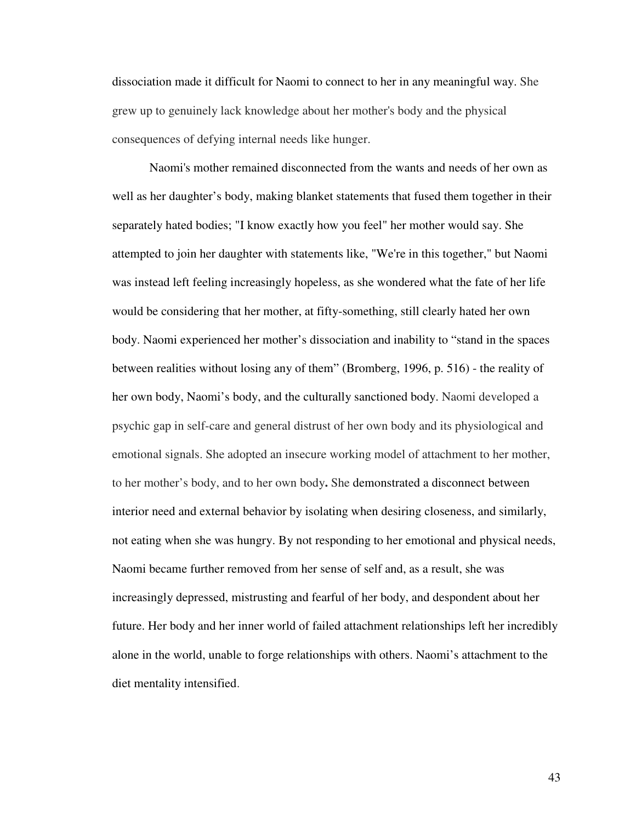dissociation made it difficult for Naomi to connect to her in any meaningful way. She grew up to genuinely lack knowledge about her mother's body and the physical consequences of defying internal needs like hunger.

Naomi's mother remained disconnected from the wants and needs of her own as well as her daughter's body, making blanket statements that fused them together in their separately hated bodies; "I know exactly how you feel" her mother would say. She attempted to join her daughter with statements like, "We're in this together," but Naomi was instead left feeling increasingly hopeless, as she wondered what the fate of her life would be considering that her mother, at fifty-something, still clearly hated her own body. Naomi experienced her mother's dissociation and inability to "stand in the spaces between realities without losing any of them" (Bromberg, 1996, p. 516) - the reality of her own body, Naomi's body, and the culturally sanctioned body. Naomi developed a psychic gap in self-care and general distrust of her own body and its physiological and emotional signals. She adopted an insecure working model of attachment to her mother, to her mother's body, and to her own body**.** She demonstrated a disconnect between interior need and external behavior by isolating when desiring closeness, and similarly, not eating when she was hungry. By not responding to her emotional and physical needs, Naomi became further removed from her sense of self and, as a result, she was increasingly depressed, mistrusting and fearful of her body, and despondent about her future. Her body and her inner world of failed attachment relationships left her incredibly alone in the world, unable to forge relationships with others. Naomi's attachment to the diet mentality intensified.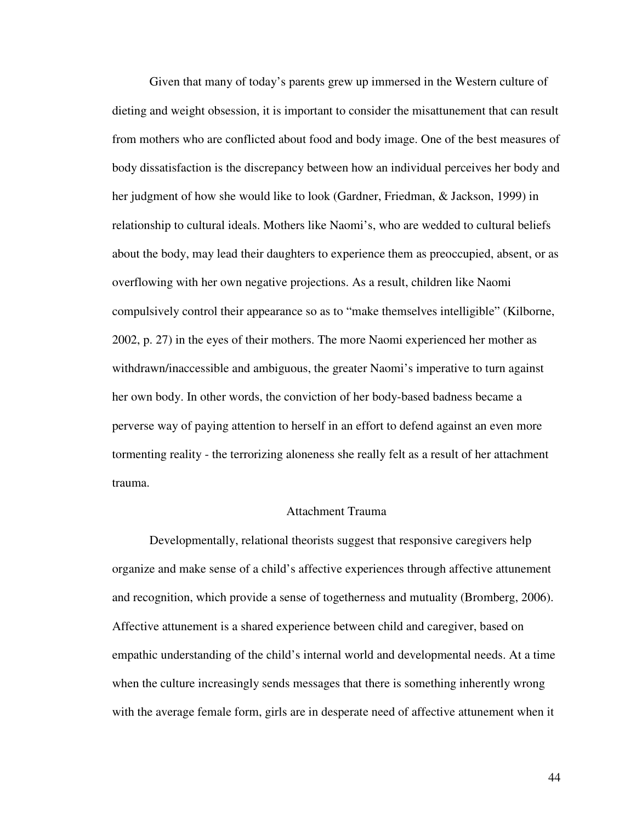Given that many of today's parents grew up immersed in the Western culture of dieting and weight obsession, it is important to consider the misattunement that can result from mothers who are conflicted about food and body image. One of the best measures of body dissatisfaction is the discrepancy between how an individual perceives her body and her judgment of how she would like to look (Gardner, Friedman, & Jackson, 1999) in relationship to cultural ideals. Mothers like Naomi's, who are wedded to cultural beliefs about the body, may lead their daughters to experience them as preoccupied, absent, or as overflowing with her own negative projections. As a result, children like Naomi compulsively control their appearance so as to "make themselves intelligible" (Kilborne, 2002, p. 27) in the eyes of their mothers. The more Naomi experienced her mother as withdrawn/inaccessible and ambiguous, the greater Naomi's imperative to turn against her own body. In other words, the conviction of her body-based badness became a perverse way of paying attention to herself in an effort to defend against an even more tormenting reality - the terrorizing aloneness she really felt as a result of her attachment trauma.

# Attachment Trauma

Developmentally, relational theorists suggest that responsive caregivers help organize and make sense of a child's affective experiences through affective attunement and recognition, which provide a sense of togetherness and mutuality (Bromberg, 2006). Affective attunement is a shared experience between child and caregiver, based on empathic understanding of the child's internal world and developmental needs. At a time when the culture increasingly sends messages that there is something inherently wrong with the average female form, girls are in desperate need of affective attunement when it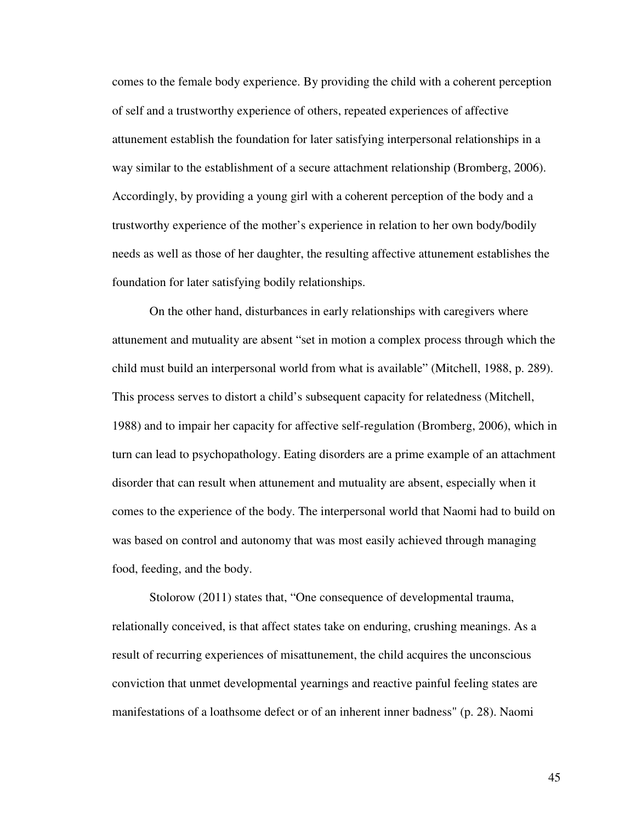comes to the female body experience. By providing the child with a coherent perception of self and a trustworthy experience of others, repeated experiences of affective attunement establish the foundation for later satisfying interpersonal relationships in a way similar to the establishment of a secure attachment relationship (Bromberg, 2006). Accordingly, by providing a young girl with a coherent perception of the body and a trustworthy experience of the mother's experience in relation to her own body/bodily needs as well as those of her daughter, the resulting affective attunement establishes the foundation for later satisfying bodily relationships.

On the other hand, disturbances in early relationships with caregivers where attunement and mutuality are absent "set in motion a complex process through which the child must build an interpersonal world from what is available" (Mitchell, 1988, p. 289). This process serves to distort a child's subsequent capacity for relatedness (Mitchell, 1988) and to impair her capacity for affective self-regulation (Bromberg, 2006), which in turn can lead to psychopathology. Eating disorders are a prime example of an attachment disorder that can result when attunement and mutuality are absent, especially when it comes to the experience of the body. The interpersonal world that Naomi had to build on was based on control and autonomy that was most easily achieved through managing food, feeding, and the body.

Stolorow (2011) states that, "One consequence of developmental trauma, relationally conceived, is that affect states take on enduring, crushing meanings. As a result of recurring experiences of misattunement, the child acquires the unconscious conviction that unmet developmental yearnings and reactive painful feeling states are manifestations of a loathsome defect or of an inherent inner badness" (p. 28). Naomi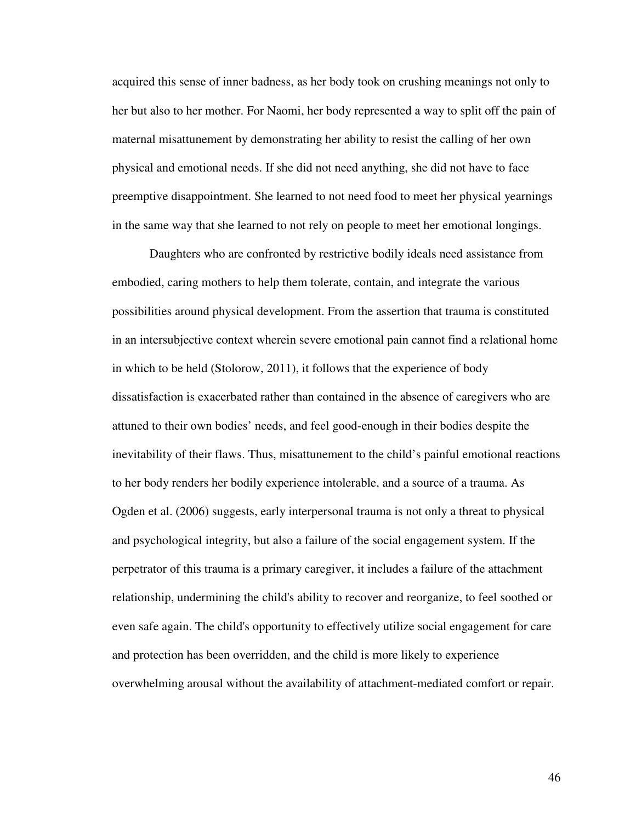acquired this sense of inner badness, as her body took on crushing meanings not only to her but also to her mother. For Naomi, her body represented a way to split off the pain of maternal misattunement by demonstrating her ability to resist the calling of her own physical and emotional needs. If she did not need anything, she did not have to face preemptive disappointment. She learned to not need food to meet her physical yearnings in the same way that she learned to not rely on people to meet her emotional longings.

Daughters who are confronted by restrictive bodily ideals need assistance from embodied, caring mothers to help them tolerate, contain, and integrate the various possibilities around physical development. From the assertion that trauma is constituted in an intersubjective context wherein severe emotional pain cannot find a relational home in which to be held (Stolorow, 2011), it follows that the experience of body dissatisfaction is exacerbated rather than contained in the absence of caregivers who are attuned to their own bodies' needs, and feel good-enough in their bodies despite the inevitability of their flaws. Thus, misattunement to the child's painful emotional reactions to her body renders her bodily experience intolerable, and a source of a trauma. As Ogden et al. (2006) suggests, early interpersonal trauma is not only a threat to physical and psychological integrity, but also a failure of the social engagement system. If the perpetrator of this trauma is a primary caregiver, it includes a failure of the attachment relationship, undermining the child's ability to recover and reorganize, to feel soothed or even safe again. The child's opportunity to effectively utilize social engagement for care and protection has been overridden, and the child is more likely to experience overwhelming arousal without the availability of attachment-mediated comfort or repair.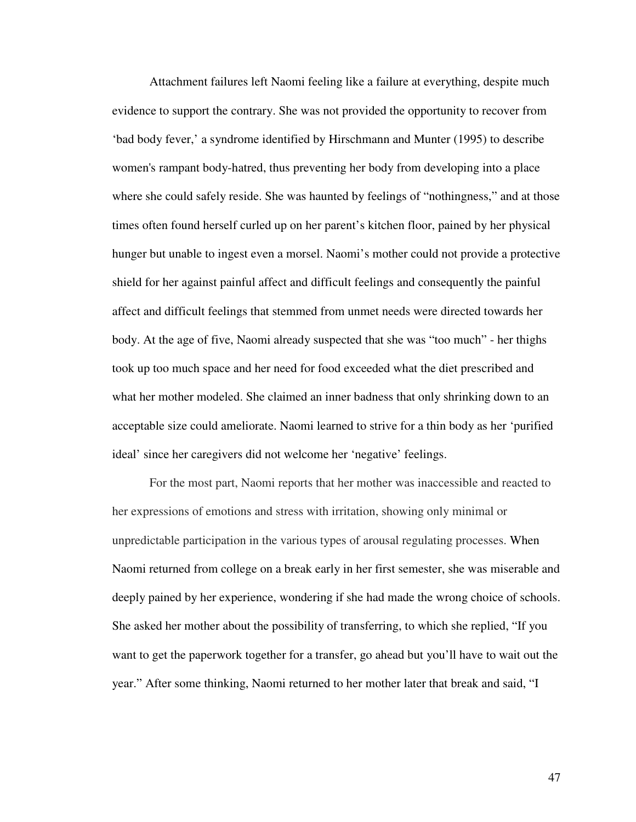Attachment failures left Naomi feeling like a failure at everything, despite much evidence to support the contrary. She was not provided the opportunity to recover from 'bad body fever,' a syndrome identified by Hirschmann and Munter (1995) to describe women's rampant body-hatred, thus preventing her body from developing into a place where she could safely reside. She was haunted by feelings of "nothingness," and at those times often found herself curled up on her parent's kitchen floor, pained by her physical hunger but unable to ingest even a morsel. Naomi's mother could not provide a protective shield for her against painful affect and difficult feelings and consequently the painful affect and difficult feelings that stemmed from unmet needs were directed towards her body. At the age of five, Naomi already suspected that she was "too much" - her thighs took up too much space and her need for food exceeded what the diet prescribed and what her mother modeled. She claimed an inner badness that only shrinking down to an acceptable size could ameliorate. Naomi learned to strive for a thin body as her 'purified ideal' since her caregivers did not welcome her 'negative' feelings.

For the most part, Naomi reports that her mother was inaccessible and reacted to her expressions of emotions and stress with irritation, showing only minimal or unpredictable participation in the various types of arousal regulating processes. When Naomi returned from college on a break early in her first semester, she was miserable and deeply pained by her experience, wondering if she had made the wrong choice of schools. She asked her mother about the possibility of transferring, to which she replied, "If you want to get the paperwork together for a transfer, go ahead but you'll have to wait out the year." After some thinking, Naomi returned to her mother later that break and said, "I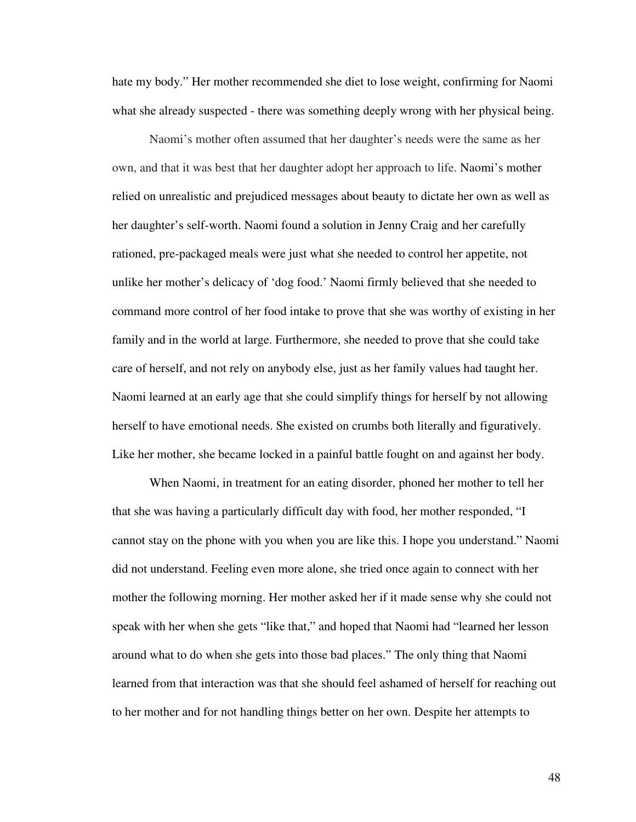hate my body." Her mother recommended she diet to lose weight, confirming for Naomi what she already suspected - there was something deeply wrong with her physical being.

Naomi's mother often assumed that her daughter's needs were the same as her own, and that it was best that her daughter adopt her approach to life. Naomi's mother relied on unrealistic and prejudiced messages about beauty to dictate her own as well as her daughter's self-worth. Naomi found a solution in Jenny Craig and her carefully rationed, pre-packaged meals were just what she needed to control her appetite, not unlike her mother's delicacy of 'dog food.' Naomi firmly believed that she needed to command more control of her food intake to prove that she was worthy of existing in her family and in the world at large. Furthermore, she needed to prove that she could take care of herself, and not rely on anybody else, just as her family values had taught her. Naomi learned at an early age that she could simplify things for herself by not allowing herself to have emotional needs. She existed on crumbs both literally and figuratively. Like her mother, she became locked in a painful battle fought on and against her body.

When Naomi, in treatment for an eating disorder, phoned her mother to tell her that she was having a particularly difficult day with food, her mother responded, "I cannot stay on the phone with you when you are like this. I hope you understand." Naomi did not understand. Feeling even more alone, she tried once again to connect with her mother the following morning. Her mother asked her if it made sense why she could not speak with her when she gets "like that," and hoped that Naomi had "learned her lesson around what to do when she gets into those bad places." The only thing that Naomi learned from that interaction was that she should feel ashamed of herself for reaching out to her mother and for not handling things better on her own. Despite her attempts to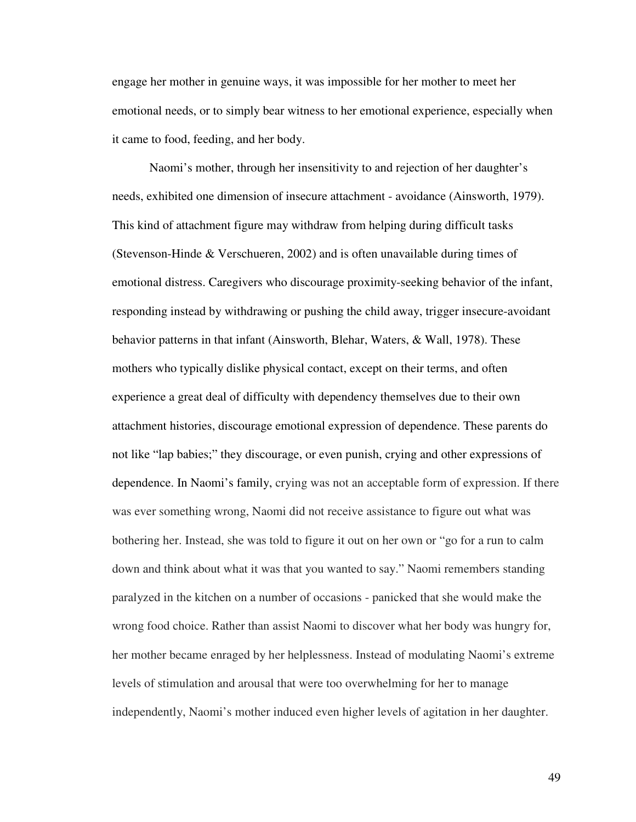engage her mother in genuine ways, it was impossible for her mother to meet her emotional needs, or to simply bear witness to her emotional experience, especially when it came to food, feeding, and her body.

Naomi's mother, through her insensitivity to and rejection of her daughter's needs, exhibited one dimension of insecure attachment - avoidance (Ainsworth, 1979). This kind of attachment figure may withdraw from helping during difficult tasks (Stevenson-Hinde & Verschueren, 2002) and is often unavailable during times of emotional distress. Caregivers who discourage proximity-seeking behavior of the infant, responding instead by withdrawing or pushing the child away, trigger insecure-avoidant behavior patterns in that infant (Ainsworth, Blehar, Waters, & Wall, 1978). These mothers who typically dislike physical contact, except on their terms, and often experience a great deal of difficulty with dependency themselves due to their own attachment histories, discourage emotional expression of dependence. These parents do not like "lap babies;" they discourage, or even punish, crying and other expressions of dependence. In Naomi's family, crying was not an acceptable form of expression. If there was ever something wrong, Naomi did not receive assistance to figure out what was bothering her. Instead, she was told to figure it out on her own or "go for a run to calm down and think about what it was that you wanted to say." Naomi remembers standing paralyzed in the kitchen on a number of occasions - panicked that she would make the wrong food choice. Rather than assist Naomi to discover what her body was hungry for, her mother became enraged by her helplessness. Instead of modulating Naomi's extreme levels of stimulation and arousal that were too overwhelming for her to manage independently, Naomi's mother induced even higher levels of agitation in her daughter.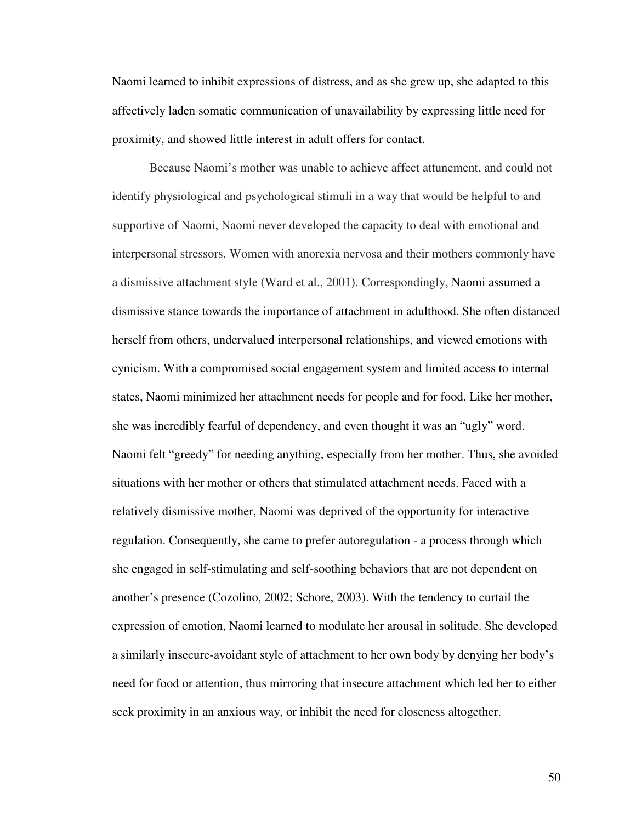Naomi learned to inhibit expressions of distress, and as she grew up, she adapted to this affectively laden somatic communication of unavailability by expressing little need for proximity, and showed little interest in adult offers for contact.

Because Naomi's mother was unable to achieve affect attunement, and could not identify physiological and psychological stimuli in a way that would be helpful to and supportive of Naomi, Naomi never developed the capacity to deal with emotional and interpersonal stressors. Women with anorexia nervosa and their mothers commonly have a dismissive attachment style (Ward et al., 2001). Correspondingly, Naomi assumed a dismissive stance towards the importance of attachment in adulthood. She often distanced herself from others, undervalued interpersonal relationships, and viewed emotions with cynicism. With a compromised social engagement system and limited access to internal states, Naomi minimized her attachment needs for people and for food. Like her mother, she was incredibly fearful of dependency, and even thought it was an "ugly" word. Naomi felt "greedy" for needing anything, especially from her mother. Thus, she avoided situations with her mother or others that stimulated attachment needs. Faced with a relatively dismissive mother, Naomi was deprived of the opportunity for interactive regulation. Consequently, she came to prefer autoregulation - a process through which she engaged in self-stimulating and self-soothing behaviors that are not dependent on another's presence (Cozolino, 2002; Schore, 2003). With the tendency to curtail the expression of emotion, Naomi learned to modulate her arousal in solitude. She developed a similarly insecure-avoidant style of attachment to her own body by denying her body's need for food or attention, thus mirroring that insecure attachment which led her to either seek proximity in an anxious way, or inhibit the need for closeness altogether.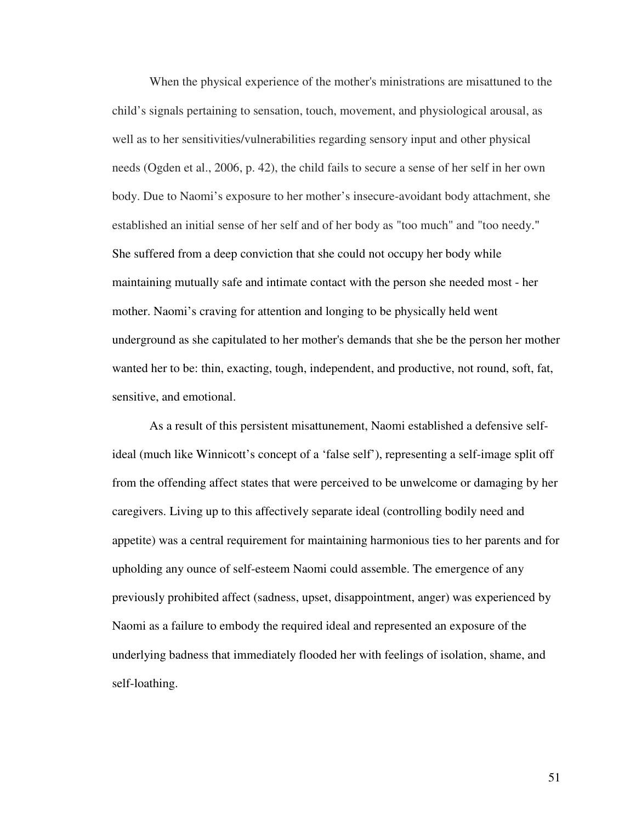When the physical experience of the mother's ministrations are misattuned to the child's signals pertaining to sensation, touch, movement, and physiological arousal, as well as to her sensitivities/vulnerabilities regarding sensory input and other physical needs (Ogden et al., 2006, p. 42), the child fails to secure a sense of her self in her own body. Due to Naomi's exposure to her mother's insecure-avoidant body attachment, she established an initial sense of her self and of her body as "too much" and "too needy." She suffered from a deep conviction that she could not occupy her body while maintaining mutually safe and intimate contact with the person she needed most - her mother. Naomi's craving for attention and longing to be physically held went underground as she capitulated to her mother's demands that she be the person her mother wanted her to be: thin, exacting, tough, independent, and productive, not round, soft, fat, sensitive, and emotional.

As a result of this persistent misattunement, Naomi established a defensive selfideal (much like Winnicott's concept of a 'false self'), representing a self-image split off from the offending affect states that were perceived to be unwelcome or damaging by her caregivers. Living up to this affectively separate ideal (controlling bodily need and appetite) was a central requirement for maintaining harmonious ties to her parents and for upholding any ounce of self-esteem Naomi could assemble. The emergence of any previously prohibited affect (sadness, upset, disappointment, anger) was experienced by Naomi as a failure to embody the required ideal and represented an exposure of the underlying badness that immediately flooded her with feelings of isolation, shame, and self-loathing.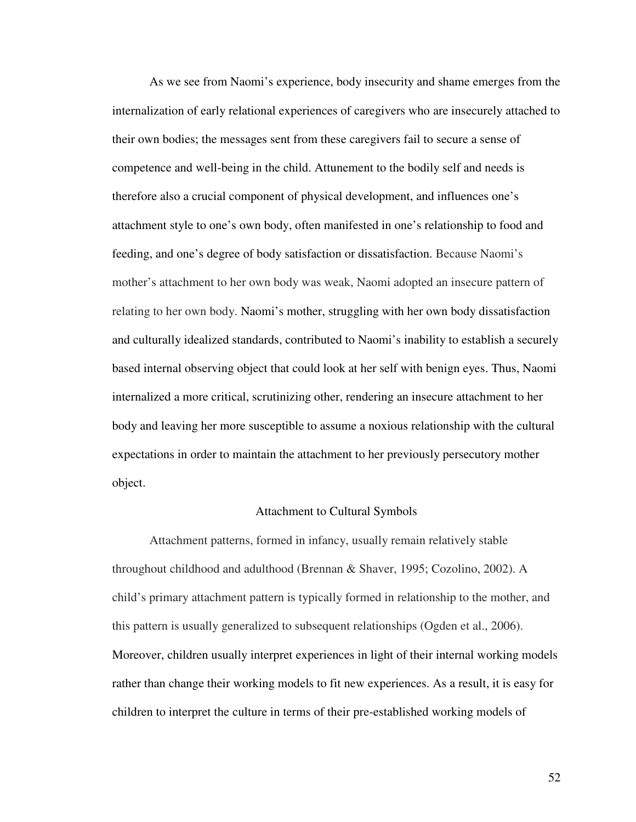As we see from Naomi's experience, body insecurity and shame emerges from the internalization of early relational experiences of caregivers who are insecurely attached to their own bodies; the messages sent from these caregivers fail to secure a sense of competence and well-being in the child. Attunement to the bodily self and needs is therefore also a crucial component of physical development, and influences one's attachment style to one's own body, often manifested in one's relationship to food and feeding, and one's degree of body satisfaction or dissatisfaction. Because Naomi's mother's attachment to her own body was weak, Naomi adopted an insecure pattern of relating to her own body. Naomi's mother, struggling with her own body dissatisfaction and culturally idealized standards, contributed to Naomi's inability to establish a securely based internal observing object that could look at her self with benign eyes. Thus, Naomi internalized a more critical, scrutinizing other, rendering an insecure attachment to her body and leaving her more susceptible to assume a noxious relationship with the cultural expectations in order to maintain the attachment to her previously persecutory mother object.

#### Attachment to Cultural Symbols

Attachment patterns, formed in infancy, usually remain relatively stable throughout childhood and adulthood (Brennan & Shaver, 1995; Cozolino, 2002). A child's primary attachment pattern is typically formed in relationship to the mother, and this pattern is usually generalized to subsequent relationships (Ogden et al., 2006). Moreover, children usually interpret experiences in light of their internal working models rather than change their working models to fit new experiences. As a result, it is easy for children to interpret the culture in terms of their pre-established working models of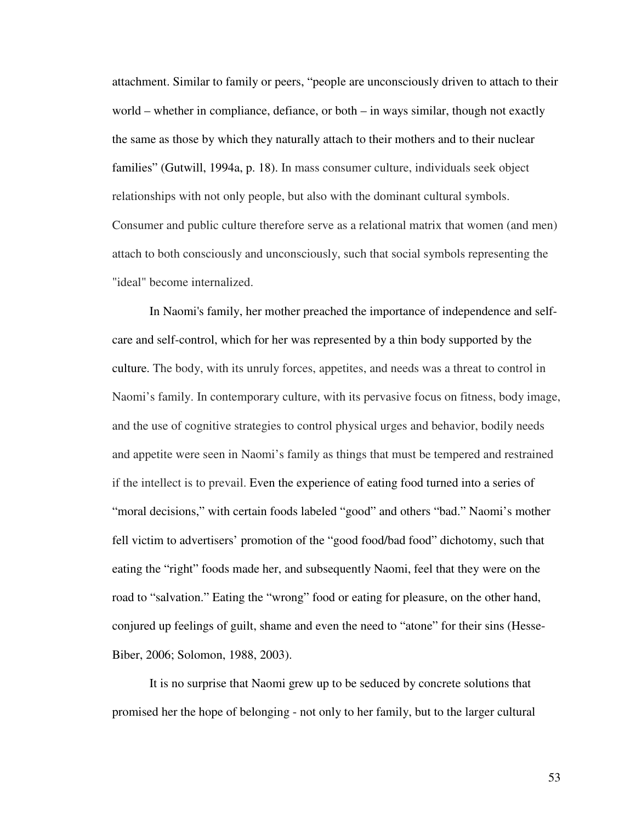attachment. Similar to family or peers, "people are unconsciously driven to attach to their world – whether in compliance, defiance, or both – in ways similar, though not exactly the same as those by which they naturally attach to their mothers and to their nuclear families" (Gutwill, 1994a, p. 18). In mass consumer culture, individuals seek object relationships with not only people, but also with the dominant cultural symbols. Consumer and public culture therefore serve as a relational matrix that women (and men) attach to both consciously and unconsciously, such that social symbols representing the "ideal" become internalized.

In Naomi's family, her mother preached the importance of independence and selfcare and self-control, which for her was represented by a thin body supported by the culture. The body, with its unruly forces, appetites, and needs was a threat to control in Naomi's family. In contemporary culture, with its pervasive focus on fitness, body image, and the use of cognitive strategies to control physical urges and behavior, bodily needs and appetite were seen in Naomi's family as things that must be tempered and restrained if the intellect is to prevail. Even the experience of eating food turned into a series of "moral decisions," with certain foods labeled "good" and others "bad." Naomi's mother fell victim to advertisers' promotion of the "good food/bad food" dichotomy, such that eating the "right" foods made her, and subsequently Naomi, feel that they were on the road to "salvation." Eating the "wrong" food or eating for pleasure, on the other hand, conjured up feelings of guilt, shame and even the need to "atone" for their sins (Hesse-Biber, 2006; Solomon, 1988, 2003).

It is no surprise that Naomi grew up to be seduced by concrete solutions that promised her the hope of belonging - not only to her family, but to the larger cultural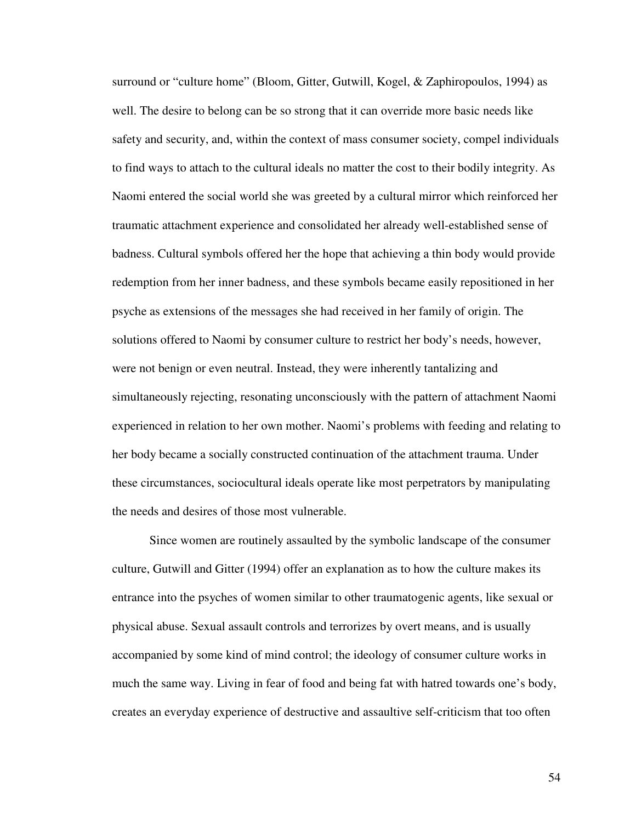surround or "culture home" (Bloom, Gitter, Gutwill, Kogel, & Zaphiropoulos, 1994) as well. The desire to belong can be so strong that it can override more basic needs like safety and security, and, within the context of mass consumer society, compel individuals to find ways to attach to the cultural ideals no matter the cost to their bodily integrity. As Naomi entered the social world she was greeted by a cultural mirror which reinforced her traumatic attachment experience and consolidated her already well-established sense of badness. Cultural symbols offered her the hope that achieving a thin body would provide redemption from her inner badness, and these symbols became easily repositioned in her psyche as extensions of the messages she had received in her family of origin. The solutions offered to Naomi by consumer culture to restrict her body's needs, however, were not benign or even neutral. Instead, they were inherently tantalizing and simultaneously rejecting, resonating unconsciously with the pattern of attachment Naomi experienced in relation to her own mother. Naomi's problems with feeding and relating to her body became a socially constructed continuation of the attachment trauma. Under these circumstances, sociocultural ideals operate like most perpetrators by manipulating the needs and desires of those most vulnerable.

Since women are routinely assaulted by the symbolic landscape of the consumer culture, Gutwill and Gitter (1994) offer an explanation as to how the culture makes its entrance into the psyches of women similar to other traumatogenic agents, like sexual or physical abuse. Sexual assault controls and terrorizes by overt means, and is usually accompanied by some kind of mind control; the ideology of consumer culture works in much the same way. Living in fear of food and being fat with hatred towards one's body, creates an everyday experience of destructive and assaultive self-criticism that too often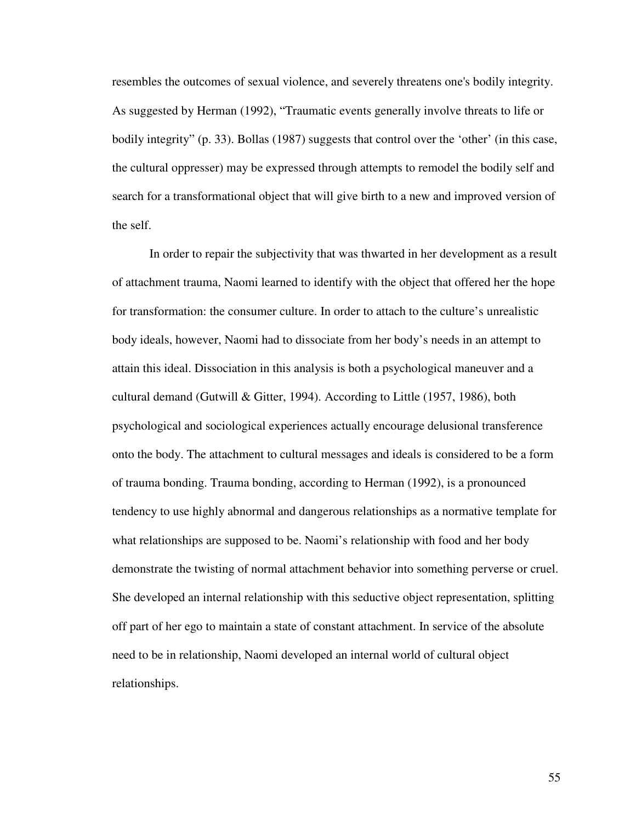resembles the outcomes of sexual violence, and severely threatens one's bodily integrity. As suggested by Herman (1992), "Traumatic events generally involve threats to life or bodily integrity" (p. 33). Bollas (1987) suggests that control over the 'other' (in this case, the cultural oppresser) may be expressed through attempts to remodel the bodily self and search for a transformational object that will give birth to a new and improved version of the self.

In order to repair the subjectivity that was thwarted in her development as a result of attachment trauma, Naomi learned to identify with the object that offered her the hope for transformation: the consumer culture. In order to attach to the culture's unrealistic body ideals, however, Naomi had to dissociate from her body's needs in an attempt to attain this ideal. Dissociation in this analysis is both a psychological maneuver and a cultural demand (Gutwill & Gitter, 1994). According to Little (1957, 1986), both psychological and sociological experiences actually encourage delusional transference onto the body. The attachment to cultural messages and ideals is considered to be a form of trauma bonding. Trauma bonding, according to Herman (1992), is a pronounced tendency to use highly abnormal and dangerous relationships as a normative template for what relationships are supposed to be. Naomi's relationship with food and her body demonstrate the twisting of normal attachment behavior into something perverse or cruel. She developed an internal relationship with this seductive object representation, splitting off part of her ego to maintain a state of constant attachment. In service of the absolute need to be in relationship, Naomi developed an internal world of cultural object relationships.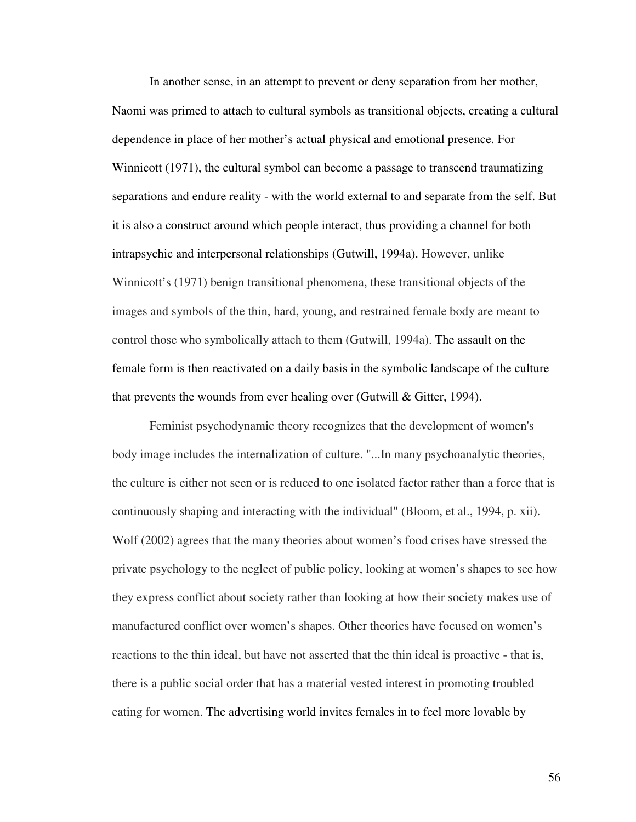In another sense, in an attempt to prevent or deny separation from her mother, Naomi was primed to attach to cultural symbols as transitional objects, creating a cultural dependence in place of her mother's actual physical and emotional presence. For Winnicott (1971), the cultural symbol can become a passage to transcend traumatizing separations and endure reality - with the world external to and separate from the self. But it is also a construct around which people interact, thus providing a channel for both intrapsychic and interpersonal relationships (Gutwill, 1994a). However, unlike Winnicott's (1971) benign transitional phenomena, these transitional objects of the images and symbols of the thin, hard, young, and restrained female body are meant to control those who symbolically attach to them (Gutwill, 1994a). The assault on the female form is then reactivated on a daily basis in the symbolic landscape of the culture that prevents the wounds from ever healing over (Gutwill & Gitter, 1994).

Feminist psychodynamic theory recognizes that the development of women's body image includes the internalization of culture. "...In many psychoanalytic theories, the culture is either not seen or is reduced to one isolated factor rather than a force that is continuously shaping and interacting with the individual" (Bloom, et al., 1994, p. xii). Wolf (2002) agrees that the many theories about women's food crises have stressed the private psychology to the neglect of public policy, looking at women's shapes to see how they express conflict about society rather than looking at how their society makes use of manufactured conflict over women's shapes. Other theories have focused on women's reactions to the thin ideal, but have not asserted that the thin ideal is proactive - that is, there is a public social order that has a material vested interest in promoting troubled eating for women. The advertising world invites females in to feel more lovable by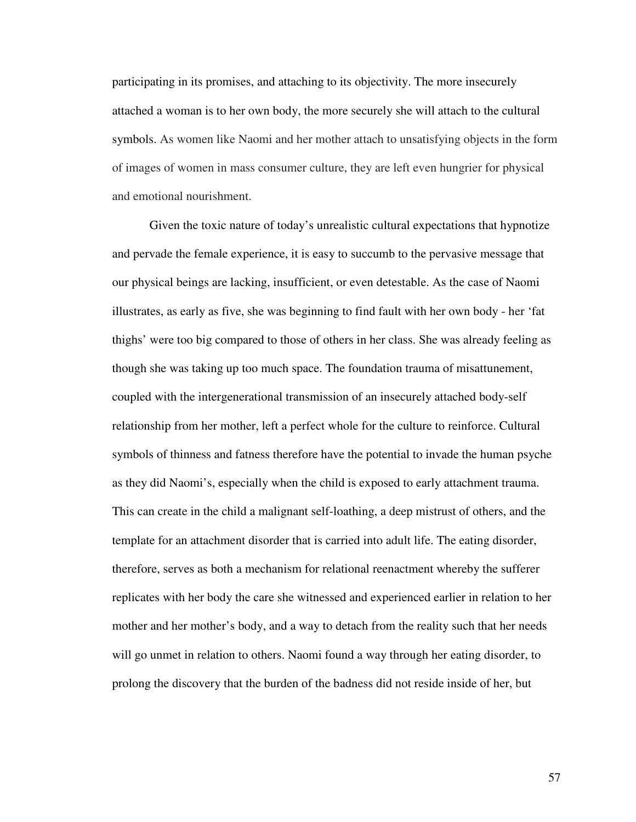participating in its promises, and attaching to its objectivity. The more insecurely attached a woman is to her own body, the more securely she will attach to the cultural symbols. As women like Naomi and her mother attach to unsatisfying objects in the form of images of women in mass consumer culture, they are left even hungrier for physical and emotional nourishment.

Given the toxic nature of today's unrealistic cultural expectations that hypnotize and pervade the female experience, it is easy to succumb to the pervasive message that our physical beings are lacking, insufficient, or even detestable. As the case of Naomi illustrates, as early as five, she was beginning to find fault with her own body - her 'fat thighs' were too big compared to those of others in her class. She was already feeling as though she was taking up too much space. The foundation trauma of misattunement, coupled with the intergenerational transmission of an insecurely attached body-self relationship from her mother, left a perfect whole for the culture to reinforce. Cultural symbols of thinness and fatness therefore have the potential to invade the human psyche as they did Naomi's, especially when the child is exposed to early attachment trauma. This can create in the child a malignant self-loathing, a deep mistrust of others, and the template for an attachment disorder that is carried into adult life. The eating disorder, therefore, serves as both a mechanism for relational reenactment whereby the sufferer replicates with her body the care she witnessed and experienced earlier in relation to her mother and her mother's body, and a way to detach from the reality such that her needs will go unmet in relation to others. Naomi found a way through her eating disorder, to prolong the discovery that the burden of the badness did not reside inside of her, but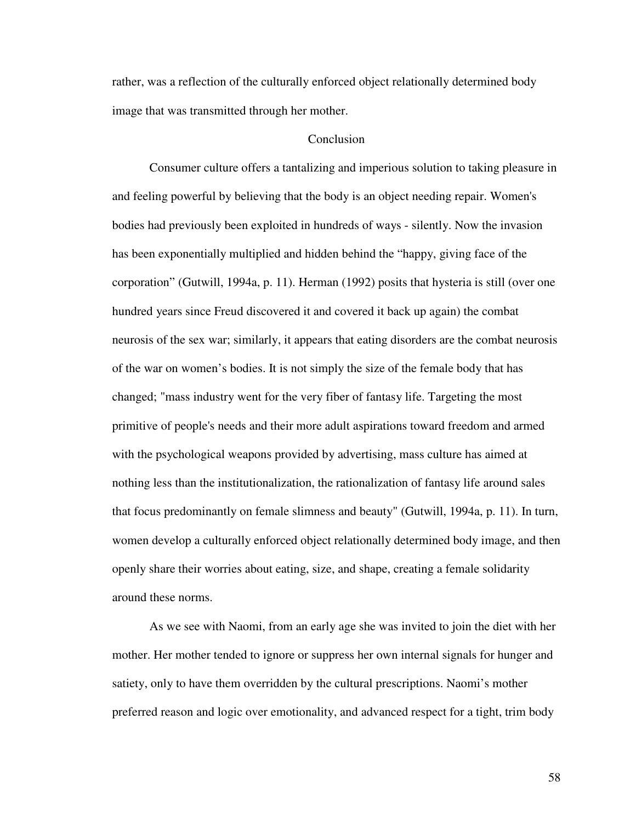rather, was a reflection of the culturally enforced object relationally determined body image that was transmitted through her mother.

## **Conclusion**

Consumer culture offers a tantalizing and imperious solution to taking pleasure in and feeling powerful by believing that the body is an object needing repair. Women's bodies had previously been exploited in hundreds of ways - silently. Now the invasion has been exponentially multiplied and hidden behind the "happy, giving face of the corporation" (Gutwill, 1994a, p. 11). Herman (1992) posits that hysteria is still (over one hundred years since Freud discovered it and covered it back up again) the combat neurosis of the sex war; similarly, it appears that eating disorders are the combat neurosis of the war on women's bodies. It is not simply the size of the female body that has changed; "mass industry went for the very fiber of fantasy life. Targeting the most primitive of people's needs and their more adult aspirations toward freedom and armed with the psychological weapons provided by advertising, mass culture has aimed at nothing less than the institutionalization, the rationalization of fantasy life around sales that focus predominantly on female slimness and beauty" (Gutwill, 1994a, p. 11). In turn, women develop a culturally enforced object relationally determined body image, and then openly share their worries about eating, size, and shape, creating a female solidarity around these norms.

As we see with Naomi, from an early age she was invited to join the diet with her mother. Her mother tended to ignore or suppress her own internal signals for hunger and satiety, only to have them overridden by the cultural prescriptions. Naomi's mother preferred reason and logic over emotionality, and advanced respect for a tight, trim body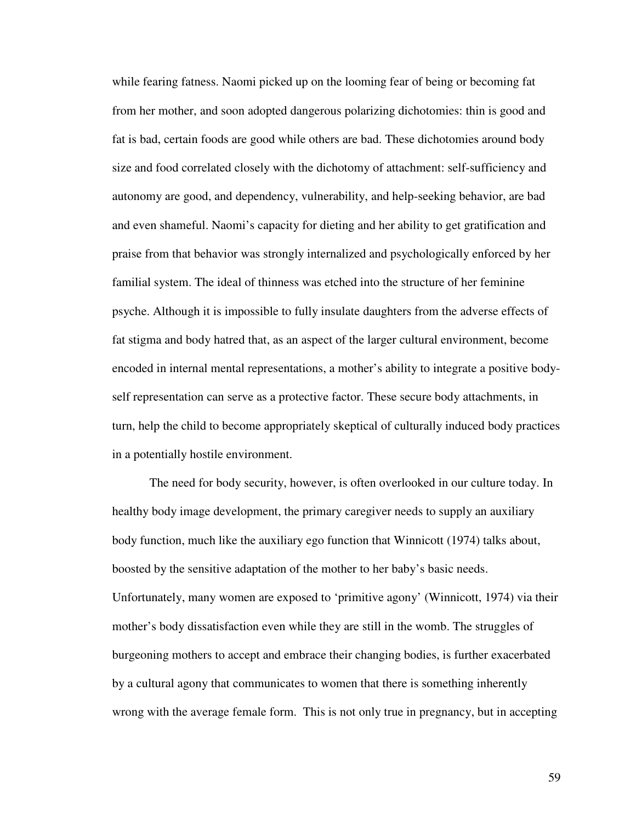while fearing fatness. Naomi picked up on the looming fear of being or becoming fat from her mother, and soon adopted dangerous polarizing dichotomies: thin is good and fat is bad, certain foods are good while others are bad. These dichotomies around body size and food correlated closely with the dichotomy of attachment: self-sufficiency and autonomy are good, and dependency, vulnerability, and help-seeking behavior, are bad and even shameful. Naomi's capacity for dieting and her ability to get gratification and praise from that behavior was strongly internalized and psychologically enforced by her familial system. The ideal of thinness was etched into the structure of her feminine psyche. Although it is impossible to fully insulate daughters from the adverse effects of fat stigma and body hatred that, as an aspect of the larger cultural environment, become encoded in internal mental representations, a mother's ability to integrate a positive bodyself representation can serve as a protective factor. These secure body attachments, in turn, help the child to become appropriately skeptical of culturally induced body practices in a potentially hostile environment.

The need for body security, however, is often overlooked in our culture today. In healthy body image development, the primary caregiver needs to supply an auxiliary body function, much like the auxiliary ego function that Winnicott (1974) talks about, boosted by the sensitive adaptation of the mother to her baby's basic needs. Unfortunately, many women are exposed to 'primitive agony' (Winnicott, 1974) via their mother's body dissatisfaction even while they are still in the womb. The struggles of burgeoning mothers to accept and embrace their changing bodies, is further exacerbated by a cultural agony that communicates to women that there is something inherently wrong with the average female form. This is not only true in pregnancy, but in accepting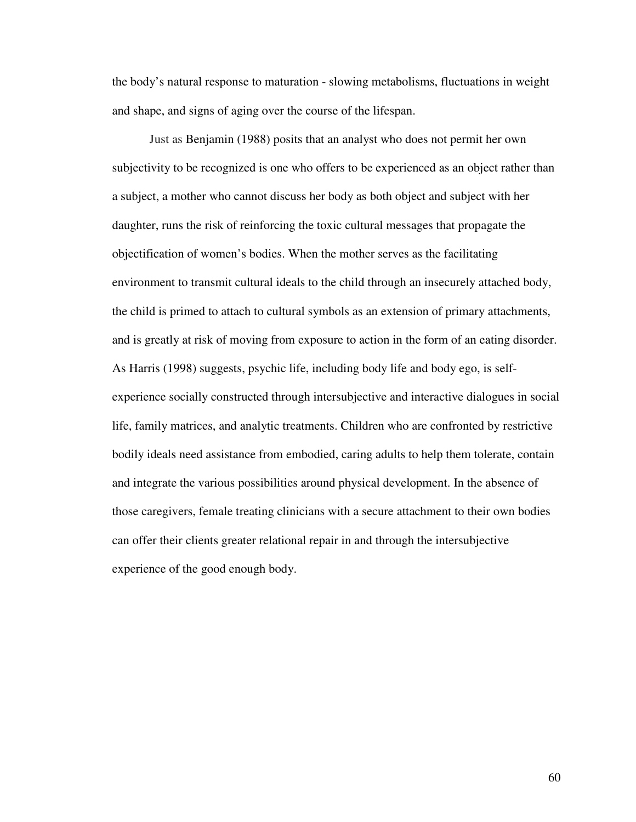the body's natural response to maturation - slowing metabolisms, fluctuations in weight and shape, and signs of aging over the course of the lifespan.

Just as Benjamin (1988) posits that an analyst who does not permit her own subjectivity to be recognized is one who offers to be experienced as an object rather than a subject, a mother who cannot discuss her body as both object and subject with her daughter, runs the risk of reinforcing the toxic cultural messages that propagate the objectification of women's bodies. When the mother serves as the facilitating environment to transmit cultural ideals to the child through an insecurely attached body, the child is primed to attach to cultural symbols as an extension of primary attachments, and is greatly at risk of moving from exposure to action in the form of an eating disorder. As Harris (1998) suggests, psychic life, including body life and body ego, is selfexperience socially constructed through intersubjective and interactive dialogues in social life, family matrices, and analytic treatments. Children who are confronted by restrictive bodily ideals need assistance from embodied, caring adults to help them tolerate, contain and integrate the various possibilities around physical development. In the absence of those caregivers, female treating clinicians with a secure attachment to their own bodies can offer their clients greater relational repair in and through the intersubjective experience of the good enough body.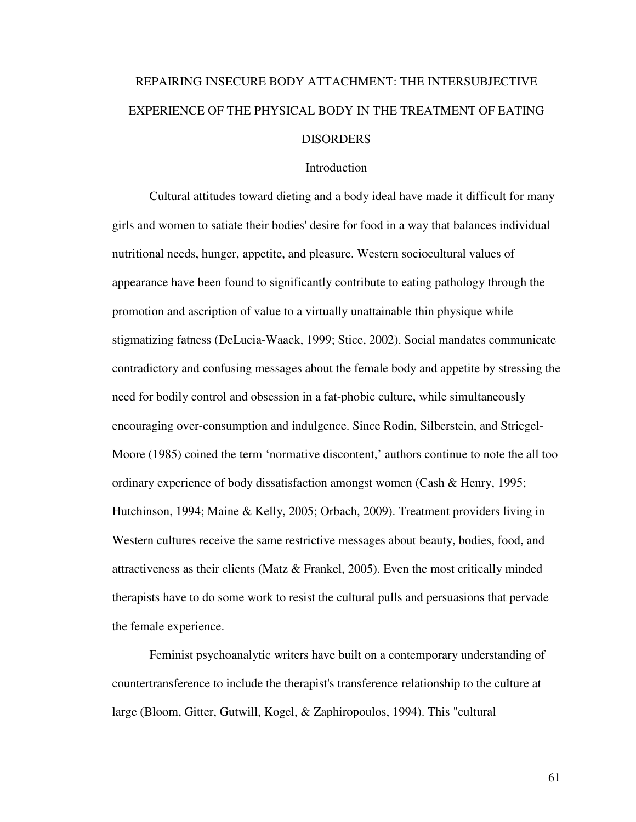# REPAIRING INSECURE BODY ATTACHMENT: THE INTERSUBJECTIVE EXPERIENCE OF THE PHYSICAL BODY IN THE TREATMENT OF EATING **DISORDERS**

### **Introduction**

 Cultural attitudes toward dieting and a body ideal have made it difficult for many girls and women to satiate their bodies' desire for food in a way that balances individual nutritional needs, hunger, appetite, and pleasure. Western sociocultural values of appearance have been found to significantly contribute to eating pathology through the promotion and ascription of value to a virtually unattainable thin physique while stigmatizing fatness (DeLucia-Waack, 1999; Stice, 2002). Social mandates communicate contradictory and confusing messages about the female body and appetite by stressing the need for bodily control and obsession in a fat-phobic culture, while simultaneously encouraging over-consumption and indulgence. Since Rodin, Silberstein, and Striegel-Moore (1985) coined the term 'normative discontent,' authors continue to note the all too ordinary experience of body dissatisfaction amongst women (Cash & Henry, 1995; Hutchinson, 1994; Maine & Kelly, 2005; Orbach, 2009). Treatment providers living in Western cultures receive the same restrictive messages about beauty, bodies, food, and attractiveness as their clients (Matz & Frankel, 2005). Even the most critically minded therapists have to do some work to resist the cultural pulls and persuasions that pervade the female experience.

Feminist psychoanalytic writers have built on a contemporary understanding of countertransference to include the therapist's transference relationship to the culture at large (Bloom, Gitter, Gutwill, Kogel, & Zaphiropoulos, 1994). This "cultural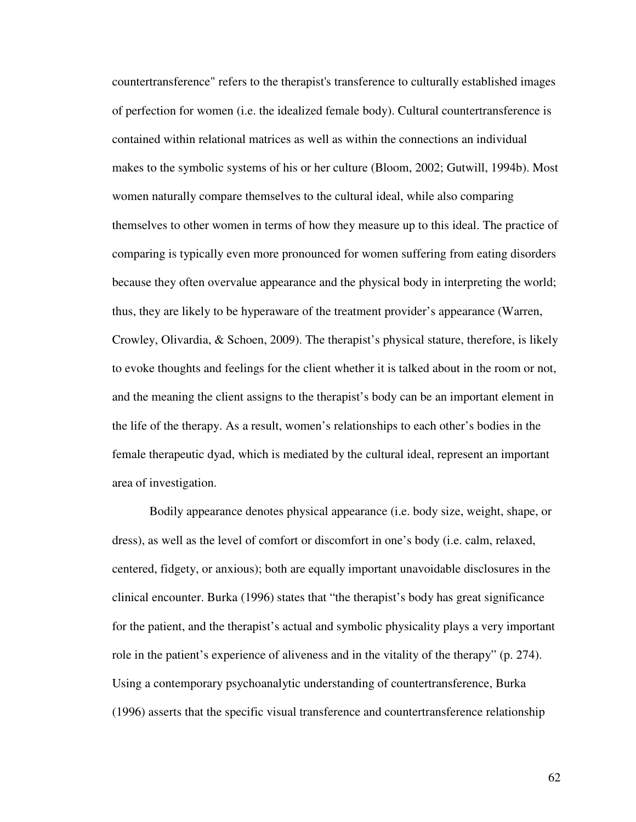countertransference" refers to the therapist's transference to culturally established images of perfection for women (i.e. the idealized female body). Cultural countertransference is contained within relational matrices as well as within the connections an individual makes to the symbolic systems of his or her culture (Bloom, 2002; Gutwill, 1994b). Most women naturally compare themselves to the cultural ideal, while also comparing themselves to other women in terms of how they measure up to this ideal. The practice of comparing is typically even more pronounced for women suffering from eating disorders because they often overvalue appearance and the physical body in interpreting the world; thus, they are likely to be hyperaware of the treatment provider's appearance (Warren, Crowley, Olivardia, & Schoen, 2009). The therapist's physical stature, therefore, is likely to evoke thoughts and feelings for the client whether it is talked about in the room or not, and the meaning the client assigns to the therapist's body can be an important element in the life of the therapy. As a result, women's relationships to each other's bodies in the female therapeutic dyad, which is mediated by the cultural ideal, represent an important area of investigation.

Bodily appearance denotes physical appearance (i.e. body size, weight, shape, or dress), as well as the level of comfort or discomfort in one's body (i.e. calm, relaxed, centered, fidgety, or anxious); both are equally important unavoidable disclosures in the clinical encounter. Burka (1996) states that "the therapist's body has great significance for the patient, and the therapist's actual and symbolic physicality plays a very important role in the patient's experience of aliveness and in the vitality of the therapy" (p. 274). Using a contemporary psychoanalytic understanding of countertransference, Burka (1996) asserts that the specific visual transference and countertransference relationship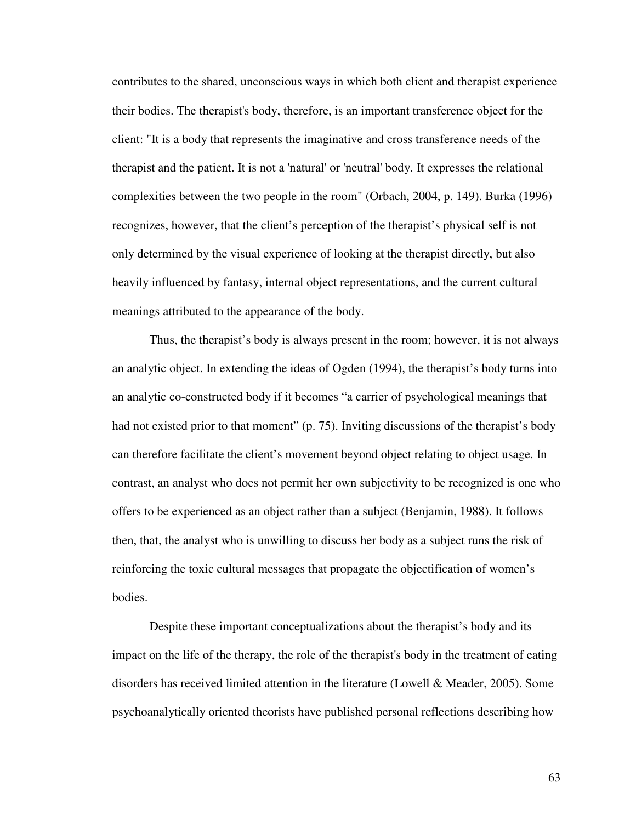contributes to the shared, unconscious ways in which both client and therapist experience their bodies. The therapist's body, therefore, is an important transference object for the client: "It is a body that represents the imaginative and cross transference needs of the therapist and the patient. It is not a 'natural' or 'neutral' body. It expresses the relational complexities between the two people in the room" (Orbach, 2004, p. 149). Burka (1996) recognizes, however, that the client's perception of the therapist's physical self is not only determined by the visual experience of looking at the therapist directly, but also heavily influenced by fantasy, internal object representations, and the current cultural meanings attributed to the appearance of the body.

Thus, the therapist's body is always present in the room; however, it is not always an analytic object. In extending the ideas of Ogden (1994), the therapist's body turns into an analytic co-constructed body if it becomes "a carrier of psychological meanings that had not existed prior to that moment" (p. 75). Inviting discussions of the therapist's body can therefore facilitate the client's movement beyond object relating to object usage. In contrast, an analyst who does not permit her own subjectivity to be recognized is one who offers to be experienced as an object rather than a subject (Benjamin, 1988). It follows then, that, the analyst who is unwilling to discuss her body as a subject runs the risk of reinforcing the toxic cultural messages that propagate the objectification of women's bodies.

Despite these important conceptualizations about the therapist's body and its impact on the life of the therapy, the role of the therapist's body in the treatment of eating disorders has received limited attention in the literature (Lowell & Meader, 2005). Some psychoanalytically oriented theorists have published personal reflections describing how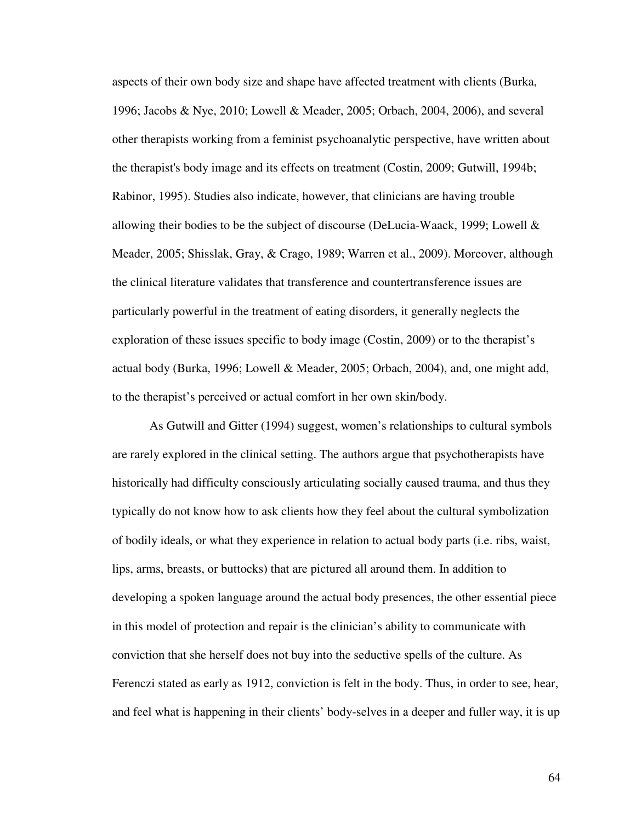aspects of their own body size and shape have affected treatment with clients (Burka, 1996; Jacobs & Nye, 2010; Lowell & Meader, 2005; Orbach, 2004, 2006), and several other therapists working from a feminist psychoanalytic perspective, have written about the therapist's body image and its effects on treatment (Costin, 2009; Gutwill, 1994b; Rabinor, 1995). Studies also indicate, however, that clinicians are having trouble allowing their bodies to be the subject of discourse (DeLucia-Waack, 1999; Lowell & Meader, 2005; Shisslak, Gray, & Crago, 1989; Warren et al., 2009). Moreover, although the clinical literature validates that transference and countertransference issues are particularly powerful in the treatment of eating disorders, it generally neglects the exploration of these issues specific to body image (Costin, 2009) or to the therapist's actual body (Burka, 1996; Lowell & Meader, 2005; Orbach, 2004), and, one might add, to the therapist's perceived or actual comfort in her own skin/body.

As Gutwill and Gitter (1994) suggest, women's relationships to cultural symbols are rarely explored in the clinical setting. The authors argue that psychotherapists have historically had difficulty consciously articulating socially caused trauma, and thus they typically do not know how to ask clients how they feel about the cultural symbolization of bodily ideals, or what they experience in relation to actual body parts (i.e. ribs, waist, lips, arms, breasts, or buttocks) that are pictured all around them. In addition to developing a spoken language around the actual body presences, the other essential piece in this model of protection and repair is the clinician's ability to communicate with conviction that she herself does not buy into the seductive spells of the culture. As Ferenczi stated as early as 1912, conviction is felt in the body. Thus, in order to see, hear, and feel what is happening in their clients' body-selves in a deeper and fuller way, it is up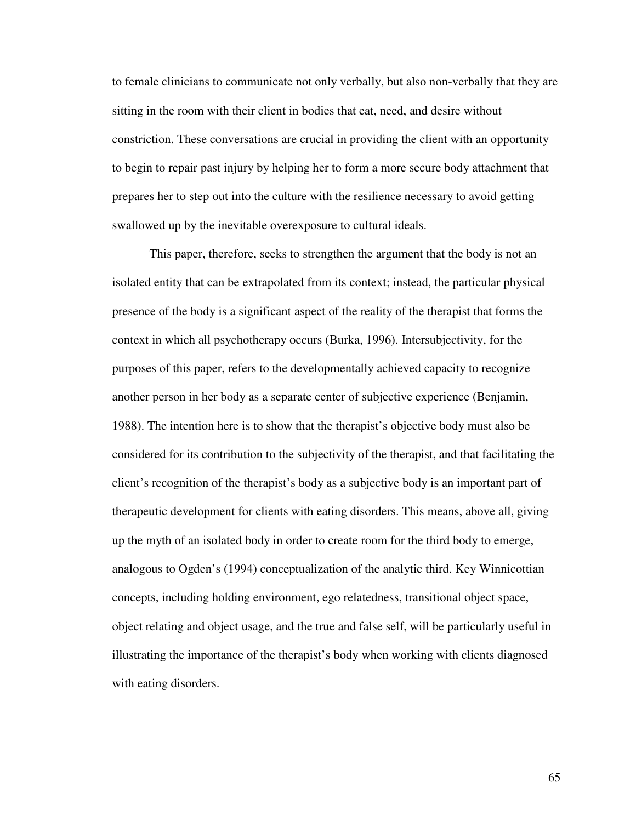to female clinicians to communicate not only verbally, but also non-verbally that they are sitting in the room with their client in bodies that eat, need, and desire without constriction. These conversations are crucial in providing the client with an opportunity to begin to repair past injury by helping her to form a more secure body attachment that prepares her to step out into the culture with the resilience necessary to avoid getting swallowed up by the inevitable overexposure to cultural ideals.

This paper, therefore, seeks to strengthen the argument that the body is not an isolated entity that can be extrapolated from its context; instead, the particular physical presence of the body is a significant aspect of the reality of the therapist that forms the context in which all psychotherapy occurs (Burka, 1996). Intersubjectivity, for the purposes of this paper, refers to the developmentally achieved capacity to recognize another person in her body as a separate center of subjective experience (Benjamin, 1988). The intention here is to show that the therapist's objective body must also be considered for its contribution to the subjectivity of the therapist, and that facilitating the client's recognition of the therapist's body as a subjective body is an important part of therapeutic development for clients with eating disorders. This means, above all, giving up the myth of an isolated body in order to create room for the third body to emerge, analogous to Ogden's (1994) conceptualization of the analytic third. Key Winnicottian concepts, including holding environment, ego relatedness, transitional object space, object relating and object usage, and the true and false self, will be particularly useful in illustrating the importance of the therapist's body when working with clients diagnosed with eating disorders.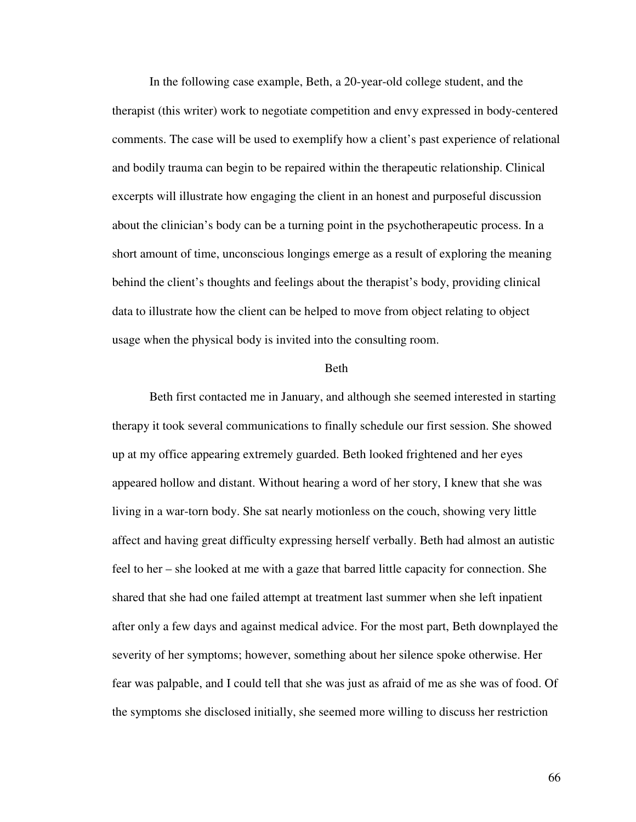In the following case example, Beth, a 20-year-old college student, and the therapist (this writer) work to negotiate competition and envy expressed in body-centered comments. The case will be used to exemplify how a client's past experience of relational and bodily trauma can begin to be repaired within the therapeutic relationship. Clinical excerpts will illustrate how engaging the client in an honest and purposeful discussion about the clinician's body can be a turning point in the psychotherapeutic process. In a short amount of time, unconscious longings emerge as a result of exploring the meaning behind the client's thoughts and feelings about the therapist's body, providing clinical data to illustrate how the client can be helped to move from object relating to object usage when the physical body is invited into the consulting room.

## **Beth**

 Beth first contacted me in January, and although she seemed interested in starting therapy it took several communications to finally schedule our first session. She showed up at my office appearing extremely guarded. Beth looked frightened and her eyes appeared hollow and distant. Without hearing a word of her story, I knew that she was living in a war-torn body. She sat nearly motionless on the couch, showing very little affect and having great difficulty expressing herself verbally. Beth had almost an autistic feel to her – she looked at me with a gaze that barred little capacity for connection. She shared that she had one failed attempt at treatment last summer when she left inpatient after only a few days and against medical advice. For the most part, Beth downplayed the severity of her symptoms; however, something about her silence spoke otherwise. Her fear was palpable, and I could tell that she was just as afraid of me as she was of food. Of the symptoms she disclosed initially, she seemed more willing to discuss her restriction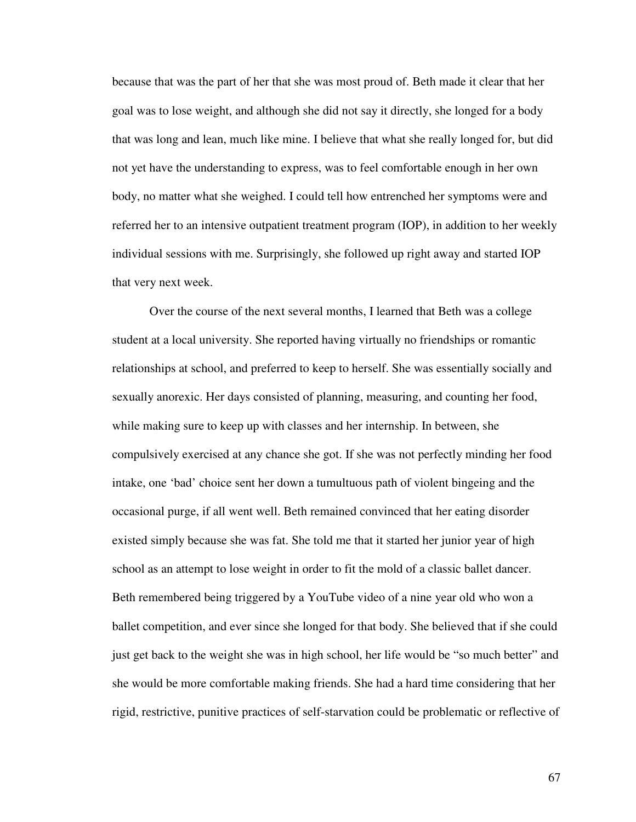because that was the part of her that she was most proud of. Beth made it clear that her goal was to lose weight, and although she did not say it directly, she longed for a body that was long and lean, much like mine. I believe that what she really longed for, but did not yet have the understanding to express, was to feel comfortable enough in her own body, no matter what she weighed. I could tell how entrenched her symptoms were and referred her to an intensive outpatient treatment program (IOP), in addition to her weekly individual sessions with me. Surprisingly, she followed up right away and started IOP that very next week.

Over the course of the next several months, I learned that Beth was a college student at a local university. She reported having virtually no friendships or romantic relationships at school, and preferred to keep to herself. She was essentially socially and sexually anorexic. Her days consisted of planning, measuring, and counting her food, while making sure to keep up with classes and her internship. In between, she compulsively exercised at any chance she got. If she was not perfectly minding her food intake, one 'bad' choice sent her down a tumultuous path of violent bingeing and the occasional purge, if all went well. Beth remained convinced that her eating disorder existed simply because she was fat. She told me that it started her junior year of high school as an attempt to lose weight in order to fit the mold of a classic ballet dancer. Beth remembered being triggered by a YouTube video of a nine year old who won a ballet competition, and ever since she longed for that body. She believed that if she could just get back to the weight she was in high school, her life would be "so much better" and she would be more comfortable making friends. She had a hard time considering that her rigid, restrictive, punitive practices of self-starvation could be problematic or reflective of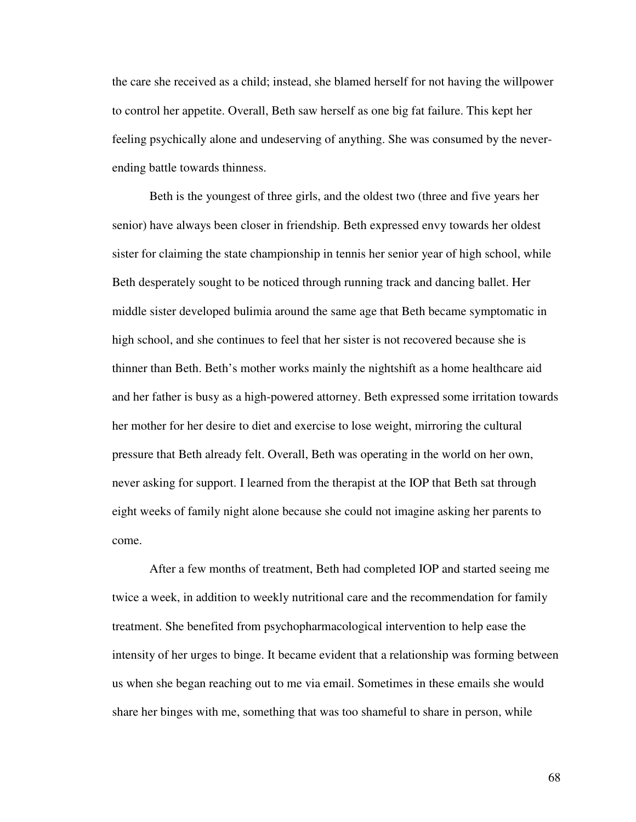the care she received as a child; instead, she blamed herself for not having the willpower to control her appetite. Overall, Beth saw herself as one big fat failure. This kept her feeling psychically alone and undeserving of anything. She was consumed by the neverending battle towards thinness.

Beth is the youngest of three girls, and the oldest two (three and five years her senior) have always been closer in friendship. Beth expressed envy towards her oldest sister for claiming the state championship in tennis her senior year of high school, while Beth desperately sought to be noticed through running track and dancing ballet. Her middle sister developed bulimia around the same age that Beth became symptomatic in high school, and she continues to feel that her sister is not recovered because she is thinner than Beth. Beth's mother works mainly the nightshift as a home healthcare aid and her father is busy as a high-powered attorney. Beth expressed some irritation towards her mother for her desire to diet and exercise to lose weight, mirroring the cultural pressure that Beth already felt. Overall, Beth was operating in the world on her own, never asking for support. I learned from the therapist at the IOP that Beth sat through eight weeks of family night alone because she could not imagine asking her parents to come.

After a few months of treatment, Beth had completed IOP and started seeing me twice a week, in addition to weekly nutritional care and the recommendation for family treatment. She benefited from psychopharmacological intervention to help ease the intensity of her urges to binge. It became evident that a relationship was forming between us when she began reaching out to me via email. Sometimes in these emails she would share her binges with me, something that was too shameful to share in person, while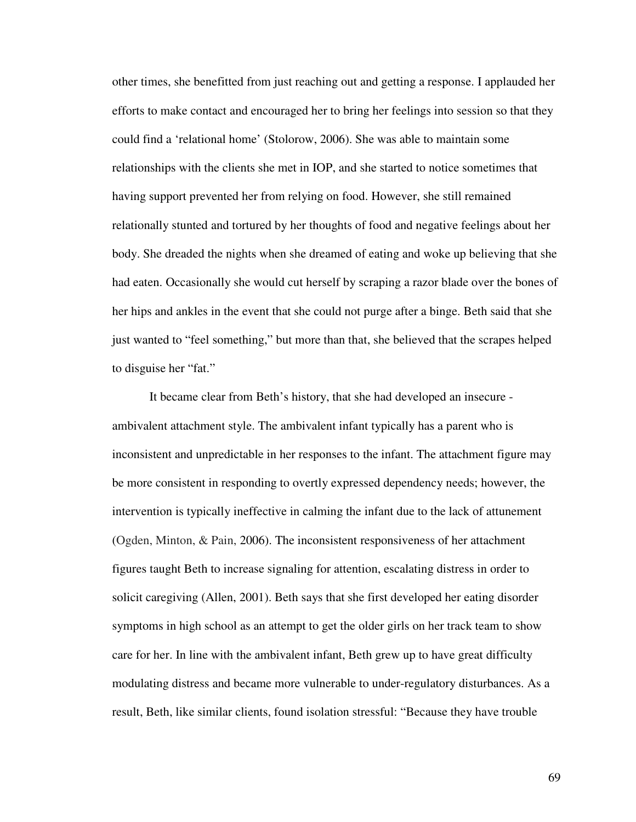other times, she benefitted from just reaching out and getting a response. I applauded her efforts to make contact and encouraged her to bring her feelings into session so that they could find a 'relational home' (Stolorow, 2006). She was able to maintain some relationships with the clients she met in IOP, and she started to notice sometimes that having support prevented her from relying on food. However, she still remained relationally stunted and tortured by her thoughts of food and negative feelings about her body. She dreaded the nights when she dreamed of eating and woke up believing that she had eaten. Occasionally she would cut herself by scraping a razor blade over the bones of her hips and ankles in the event that she could not purge after a binge. Beth said that she just wanted to "feel something," but more than that, she believed that the scrapes helped to disguise her "fat."

It became clear from Beth's history, that she had developed an insecure ambivalent attachment style. The ambivalent infant typically has a parent who is inconsistent and unpredictable in her responses to the infant. The attachment figure may be more consistent in responding to overtly expressed dependency needs; however, the intervention is typically ineffective in calming the infant due to the lack of attunement (Ogden, Minton, & Pain, 2006). The inconsistent responsiveness of her attachment figures taught Beth to increase signaling for attention, escalating distress in order to solicit caregiving (Allen, 2001). Beth says that she first developed her eating disorder symptoms in high school as an attempt to get the older girls on her track team to show care for her. In line with the ambivalent infant, Beth grew up to have great difficulty modulating distress and became more vulnerable to under-regulatory disturbances. As a result, Beth, like similar clients, found isolation stressful: "Because they have trouble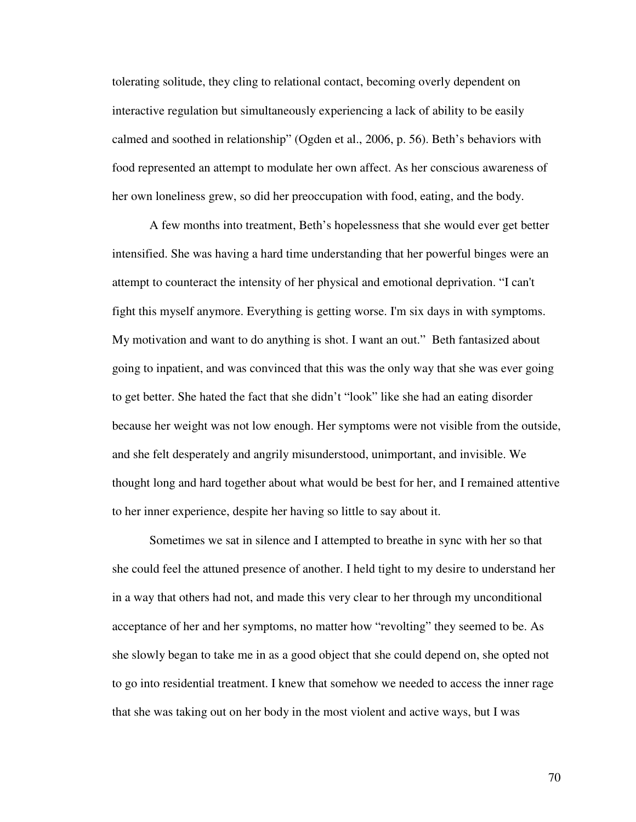tolerating solitude, they cling to relational contact, becoming overly dependent on interactive regulation but simultaneously experiencing a lack of ability to be easily calmed and soothed in relationship" (Ogden et al., 2006, p. 56). Beth's behaviors with food represented an attempt to modulate her own affect. As her conscious awareness of her own loneliness grew, so did her preoccupation with food, eating, and the body.

A few months into treatment, Beth's hopelessness that she would ever get better intensified. She was having a hard time understanding that her powerful binges were an attempt to counteract the intensity of her physical and emotional deprivation. "I can't fight this myself anymore. Everything is getting worse. I'm six days in with symptoms. My motivation and want to do anything is shot. I want an out." Beth fantasized about going to inpatient, and was convinced that this was the only way that she was ever going to get better. She hated the fact that she didn't "look" like she had an eating disorder because her weight was not low enough. Her symptoms were not visible from the outside, and she felt desperately and angrily misunderstood, unimportant, and invisible. We thought long and hard together about what would be best for her, and I remained attentive to her inner experience, despite her having so little to say about it.

Sometimes we sat in silence and I attempted to breathe in sync with her so that she could feel the attuned presence of another. I held tight to my desire to understand her in a way that others had not, and made this very clear to her through my unconditional acceptance of her and her symptoms, no matter how "revolting" they seemed to be. As she slowly began to take me in as a good object that she could depend on, she opted not to go into residential treatment. I knew that somehow we needed to access the inner rage that she was taking out on her body in the most violent and active ways, but I was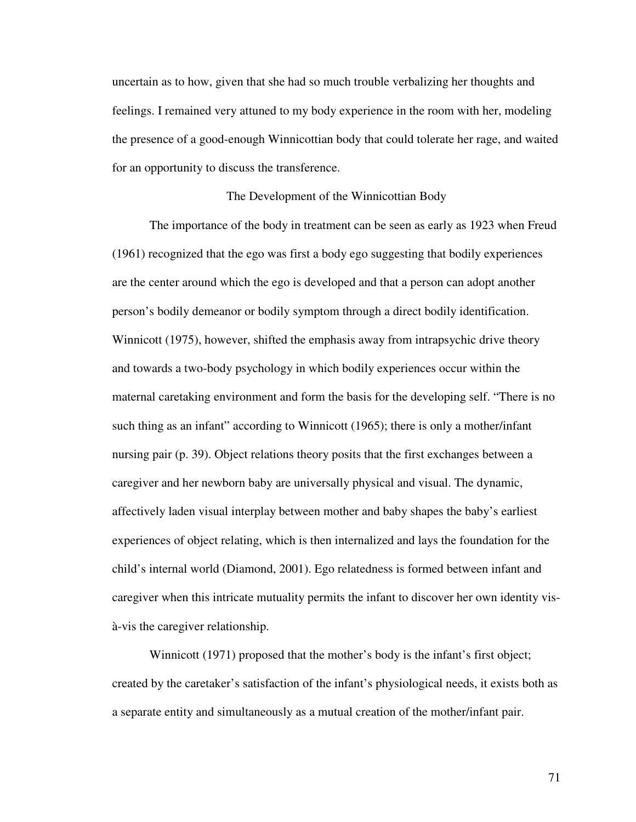uncertain as to how, given that she had so much trouble verbalizing her thoughts and feelings. I remained very attuned to my body experience in the room with her, modeling the presence of a good-enough Winnicottian body that could tolerate her rage, and waited for an opportunity to discuss the transference.

# The Development of the Winnicottian Body

The importance of the body in treatment can be seen as early as 1923 when Freud (1961) recognized that the ego was first a body ego suggesting that bodily experiences are the center around which the ego is developed and that a person can adopt another person's bodily demeanor or bodily symptom through a direct bodily identification. Winnicott (1975), however, shifted the emphasis away from intrapsychic drive theory and towards a two-body psychology in which bodily experiences occur within the maternal caretaking environment and form the basis for the developing self. "There is no such thing as an infant" according to Winnicott (1965); there is only a mother/infant nursing pair (p. 39). Object relations theory posits that the first exchanges between a caregiver and her newborn baby are universally physical and visual. The dynamic, affectively laden visual interplay between mother and baby shapes the baby's earliest experiences of object relating, which is then internalized and lays the foundation for the child's internal world (Diamond, 2001). Ego relatedness is formed between infant and caregiver when this intricate mutuality permits the infant to discover her own identity visà-vis the caregiver relationship.

Winnicott (1971) proposed that the mother's body is the infant's first object; created by the caretaker's satisfaction of the infant's physiological needs, it exists both as a separate entity and simultaneously as a mutual creation of the mother/infant pair.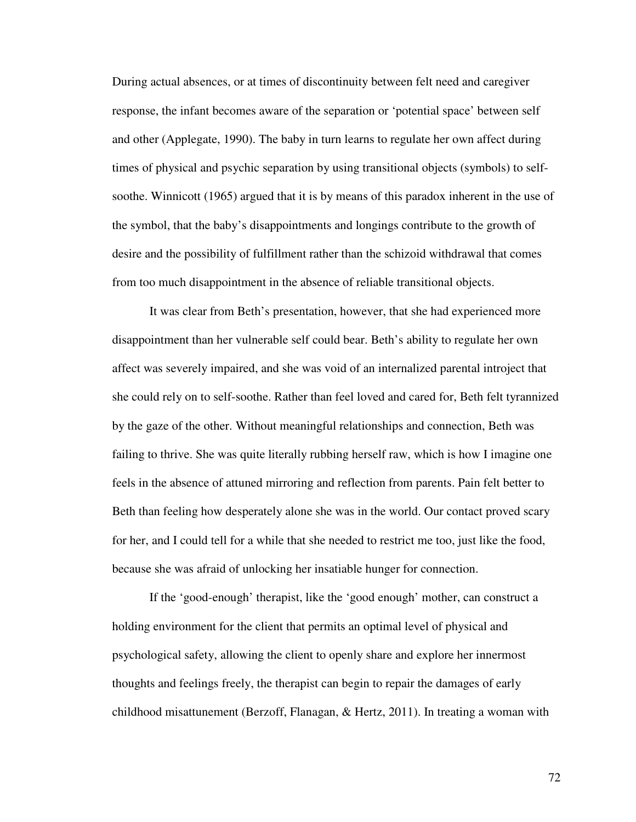During actual absences, or at times of discontinuity between felt need and caregiver response, the infant becomes aware of the separation or 'potential space' between self and other (Applegate, 1990). The baby in turn learns to regulate her own affect during times of physical and psychic separation by using transitional objects (symbols) to selfsoothe. Winnicott (1965) argued that it is by means of this paradox inherent in the use of the symbol, that the baby's disappointments and longings contribute to the growth of desire and the possibility of fulfillment rather than the schizoid withdrawal that comes from too much disappointment in the absence of reliable transitional objects.

It was clear from Beth's presentation, however, that she had experienced more disappointment than her vulnerable self could bear. Beth's ability to regulate her own affect was severely impaired, and she was void of an internalized parental introject that she could rely on to self-soothe. Rather than feel loved and cared for, Beth felt tyrannized by the gaze of the other. Without meaningful relationships and connection, Beth was failing to thrive. She was quite literally rubbing herself raw, which is how I imagine one feels in the absence of attuned mirroring and reflection from parents. Pain felt better to Beth than feeling how desperately alone she was in the world. Our contact proved scary for her, and I could tell for a while that she needed to restrict me too, just like the food, because she was afraid of unlocking her insatiable hunger for connection.

If the 'good-enough' therapist, like the 'good enough' mother, can construct a holding environment for the client that permits an optimal level of physical and psychological safety, allowing the client to openly share and explore her innermost thoughts and feelings freely, the therapist can begin to repair the damages of early childhood misattunement (Berzoff, Flanagan, & Hertz, 2011). In treating a woman with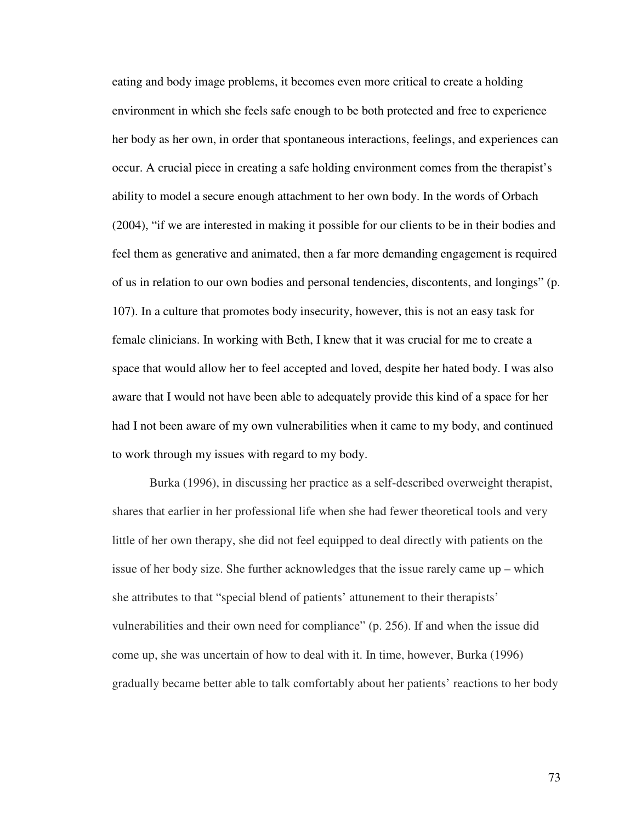eating and body image problems, it becomes even more critical to create a holding environment in which she feels safe enough to be both protected and free to experience her body as her own, in order that spontaneous interactions, feelings, and experiences can occur. A crucial piece in creating a safe holding environment comes from the therapist's ability to model a secure enough attachment to her own body. In the words of Orbach (2004), "if we are interested in making it possible for our clients to be in their bodies and feel them as generative and animated, then a far more demanding engagement is required of us in relation to our own bodies and personal tendencies, discontents, and longings" (p. 107). In a culture that promotes body insecurity, however, this is not an easy task for female clinicians. In working with Beth, I knew that it was crucial for me to create a space that would allow her to feel accepted and loved, despite her hated body. I was also aware that I would not have been able to adequately provide this kind of a space for her had I not been aware of my own vulnerabilities when it came to my body, and continued to work through my issues with regard to my body.

Burka (1996), in discussing her practice as a self-described overweight therapist, shares that earlier in her professional life when she had fewer theoretical tools and very little of her own therapy, she did not feel equipped to deal directly with patients on the issue of her body size. She further acknowledges that the issue rarely came up – which she attributes to that "special blend of patients' attunement to their therapists' vulnerabilities and their own need for compliance" (p. 256). If and when the issue did come up, she was uncertain of how to deal with it. In time, however, Burka (1996) gradually became better able to talk comfortably about her patients' reactions to her body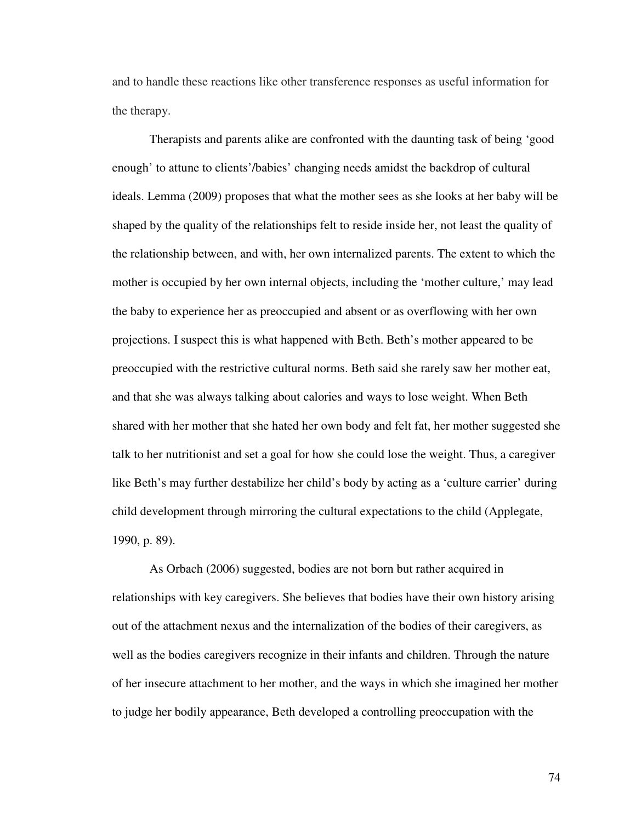and to handle these reactions like other transference responses as useful information for the therapy.

Therapists and parents alike are confronted with the daunting task of being 'good enough' to attune to clients'/babies' changing needs amidst the backdrop of cultural ideals. Lemma (2009) proposes that what the mother sees as she looks at her baby will be shaped by the quality of the relationships felt to reside inside her, not least the quality of the relationship between, and with, her own internalized parents. The extent to which the mother is occupied by her own internal objects, including the 'mother culture,' may lead the baby to experience her as preoccupied and absent or as overflowing with her own projections. I suspect this is what happened with Beth. Beth's mother appeared to be preoccupied with the restrictive cultural norms. Beth said she rarely saw her mother eat, and that she was always talking about calories and ways to lose weight. When Beth shared with her mother that she hated her own body and felt fat, her mother suggested she talk to her nutritionist and set a goal for how she could lose the weight. Thus, a caregiver like Beth's may further destabilize her child's body by acting as a 'culture carrier' during child development through mirroring the cultural expectations to the child (Applegate, 1990, p. 89).

As Orbach (2006) suggested, bodies are not born but rather acquired in relationships with key caregivers. She believes that bodies have their own history arising out of the attachment nexus and the internalization of the bodies of their caregivers, as well as the bodies caregivers recognize in their infants and children. Through the nature of her insecure attachment to her mother, and the ways in which she imagined her mother to judge her bodily appearance, Beth developed a controlling preoccupation with the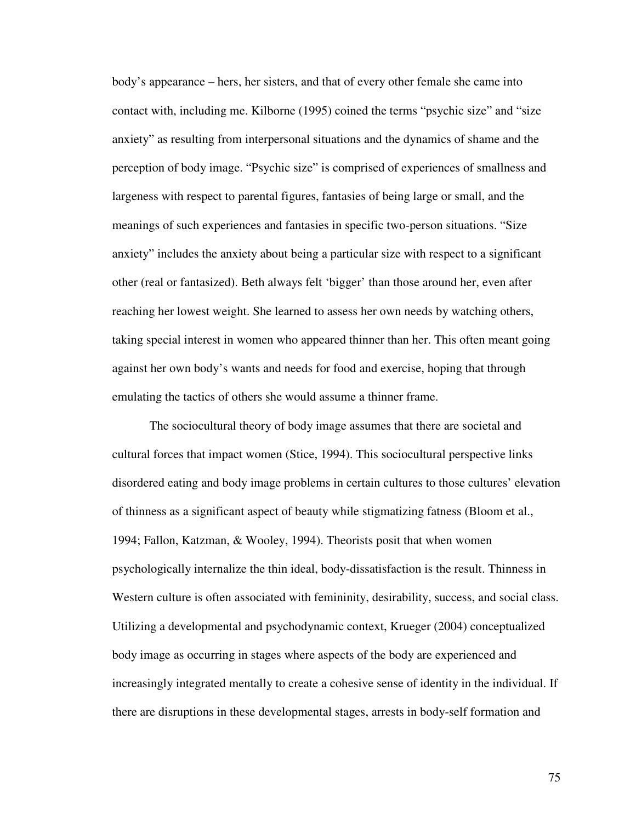body's appearance – hers, her sisters, and that of every other female she came into contact with, including me. Kilborne (1995) coined the terms "psychic size" and "size anxiety" as resulting from interpersonal situations and the dynamics of shame and the perception of body image. "Psychic size" is comprised of experiences of smallness and largeness with respect to parental figures, fantasies of being large or small, and the meanings of such experiences and fantasies in specific two-person situations. "Size anxiety" includes the anxiety about being a particular size with respect to a significant other (real or fantasized). Beth always felt 'bigger' than those around her, even after reaching her lowest weight. She learned to assess her own needs by watching others, taking special interest in women who appeared thinner than her. This often meant going against her own body's wants and needs for food and exercise, hoping that through emulating the tactics of others she would assume a thinner frame.

The sociocultural theory of body image assumes that there are societal and cultural forces that impact women (Stice, 1994). This sociocultural perspective links disordered eating and body image problems in certain cultures to those cultures' elevation of thinness as a significant aspect of beauty while stigmatizing fatness (Bloom et al., 1994; Fallon, Katzman, & Wooley, 1994). Theorists posit that when women psychologically internalize the thin ideal, body-dissatisfaction is the result. Thinness in Western culture is often associated with femininity, desirability, success, and social class. Utilizing a developmental and psychodynamic context, Krueger (2004) conceptualized body image as occurring in stages where aspects of the body are experienced and increasingly integrated mentally to create a cohesive sense of identity in the individual. If there are disruptions in these developmental stages, arrests in body-self formation and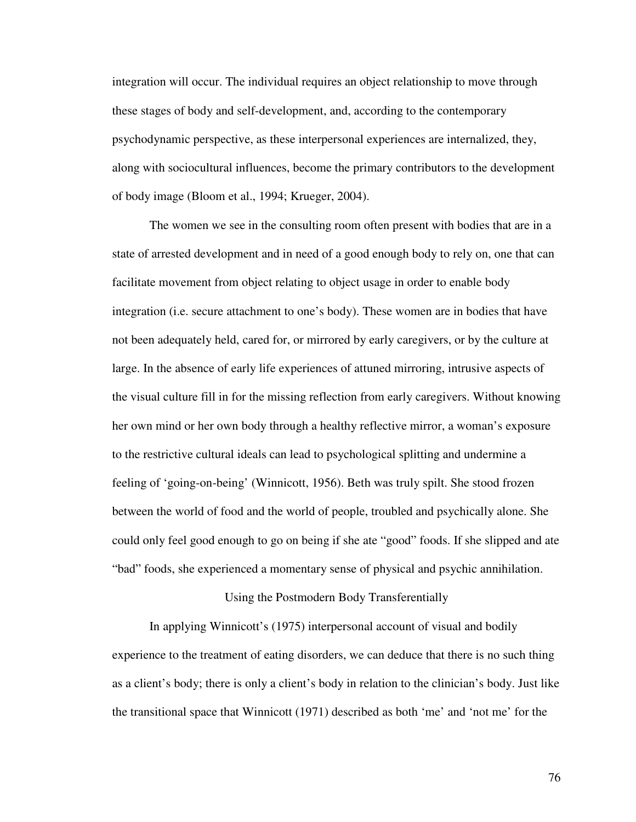integration will occur. The individual requires an object relationship to move through these stages of body and self-development, and, according to the contemporary psychodynamic perspective, as these interpersonal experiences are internalized, they, along with sociocultural influences, become the primary contributors to the development of body image (Bloom et al., 1994; Krueger, 2004).

The women we see in the consulting room often present with bodies that are in a state of arrested development and in need of a good enough body to rely on, one that can facilitate movement from object relating to object usage in order to enable body integration (i.e. secure attachment to one's body). These women are in bodies that have not been adequately held, cared for, or mirrored by early caregivers, or by the culture at large. In the absence of early life experiences of attuned mirroring, intrusive aspects of the visual culture fill in for the missing reflection from early caregivers. Without knowing her own mind or her own body through a healthy reflective mirror, a woman's exposure to the restrictive cultural ideals can lead to psychological splitting and undermine a feeling of 'going-on-being' (Winnicott, 1956). Beth was truly spilt. She stood frozen between the world of food and the world of people, troubled and psychically alone. She could only feel good enough to go on being if she ate "good" foods. If she slipped and ate "bad" foods, she experienced a momentary sense of physical and psychic annihilation.

#### Using the Postmodern Body Transferentially

In applying Winnicott's (1975) interpersonal account of visual and bodily experience to the treatment of eating disorders, we can deduce that there is no such thing as a client's body; there is only a client's body in relation to the clinician's body. Just like the transitional space that Winnicott (1971) described as both 'me' and 'not me' for the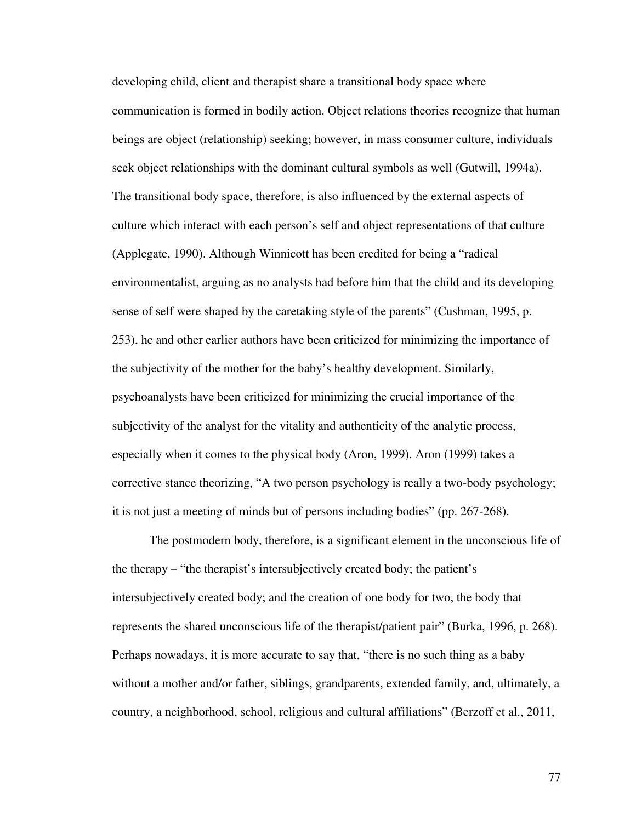developing child, client and therapist share a transitional body space where communication is formed in bodily action. Object relations theories recognize that human beings are object (relationship) seeking; however, in mass consumer culture, individuals seek object relationships with the dominant cultural symbols as well (Gutwill, 1994a). The transitional body space, therefore, is also influenced by the external aspects of culture which interact with each person's self and object representations of that culture (Applegate, 1990). Although Winnicott has been credited for being a "radical environmentalist, arguing as no analysts had before him that the child and its developing sense of self were shaped by the caretaking style of the parents" (Cushman, 1995, p. 253), he and other earlier authors have been criticized for minimizing the importance of the subjectivity of the mother for the baby's healthy development. Similarly, psychoanalysts have been criticized for minimizing the crucial importance of the subjectivity of the analyst for the vitality and authenticity of the analytic process, especially when it comes to the physical body (Aron, 1999). Aron (1999) takes a corrective stance theorizing, "A two person psychology is really a two-body psychology; it is not just a meeting of minds but of persons including bodies" (pp. 267-268).

The postmodern body, therefore, is a significant element in the unconscious life of the therapy – "the therapist's intersubjectively created body; the patient's intersubjectively created body; and the creation of one body for two, the body that represents the shared unconscious life of the therapist/patient pair" (Burka, 1996, p. 268). Perhaps nowadays, it is more accurate to say that, "there is no such thing as a baby without a mother and/or father, siblings, grandparents, extended family, and, ultimately, a country, a neighborhood, school, religious and cultural affiliations" (Berzoff et al., 2011,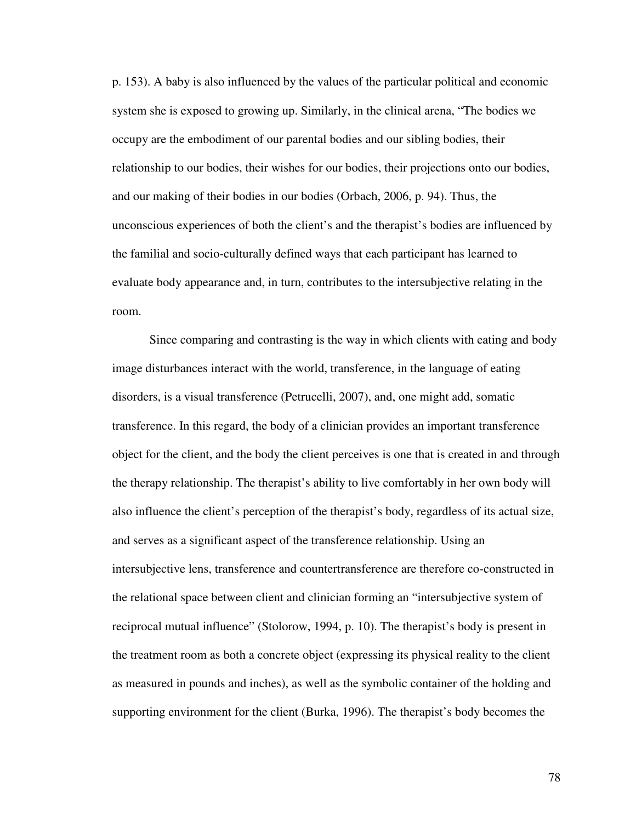p. 153). A baby is also influenced by the values of the particular political and economic system she is exposed to growing up. Similarly, in the clinical arena, "The bodies we occupy are the embodiment of our parental bodies and our sibling bodies, their relationship to our bodies, their wishes for our bodies, their projections onto our bodies, and our making of their bodies in our bodies (Orbach, 2006, p. 94). Thus, the unconscious experiences of both the client's and the therapist's bodies are influenced by the familial and socio-culturally defined ways that each participant has learned to evaluate body appearance and, in turn, contributes to the intersubjective relating in the room.

Since comparing and contrasting is the way in which clients with eating and body image disturbances interact with the world, transference, in the language of eating disorders, is a visual transference (Petrucelli, 2007), and, one might add, somatic transference. In this regard, the body of a clinician provides an important transference object for the client, and the body the client perceives is one that is created in and through the therapy relationship. The therapist's ability to live comfortably in her own body will also influence the client's perception of the therapist's body, regardless of its actual size, and serves as a significant aspect of the transference relationship. Using an intersubjective lens, transference and countertransference are therefore co-constructed in the relational space between client and clinician forming an "intersubjective system of reciprocal mutual influence" (Stolorow, 1994, p. 10). The therapist's body is present in the treatment room as both a concrete object (expressing its physical reality to the client as measured in pounds and inches), as well as the symbolic container of the holding and supporting environment for the client (Burka, 1996). The therapist's body becomes the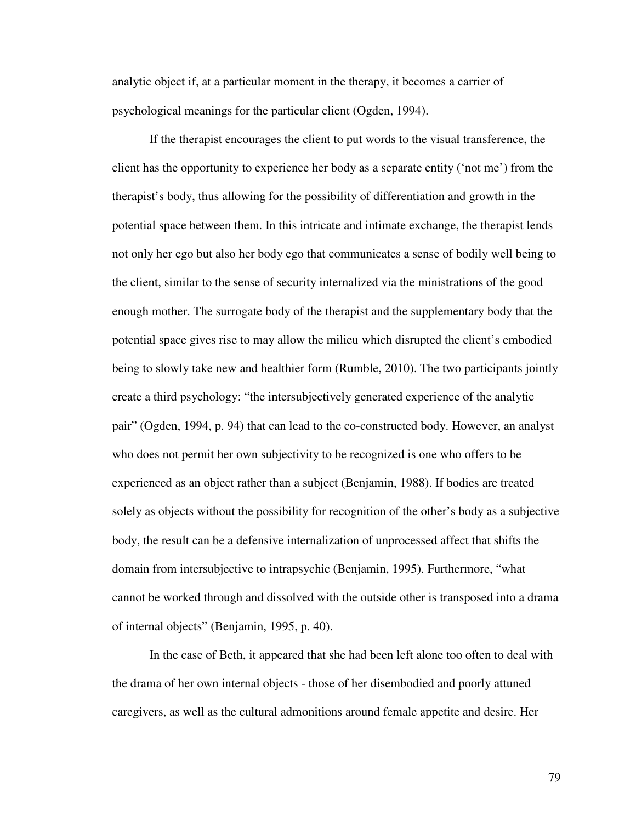analytic object if, at a particular moment in the therapy, it becomes a carrier of psychological meanings for the particular client (Ogden, 1994).

If the therapist encourages the client to put words to the visual transference, the client has the opportunity to experience her body as a separate entity ('not me') from the therapist's body, thus allowing for the possibility of differentiation and growth in the potential space between them. In this intricate and intimate exchange, the therapist lends not only her ego but also her body ego that communicates a sense of bodily well being to the client, similar to the sense of security internalized via the ministrations of the good enough mother. The surrogate body of the therapist and the supplementary body that the potential space gives rise to may allow the milieu which disrupted the client's embodied being to slowly take new and healthier form (Rumble, 2010). The two participants jointly create a third psychology: "the intersubjectively generated experience of the analytic pair" (Ogden, 1994, p. 94) that can lead to the co-constructed body. However, an analyst who does not permit her own subjectivity to be recognized is one who offers to be experienced as an object rather than a subject (Benjamin, 1988). If bodies are treated solely as objects without the possibility for recognition of the other's body as a subjective body, the result can be a defensive internalization of unprocessed affect that shifts the domain from intersubjective to intrapsychic (Benjamin, 1995). Furthermore, "what cannot be worked through and dissolved with the outside other is transposed into a drama of internal objects" (Benjamin, 1995, p. 40).

 In the case of Beth, it appeared that she had been left alone too often to deal with the drama of her own internal objects - those of her disembodied and poorly attuned caregivers, as well as the cultural admonitions around female appetite and desire. Her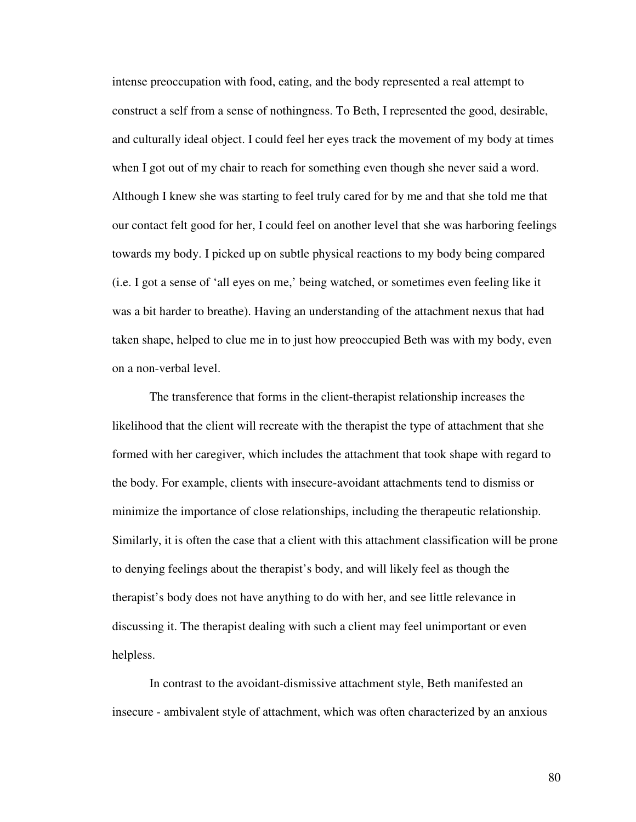intense preoccupation with food, eating, and the body represented a real attempt to construct a self from a sense of nothingness. To Beth, I represented the good, desirable, and culturally ideal object. I could feel her eyes track the movement of my body at times when I got out of my chair to reach for something even though she never said a word. Although I knew she was starting to feel truly cared for by me and that she told me that our contact felt good for her, I could feel on another level that she was harboring feelings towards my body. I picked up on subtle physical reactions to my body being compared (i.e. I got a sense of 'all eyes on me,' being watched, or sometimes even feeling like it was a bit harder to breathe). Having an understanding of the attachment nexus that had taken shape, helped to clue me in to just how preoccupied Beth was with my body, even on a non-verbal level.

The transference that forms in the client-therapist relationship increases the likelihood that the client will recreate with the therapist the type of attachment that she formed with her caregiver, which includes the attachment that took shape with regard to the body. For example, clients with insecure-avoidant attachments tend to dismiss or minimize the importance of close relationships, including the therapeutic relationship. Similarly, it is often the case that a client with this attachment classification will be prone to denying feelings about the therapist's body, and will likely feel as though the therapist's body does not have anything to do with her, and see little relevance in discussing it. The therapist dealing with such a client may feel unimportant or even helpless.

In contrast to the avoidant-dismissive attachment style, Beth manifested an insecure - ambivalent style of attachment, which was often characterized by an anxious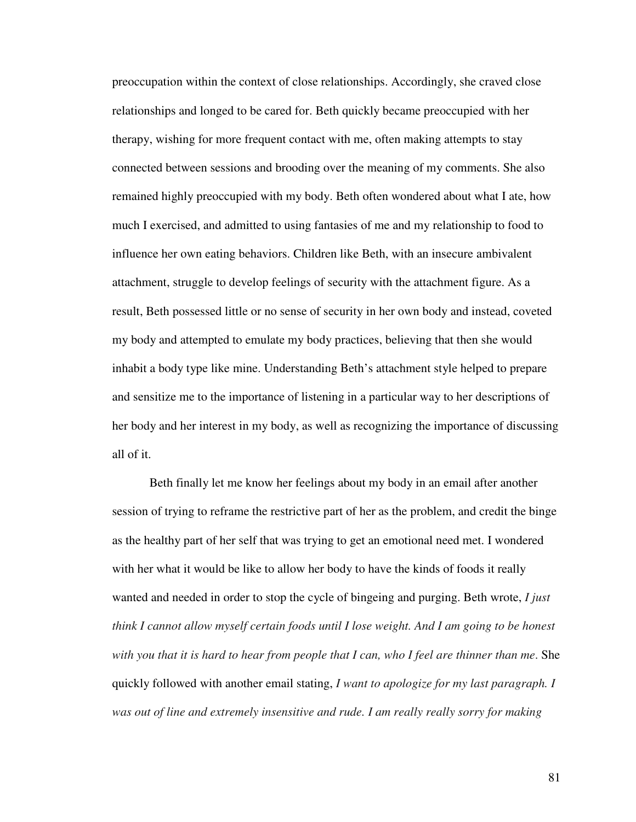preoccupation within the context of close relationships. Accordingly, she craved close relationships and longed to be cared for. Beth quickly became preoccupied with her therapy, wishing for more frequent contact with me, often making attempts to stay connected between sessions and brooding over the meaning of my comments. She also remained highly preoccupied with my body. Beth often wondered about what I ate, how much I exercised, and admitted to using fantasies of me and my relationship to food to influence her own eating behaviors. Children like Beth, with an insecure ambivalent attachment, struggle to develop feelings of security with the attachment figure. As a result, Beth possessed little or no sense of security in her own body and instead, coveted my body and attempted to emulate my body practices, believing that then she would inhabit a body type like mine. Understanding Beth's attachment style helped to prepare and sensitize me to the importance of listening in a particular way to her descriptions of her body and her interest in my body, as well as recognizing the importance of discussing all of it.

Beth finally let me know her feelings about my body in an email after another session of trying to reframe the restrictive part of her as the problem, and credit the binge as the healthy part of her self that was trying to get an emotional need met. I wondered with her what it would be like to allow her body to have the kinds of foods it really wanted and needed in order to stop the cycle of bingeing and purging. Beth wrote, *I just think I cannot allow myself certain foods until I lose weight. And I am going to be honest with you that it is hard to hear from people that I can, who I feel are thinner than me*. She quickly followed with another email stating, *I want to apologize for my last paragraph. I was out of line and extremely insensitive and rude. I am really really sorry for making*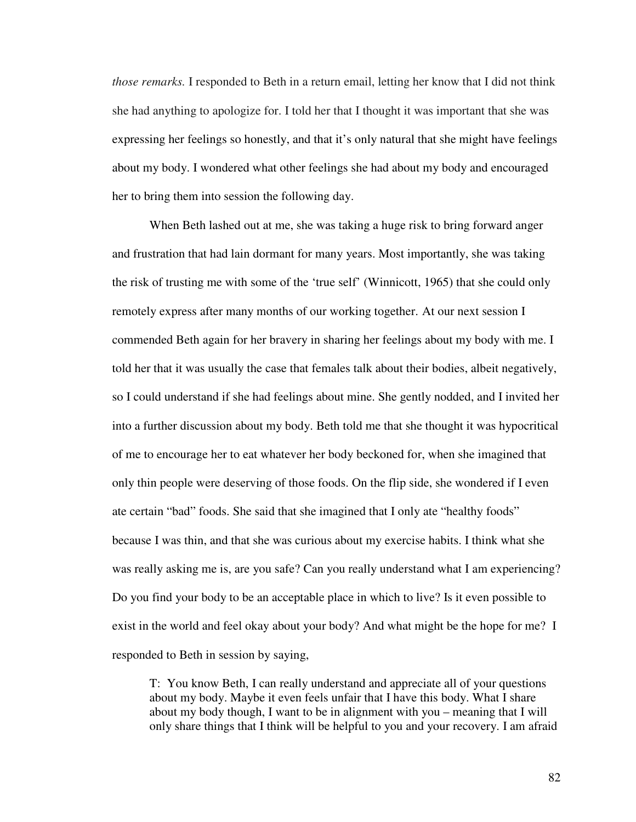*those remarks.* I responded to Beth in a return email, letting her know that I did not think she had anything to apologize for. I told her that I thought it was important that she was expressing her feelings so honestly, and that it's only natural that she might have feelings about my body. I wondered what other feelings she had about my body and encouraged her to bring them into session the following day.

 When Beth lashed out at me, she was taking a huge risk to bring forward anger and frustration that had lain dormant for many years. Most importantly, she was taking the risk of trusting me with some of the 'true self' (Winnicott, 1965) that she could only remotely express after many months of our working together. At our next session I commended Beth again for her bravery in sharing her feelings about my body with me. I told her that it was usually the case that females talk about their bodies, albeit negatively, so I could understand if she had feelings about mine. She gently nodded, and I invited her into a further discussion about my body. Beth told me that she thought it was hypocritical of me to encourage her to eat whatever her body beckoned for, when she imagined that only thin people were deserving of those foods. On the flip side, she wondered if I even ate certain "bad" foods. She said that she imagined that I only ate "healthy foods" because I was thin, and that she was curious about my exercise habits. I think what she was really asking me is, are you safe? Can you really understand what I am experiencing? Do you find your body to be an acceptable place in which to live? Is it even possible to exist in the world and feel okay about your body? And what might be the hope for me? I responded to Beth in session by saying,

T: You know Beth, I can really understand and appreciate all of your questions about my body. Maybe it even feels unfair that I have this body. What I share about my body though, I want to be in alignment with you – meaning that I will only share things that I think will be helpful to you and your recovery. I am afraid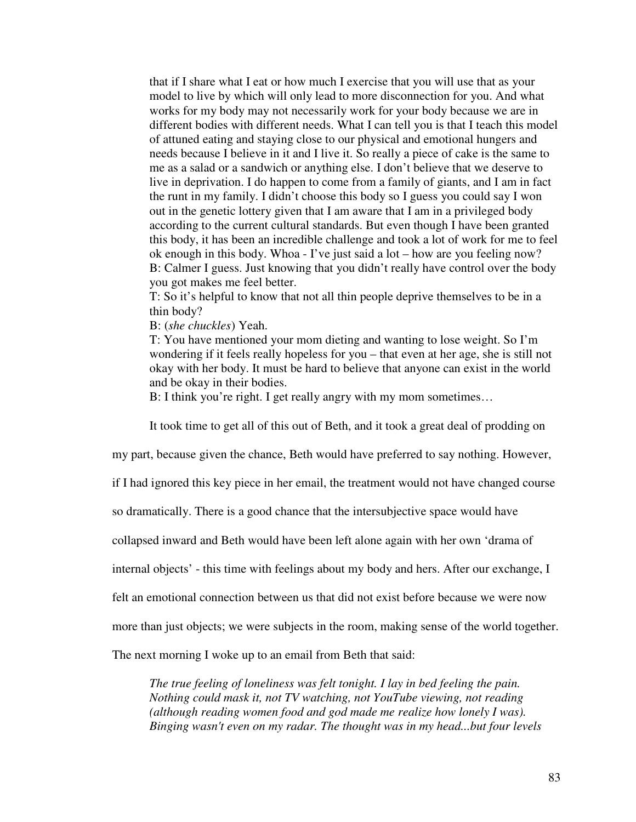that if I share what I eat or how much I exercise that you will use that as your model to live by which will only lead to more disconnection for you. And what works for my body may not necessarily work for your body because we are in different bodies with different needs. What I can tell you is that I teach this model of attuned eating and staying close to our physical and emotional hungers and needs because I believe in it and I live it. So really a piece of cake is the same to me as a salad or a sandwich or anything else. I don't believe that we deserve to live in deprivation. I do happen to come from a family of giants, and I am in fact the runt in my family. I didn't choose this body so I guess you could say I won out in the genetic lottery given that I am aware that I am in a privileged body according to the current cultural standards. But even though I have been granted this body, it has been an incredible challenge and took a lot of work for me to feel ok enough in this body. Whoa - I've just said a lot – how are you feeling now? B: Calmer I guess. Just knowing that you didn't really have control over the body you got makes me feel better.

T: So it's helpful to know that not all thin people deprive themselves to be in a thin body?

B: (*she chuckles*) Yeah.

T: You have mentioned your mom dieting and wanting to lose weight. So I'm wondering if it feels really hopeless for you – that even at her age, she is still not okay with her body. It must be hard to believe that anyone can exist in the world and be okay in their bodies.

B: I think you're right. I get really angry with my mom sometimes...

It took time to get all of this out of Beth, and it took a great deal of prodding on

my part, because given the chance, Beth would have preferred to say nothing. However,

if I had ignored this key piece in her email, the treatment would not have changed course

so dramatically. There is a good chance that the intersubjective space would have

collapsed inward and Beth would have been left alone again with her own 'drama of

internal objects' - this time with feelings about my body and hers. After our exchange, I

felt an emotional connection between us that did not exist before because we were now

more than just objects; we were subjects in the room, making sense of the world together.

The next morning I woke up to an email from Beth that said:

*The true feeling of loneliness was felt tonight. I lay in bed feeling the pain. Nothing could mask it, not TV watching, not YouTube viewing, not reading (although reading women food and god made me realize how lonely I was). Binging wasn't even on my radar. The thought was in my head...but four levels*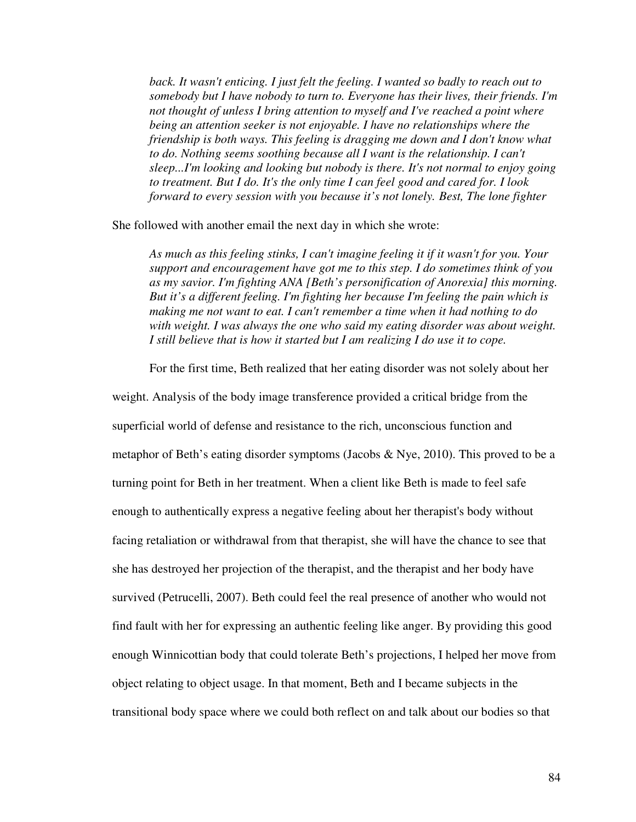*back. It wasn't enticing. I just felt the feeling. I wanted so badly to reach out to somebody but I have nobody to turn to. Everyone has their lives, their friends. I'm not thought of unless I bring attention to myself and I've reached a point where being an attention seeker is not enjoyable. I have no relationships where the friendship is both ways. This feeling is dragging me down and I don't know what to do. Nothing seems soothing because all I want is the relationship. I can't sleep...I'm looking and looking but nobody is there. It's not normal to enjoy going to treatment. But I do. It's the only time I can feel good and cared for. I look forward to every session with you because it's not lonely. Best, The lone fighter* 

She followed with another email the next day in which she wrote:

*As much as this feeling stinks, I can't imagine feeling it if it wasn't for you. Your support and encouragement have got me to this step. I do sometimes think of you as my savior. I'm fighting ANA [Beth's personification of Anorexia] this morning. But it's a different feeling. I'm fighting her because I'm feeling the pain which is making me not want to eat. I can't remember a time when it had nothing to do with weight. I was always the one who said my eating disorder was about weight. I still believe that is how it started but I am realizing I do use it to cope.* 

For the first time, Beth realized that her eating disorder was not solely about her

weight. Analysis of the body image transference provided a critical bridge from the superficial world of defense and resistance to the rich, unconscious function and metaphor of Beth's eating disorder symptoms (Jacobs & Nye, 2010). This proved to be a turning point for Beth in her treatment. When a client like Beth is made to feel safe enough to authentically express a negative feeling about her therapist's body without facing retaliation or withdrawal from that therapist, she will have the chance to see that she has destroyed her projection of the therapist, and the therapist and her body have survived (Petrucelli, 2007). Beth could feel the real presence of another who would not find fault with her for expressing an authentic feeling like anger. By providing this good enough Winnicottian body that could tolerate Beth's projections, I helped her move from object relating to object usage. In that moment, Beth and I became subjects in the transitional body space where we could both reflect on and talk about our bodies so that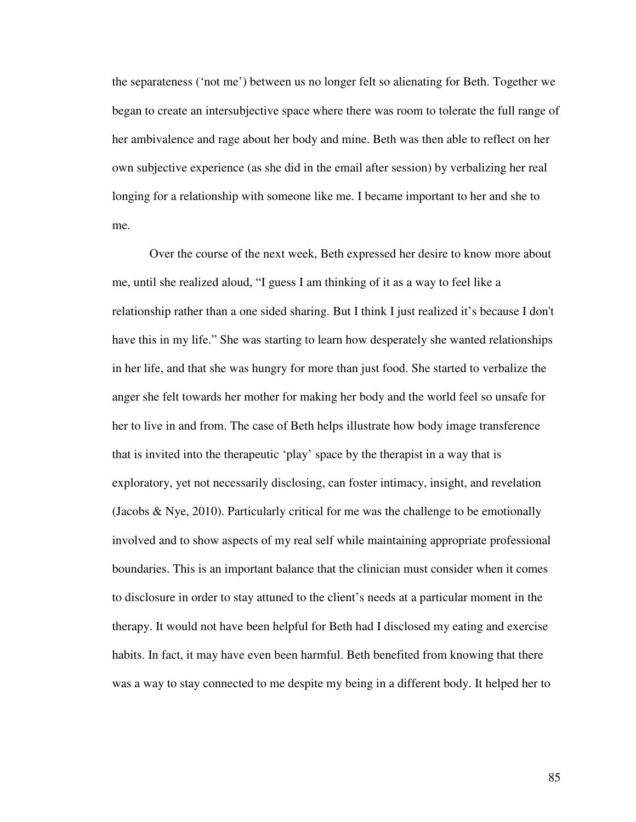the separateness ('not me') between us no longer felt so alienating for Beth. Together we began to create an intersubjective space where there was room to tolerate the full range of her ambivalence and rage about her body and mine. Beth was then able to reflect on her own subjective experience (as she did in the email after session) by verbalizing her real longing for a relationship with someone like me. I became important to her and she to me.

Over the course of the next week, Beth expressed her desire to know more about me, until she realized aloud, "I guess I am thinking of it as a way to feel like a relationship rather than a one sided sharing. But I think I just realized it's because I don't have this in my life." She was starting to learn how desperately she wanted relationships in her life, and that she was hungry for more than just food. She started to verbalize the anger she felt towards her mother for making her body and the world feel so unsafe for her to live in and from. The case of Beth helps illustrate how body image transference that is invited into the therapeutic 'play' space by the therapist in a way that is exploratory, yet not necessarily disclosing, can foster intimacy, insight, and revelation (Jacobs  $\&$  Nye, 2010). Particularly critical for me was the challenge to be emotionally involved and to show aspects of my real self while maintaining appropriate professional boundaries. This is an important balance that the clinician must consider when it comes to disclosure in order to stay attuned to the client's needs at a particular moment in the therapy. It would not have been helpful for Beth had I disclosed my eating and exercise habits. In fact, it may have even been harmful. Beth benefited from knowing that there was a way to stay connected to me despite my being in a different body. It helped her to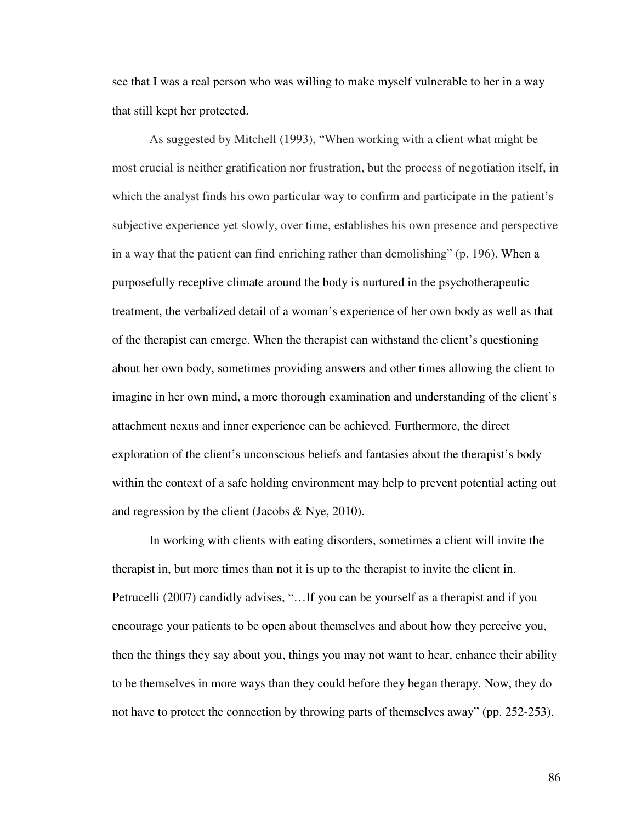see that I was a real person who was willing to make myself vulnerable to her in a way that still kept her protected.

As suggested by Mitchell (1993), "When working with a client what might be most crucial is neither gratification nor frustration, but the process of negotiation itself, in which the analyst finds his own particular way to confirm and participate in the patient's subjective experience yet slowly, over time, establishes his own presence and perspective in a way that the patient can find enriching rather than demolishing" (p. 196). When a purposefully receptive climate around the body is nurtured in the psychotherapeutic treatment, the verbalized detail of a woman's experience of her own body as well as that of the therapist can emerge. When the therapist can withstand the client's questioning about her own body, sometimes providing answers and other times allowing the client to imagine in her own mind, a more thorough examination and understanding of the client's attachment nexus and inner experience can be achieved. Furthermore, the direct exploration of the client's unconscious beliefs and fantasies about the therapist's body within the context of a safe holding environment may help to prevent potential acting out and regression by the client (Jacobs & Nye, 2010).

In working with clients with eating disorders, sometimes a client will invite the therapist in, but more times than not it is up to the therapist to invite the client in. Petrucelli (2007) candidly advises, "…If you can be yourself as a therapist and if you encourage your patients to be open about themselves and about how they perceive you, then the things they say about you, things you may not want to hear, enhance their ability to be themselves in more ways than they could before they began therapy. Now, they do not have to protect the connection by throwing parts of themselves away" (pp. 252-253).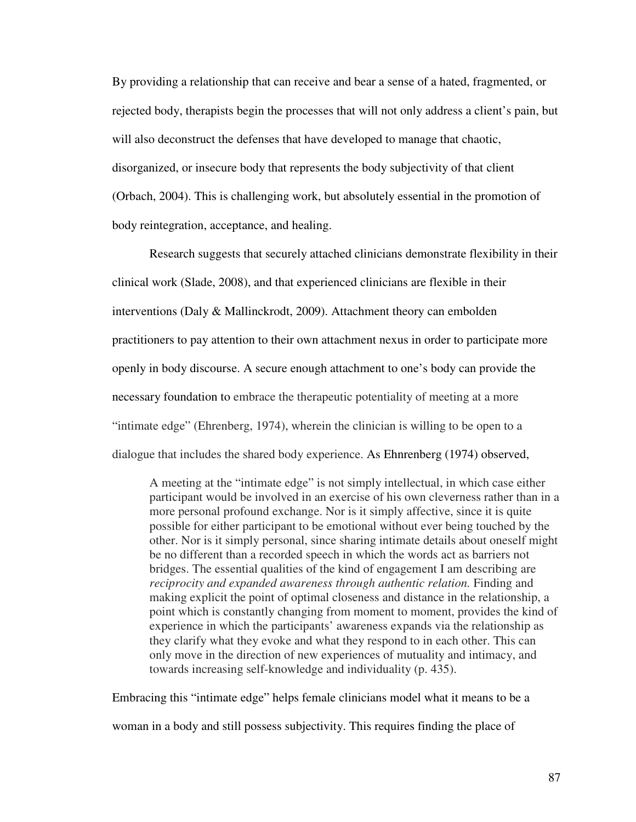By providing a relationship that can receive and bear a sense of a hated, fragmented, or rejected body, therapists begin the processes that will not only address a client's pain, but will also deconstruct the defenses that have developed to manage that chaotic, disorganized, or insecure body that represents the body subjectivity of that client (Orbach, 2004). This is challenging work, but absolutely essential in the promotion of body reintegration, acceptance, and healing.

Research suggests that securely attached clinicians demonstrate flexibility in their clinical work (Slade, 2008), and that experienced clinicians are flexible in their interventions (Daly & Mallinckrodt, 2009). Attachment theory can embolden practitioners to pay attention to their own attachment nexus in order to participate more openly in body discourse. A secure enough attachment to one's body can provide the necessary foundation to embrace the therapeutic potentiality of meeting at a more "intimate edge" (Ehrenberg, 1974), wherein the clinician is willing to be open to a dialogue that includes the shared body experience. As Ehnrenberg (1974) observed,

A meeting at the "intimate edge" is not simply intellectual, in which case either participant would be involved in an exercise of his own cleverness rather than in a more personal profound exchange. Nor is it simply affective, since it is quite possible for either participant to be emotional without ever being touched by the other. Nor is it simply personal, since sharing intimate details about oneself might be no different than a recorded speech in which the words act as barriers not bridges. The essential qualities of the kind of engagement I am describing are *reciprocity and expanded awareness through authentic relation.* Finding and making explicit the point of optimal closeness and distance in the relationship, a point which is constantly changing from moment to moment, provides the kind of experience in which the participants' awareness expands via the relationship as they clarify what they evoke and what they respond to in each other. This can only move in the direction of new experiences of mutuality and intimacy, and towards increasing self-knowledge and individuality (p. 435).

Embracing this "intimate edge" helps female clinicians model what it means to be a woman in a body and still possess subjectivity. This requires finding the place of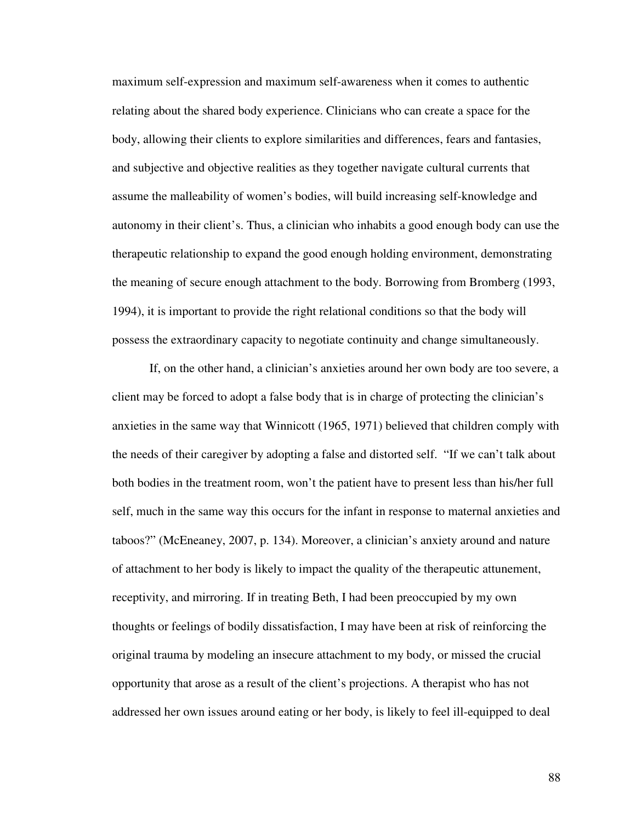maximum self-expression and maximum self-awareness when it comes to authentic relating about the shared body experience. Clinicians who can create a space for the body, allowing their clients to explore similarities and differences, fears and fantasies, and subjective and objective realities as they together navigate cultural currents that assume the malleability of women's bodies, will build increasing self-knowledge and autonomy in their client's. Thus, a clinician who inhabits a good enough body can use the therapeutic relationship to expand the good enough holding environment, demonstrating the meaning of secure enough attachment to the body. Borrowing from Bromberg (1993, 1994), it is important to provide the right relational conditions so that the body will possess the extraordinary capacity to negotiate continuity and change simultaneously.

 If, on the other hand, a clinician's anxieties around her own body are too severe, a client may be forced to adopt a false body that is in charge of protecting the clinician's anxieties in the same way that Winnicott (1965, 1971) believed that children comply with the needs of their caregiver by adopting a false and distorted self. "If we can't talk about both bodies in the treatment room, won't the patient have to present less than his/her full self, much in the same way this occurs for the infant in response to maternal anxieties and taboos?" (McEneaney, 2007, p. 134). Moreover, a clinician's anxiety around and nature of attachment to her body is likely to impact the quality of the therapeutic attunement, receptivity, and mirroring. If in treating Beth, I had been preoccupied by my own thoughts or feelings of bodily dissatisfaction, I may have been at risk of reinforcing the original trauma by modeling an insecure attachment to my body, or missed the crucial opportunity that arose as a result of the client's projections. A therapist who has not addressed her own issues around eating or her body, is likely to feel ill-equipped to deal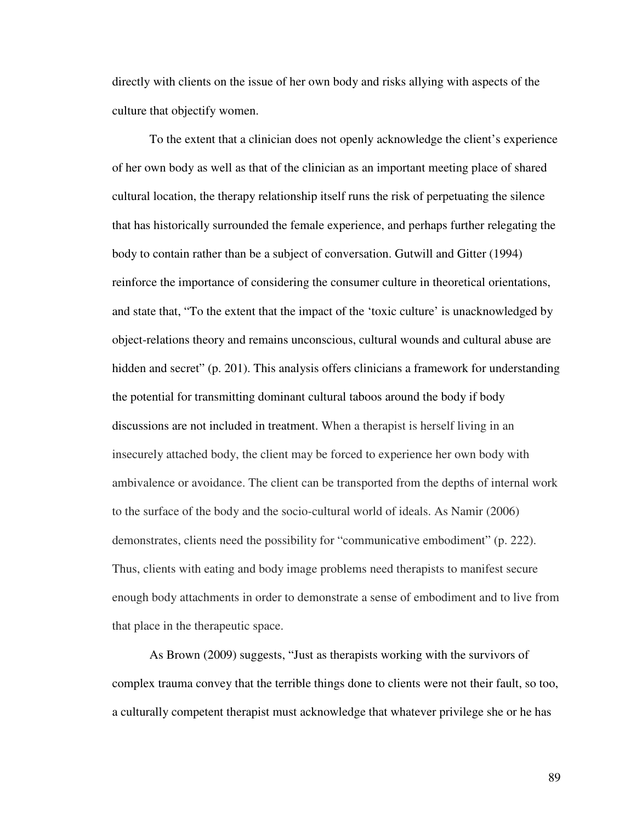directly with clients on the issue of her own body and risks allying with aspects of the culture that objectify women.

To the extent that a clinician does not openly acknowledge the client's experience of her own body as well as that of the clinician as an important meeting place of shared cultural location, the therapy relationship itself runs the risk of perpetuating the silence that has historically surrounded the female experience, and perhaps further relegating the body to contain rather than be a subject of conversation. Gutwill and Gitter (1994) reinforce the importance of considering the consumer culture in theoretical orientations, and state that, "To the extent that the impact of the 'toxic culture' is unacknowledged by object-relations theory and remains unconscious, cultural wounds and cultural abuse are hidden and secret" (p. 201). This analysis offers clinicians a framework for understanding the potential for transmitting dominant cultural taboos around the body if body discussions are not included in treatment. When a therapist is herself living in an insecurely attached body, the client may be forced to experience her own body with ambivalence or avoidance. The client can be transported from the depths of internal work to the surface of the body and the socio-cultural world of ideals. As Namir (2006) demonstrates, clients need the possibility for "communicative embodiment" (p. 222). Thus, clients with eating and body image problems need therapists to manifest secure enough body attachments in order to demonstrate a sense of embodiment and to live from that place in the therapeutic space.

As Brown (2009) suggests, "Just as therapists working with the survivors of complex trauma convey that the terrible things done to clients were not their fault, so too, a culturally competent therapist must acknowledge that whatever privilege she or he has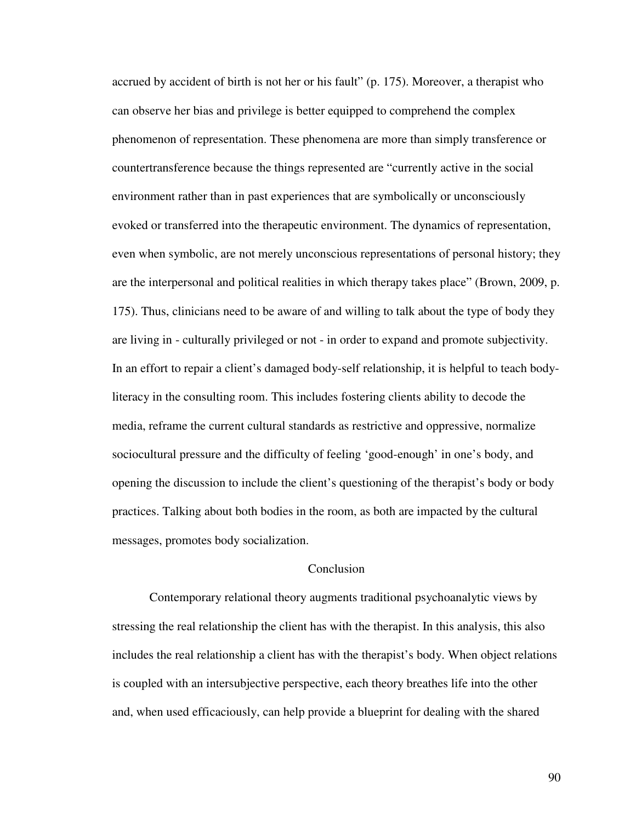accrued by accident of birth is not her or his fault" (p. 175). Moreover, a therapist who can observe her bias and privilege is better equipped to comprehend the complex phenomenon of representation. These phenomena are more than simply transference or countertransference because the things represented are "currently active in the social environment rather than in past experiences that are symbolically or unconsciously evoked or transferred into the therapeutic environment. The dynamics of representation, even when symbolic, are not merely unconscious representations of personal history; they are the interpersonal and political realities in which therapy takes place" (Brown, 2009, p. 175). Thus, clinicians need to be aware of and willing to talk about the type of body they are living in - culturally privileged or not - in order to expand and promote subjectivity. In an effort to repair a client's damaged body-self relationship, it is helpful to teach bodyliteracy in the consulting room. This includes fostering clients ability to decode the media, reframe the current cultural standards as restrictive and oppressive, normalize sociocultural pressure and the difficulty of feeling 'good-enough' in one's body, and opening the discussion to include the client's questioning of the therapist's body or body practices. Talking about both bodies in the room, as both are impacted by the cultural messages, promotes body socialization.

# Conclusion

Contemporary relational theory augments traditional psychoanalytic views by stressing the real relationship the client has with the therapist. In this analysis, this also includes the real relationship a client has with the therapist's body. When object relations is coupled with an intersubjective perspective, each theory breathes life into the other and, when used efficaciously, can help provide a blueprint for dealing with the shared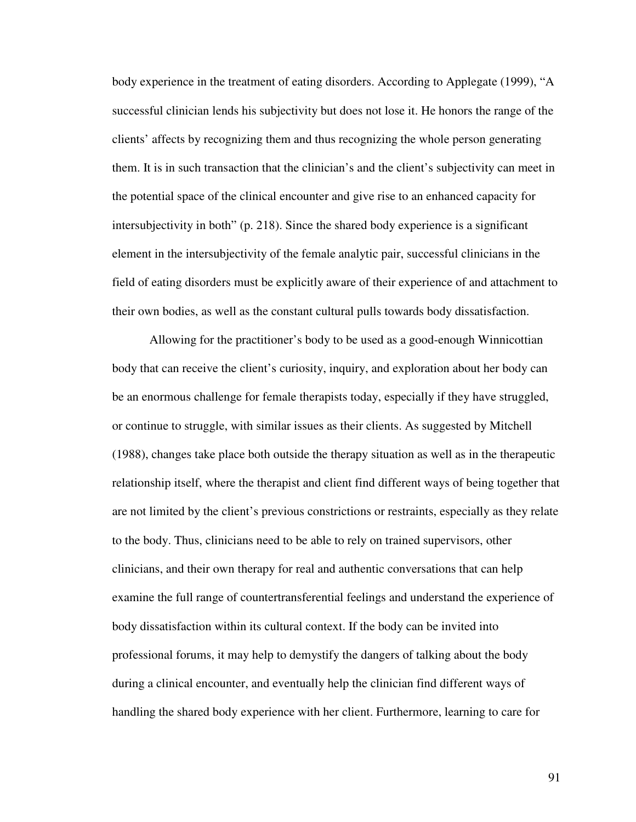body experience in the treatment of eating disorders. According to Applegate (1999), "A successful clinician lends his subjectivity but does not lose it. He honors the range of the clients' affects by recognizing them and thus recognizing the whole person generating them. It is in such transaction that the clinician's and the client's subjectivity can meet in the potential space of the clinical encounter and give rise to an enhanced capacity for intersubjectivity in both" (p. 218). Since the shared body experience is a significant element in the intersubjectivity of the female analytic pair, successful clinicians in the field of eating disorders must be explicitly aware of their experience of and attachment to their own bodies, as well as the constant cultural pulls towards body dissatisfaction.

Allowing for the practitioner's body to be used as a good-enough Winnicottian body that can receive the client's curiosity, inquiry, and exploration about her body can be an enormous challenge for female therapists today, especially if they have struggled, or continue to struggle, with similar issues as their clients. As suggested by Mitchell (1988), changes take place both outside the therapy situation as well as in the therapeutic relationship itself, where the therapist and client find different ways of being together that are not limited by the client's previous constrictions or restraints, especially as they relate to the body. Thus, clinicians need to be able to rely on trained supervisors, other clinicians, and their own therapy for real and authentic conversations that can help examine the full range of countertransferential feelings and understand the experience of body dissatisfaction within its cultural context. If the body can be invited into professional forums, it may help to demystify the dangers of talking about the body during a clinical encounter, and eventually help the clinician find different ways of handling the shared body experience with her client. Furthermore, learning to care for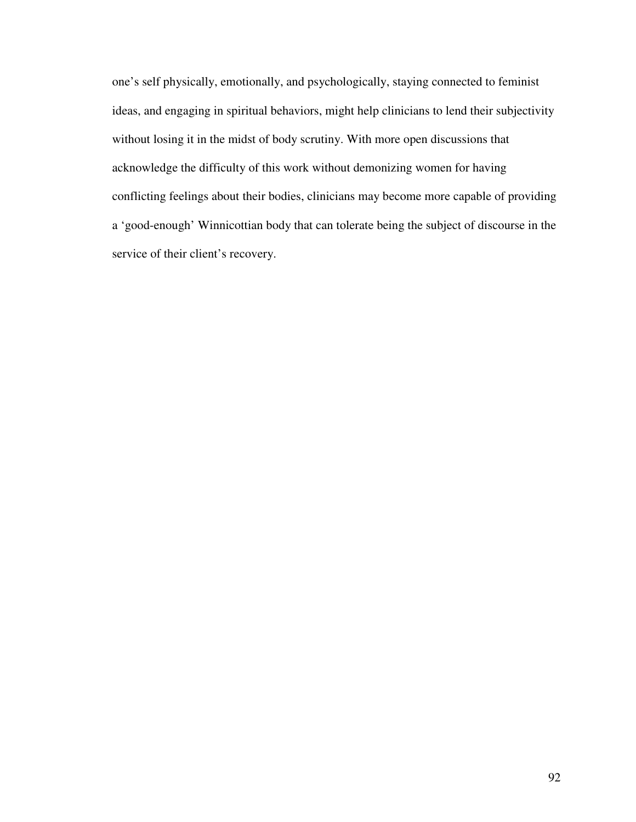one's self physically, emotionally, and psychologically, staying connected to feminist ideas, and engaging in spiritual behaviors, might help clinicians to lend their subjectivity without losing it in the midst of body scrutiny. With more open discussions that acknowledge the difficulty of this work without demonizing women for having conflicting feelings about their bodies, clinicians may become more capable of providing a 'good-enough' Winnicottian body that can tolerate being the subject of discourse in the service of their client's recovery.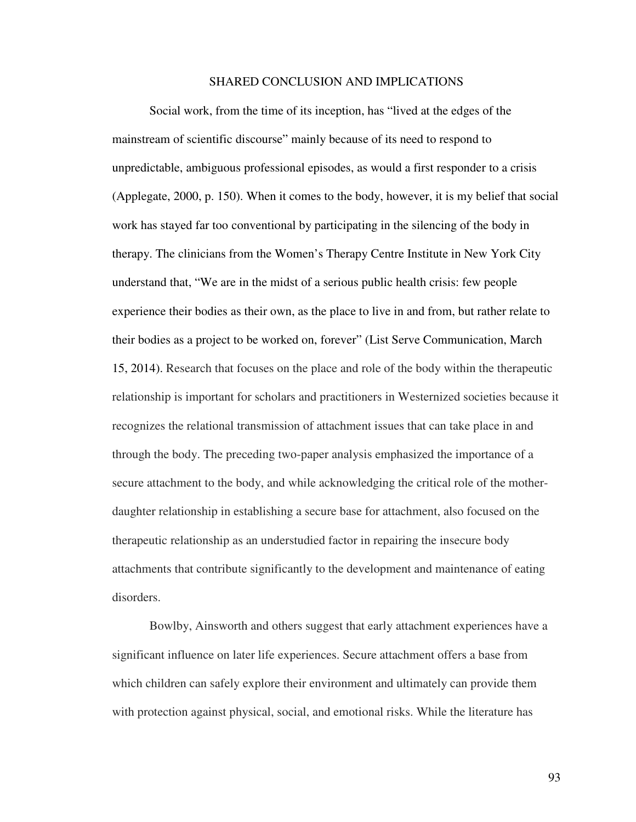## SHARED CONCLUSION AND IMPLICATIONS

Social work, from the time of its inception, has "lived at the edges of the mainstream of scientific discourse" mainly because of its need to respond to unpredictable, ambiguous professional episodes, as would a first responder to a crisis (Applegate, 2000, p. 150). When it comes to the body, however, it is my belief that social work has stayed far too conventional by participating in the silencing of the body in therapy. The clinicians from the Women's Therapy Centre Institute in New York City understand that, "We are in the midst of a serious public health crisis: few people experience their bodies as their own, as the place to live in and from, but rather relate to their bodies as a project to be worked on, forever" (List Serve Communication, March 15, 2014). Research that focuses on the place and role of the body within the therapeutic relationship is important for scholars and practitioners in Westernized societies because it recognizes the relational transmission of attachment issues that can take place in and through the body. The preceding two-paper analysis emphasized the importance of a secure attachment to the body, and while acknowledging the critical role of the motherdaughter relationship in establishing a secure base for attachment, also focused on the therapeutic relationship as an understudied factor in repairing the insecure body attachments that contribute significantly to the development and maintenance of eating disorders.

Bowlby, Ainsworth and others suggest that early attachment experiences have a significant influence on later life experiences. Secure attachment offers a base from which children can safely explore their environment and ultimately can provide them with protection against physical, social, and emotional risks. While the literature has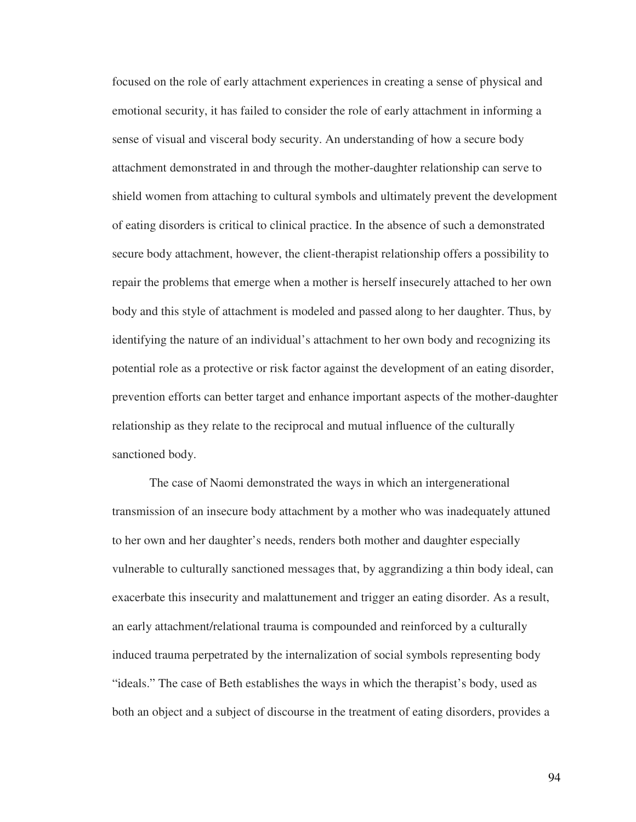focused on the role of early attachment experiences in creating a sense of physical and emotional security, it has failed to consider the role of early attachment in informing a sense of visual and visceral body security. An understanding of how a secure body attachment demonstrated in and through the mother-daughter relationship can serve to shield women from attaching to cultural symbols and ultimately prevent the development of eating disorders is critical to clinical practice. In the absence of such a demonstrated secure body attachment, however, the client-therapist relationship offers a possibility to repair the problems that emerge when a mother is herself insecurely attached to her own body and this style of attachment is modeled and passed along to her daughter. Thus, by identifying the nature of an individual's attachment to her own body and recognizing its potential role as a protective or risk factor against the development of an eating disorder, prevention efforts can better target and enhance important aspects of the mother-daughter relationship as they relate to the reciprocal and mutual influence of the culturally sanctioned body.

The case of Naomi demonstrated the ways in which an intergenerational transmission of an insecure body attachment by a mother who was inadequately attuned to her own and her daughter's needs, renders both mother and daughter especially vulnerable to culturally sanctioned messages that, by aggrandizing a thin body ideal, can exacerbate this insecurity and malattunement and trigger an eating disorder. As a result, an early attachment/relational trauma is compounded and reinforced by a culturally induced trauma perpetrated by the internalization of social symbols representing body "ideals." The case of Beth establishes the ways in which the therapist's body, used as both an object and a subject of discourse in the treatment of eating disorders, provides a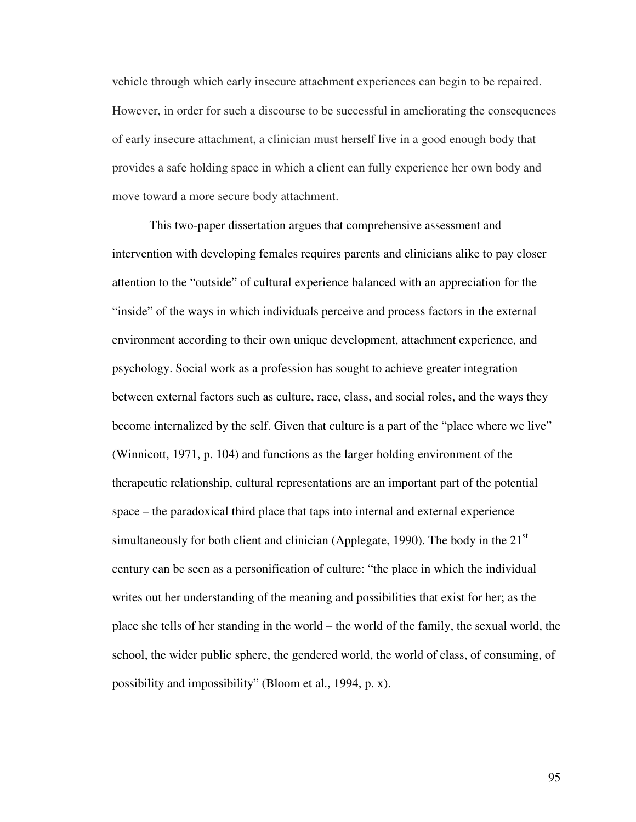vehicle through which early insecure attachment experiences can begin to be repaired. However, in order for such a discourse to be successful in ameliorating the consequences of early insecure attachment, a clinician must herself live in a good enough body that provides a safe holding space in which a client can fully experience her own body and move toward a more secure body attachment.

This two-paper dissertation argues that comprehensive assessment and intervention with developing females requires parents and clinicians alike to pay closer attention to the "outside" of cultural experience balanced with an appreciation for the "inside" of the ways in which individuals perceive and process factors in the external environment according to their own unique development, attachment experience, and psychology. Social work as a profession has sought to achieve greater integration between external factors such as culture, race, class, and social roles, and the ways they become internalized by the self. Given that culture is a part of the "place where we live" (Winnicott, 1971, p. 104) and functions as the larger holding environment of the therapeutic relationship, cultural representations are an important part of the potential space – the paradoxical third place that taps into internal and external experience simultaneously for both client and clinician (Applegate, 1990). The body in the  $21<sup>st</sup>$ century can be seen as a personification of culture: "the place in which the individual writes out her understanding of the meaning and possibilities that exist for her; as the place she tells of her standing in the world – the world of the family, the sexual world, the school, the wider public sphere, the gendered world, the world of class, of consuming, of possibility and impossibility" (Bloom et al., 1994, p. x).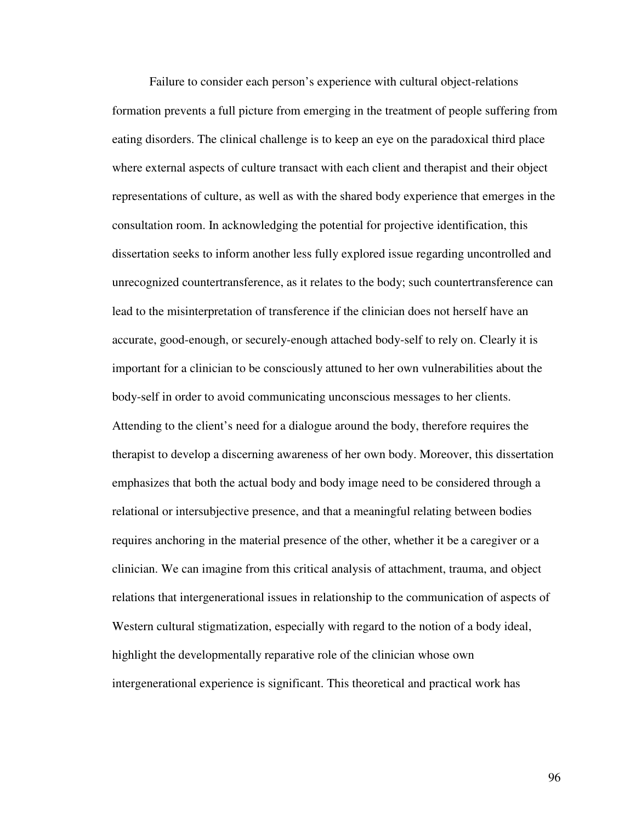Failure to consider each person's experience with cultural object-relations formation prevents a full picture from emerging in the treatment of people suffering from eating disorders. The clinical challenge is to keep an eye on the paradoxical third place where external aspects of culture transact with each client and therapist and their object representations of culture, as well as with the shared body experience that emerges in the consultation room. In acknowledging the potential for projective identification, this dissertation seeks to inform another less fully explored issue regarding uncontrolled and unrecognized countertransference, as it relates to the body; such countertransference can lead to the misinterpretation of transference if the clinician does not herself have an accurate, good-enough, or securely-enough attached body-self to rely on. Clearly it is important for a clinician to be consciously attuned to her own vulnerabilities about the body-self in order to avoid communicating unconscious messages to her clients. Attending to the client's need for a dialogue around the body, therefore requires the therapist to develop a discerning awareness of her own body. Moreover, this dissertation emphasizes that both the actual body and body image need to be considered through a relational or intersubjective presence, and that a meaningful relating between bodies requires anchoring in the material presence of the other, whether it be a caregiver or a clinician. We can imagine from this critical analysis of attachment, trauma, and object relations that intergenerational issues in relationship to the communication of aspects of Western cultural stigmatization, especially with regard to the notion of a body ideal, highlight the developmentally reparative role of the clinician whose own intergenerational experience is significant. This theoretical and practical work has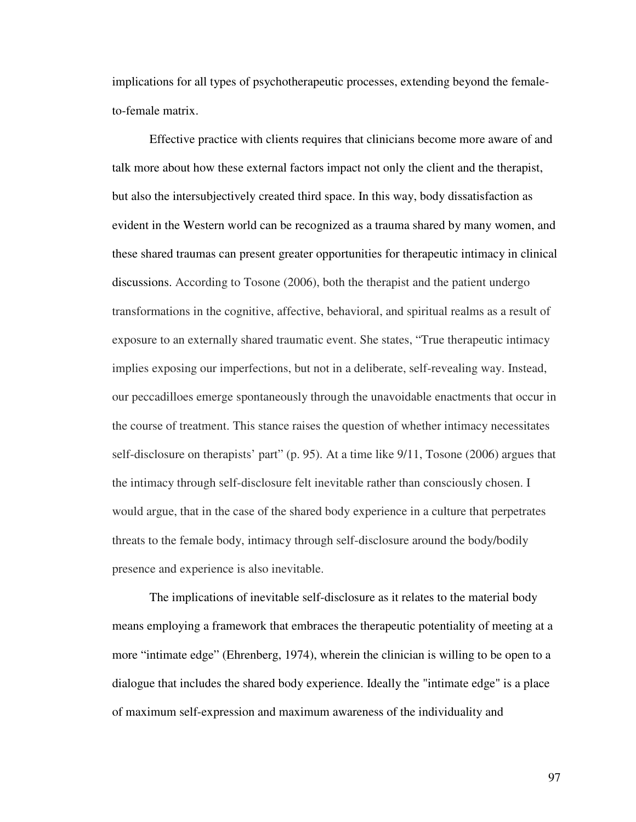implications for all types of psychotherapeutic processes, extending beyond the femaleto-female matrix.

Effective practice with clients requires that clinicians become more aware of and talk more about how these external factors impact not only the client and the therapist, but also the intersubjectively created third space. In this way, body dissatisfaction as evident in the Western world can be recognized as a trauma shared by many women, and these shared traumas can present greater opportunities for therapeutic intimacy in clinical discussions. According to Tosone (2006), both the therapist and the patient undergo transformations in the cognitive, affective, behavioral, and spiritual realms as a result of exposure to an externally shared traumatic event. She states, "True therapeutic intimacy implies exposing our imperfections, but not in a deliberate, self-revealing way. Instead, our peccadilloes emerge spontaneously through the unavoidable enactments that occur in the course of treatment. This stance raises the question of whether intimacy necessitates self-disclosure on therapists' part" (p. 95). At a time like 9/11, Tosone (2006) argues that the intimacy through self-disclosure felt inevitable rather than consciously chosen. I would argue, that in the case of the shared body experience in a culture that perpetrates threats to the female body, intimacy through self-disclosure around the body/bodily presence and experience is also inevitable.

The implications of inevitable self-disclosure as it relates to the material body means employing a framework that embraces the therapeutic potentiality of meeting at a more "intimate edge" (Ehrenberg, 1974), wherein the clinician is willing to be open to a dialogue that includes the shared body experience. Ideally the "intimate edge" is a place of maximum self-expression and maximum awareness of the individuality and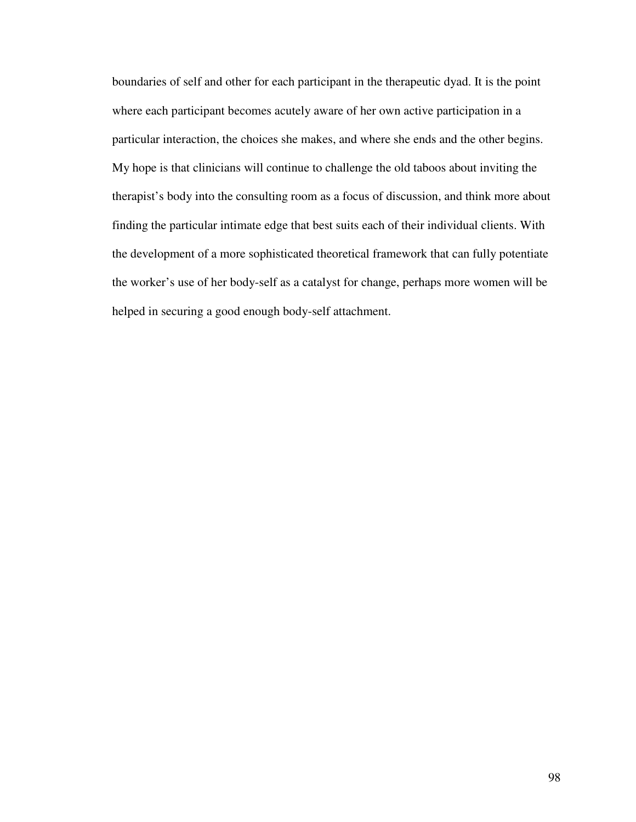boundaries of self and other for each participant in the therapeutic dyad. It is the point where each participant becomes acutely aware of her own active participation in a particular interaction, the choices she makes, and where she ends and the other begins. My hope is that clinicians will continue to challenge the old taboos about inviting the therapist's body into the consulting room as a focus of discussion, and think more about finding the particular intimate edge that best suits each of their individual clients. With the development of a more sophisticated theoretical framework that can fully potentiate the worker's use of her body-self as a catalyst for change, perhaps more women will be helped in securing a good enough body-self attachment.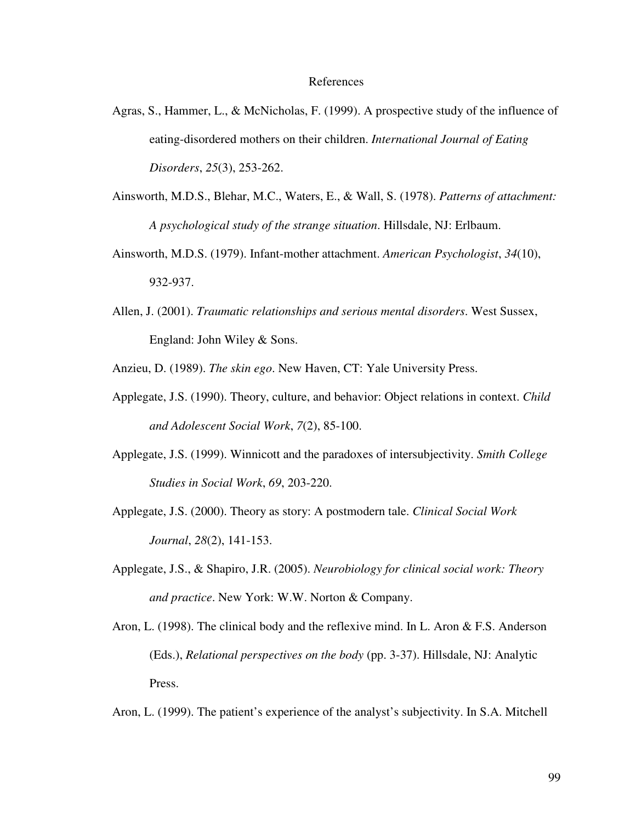#### References

- Agras, S., Hammer, L., & McNicholas, F. (1999). A prospective study of the influence of eating-disordered mothers on their children. *International Journal of Eating Disorders*, *25*(3), 253-262.
- Ainsworth, M.D.S., Blehar, M.C., Waters, E., & Wall, S. (1978). *Patterns of attachment: A psychological study of the strange situation*. Hillsdale, NJ: Erlbaum.
- Ainsworth, M.D.S. (1979). Infant-mother attachment. *American Psychologist*, *34*(10), 932-937.
- Allen, J. (2001). *Traumatic relationships and serious mental disorders*. West Sussex, England: John Wiley & Sons.

Anzieu, D. (1989). *The skin ego*. New Haven, CT: Yale University Press.

- Applegate, J.S. (1990). Theory, culture, and behavior: Object relations in context. *Child and Adolescent Social Work*, *7*(2), 85-100.
- Applegate, J.S. (1999). Winnicott and the paradoxes of intersubjectivity. *Smith College Studies in Social Work*, *69*, 203-220.
- Applegate, J.S. (2000). Theory as story: A postmodern tale. *Clinical Social Work Journal*, *28*(2), 141-153.
- Applegate, J.S., & Shapiro, J.R. (2005). *Neurobiology for clinical social work: Theory and practice*. New York: W.W. Norton & Company.
- Aron, L. (1998). The clinical body and the reflexive mind. In L. Aron & F.S. Anderson (Eds.), *Relational perspectives on the body* (pp. 3-37). Hillsdale, NJ: Analytic Press.

Aron, L. (1999). The patient's experience of the analyst's subjectivity. In S.A. Mitchell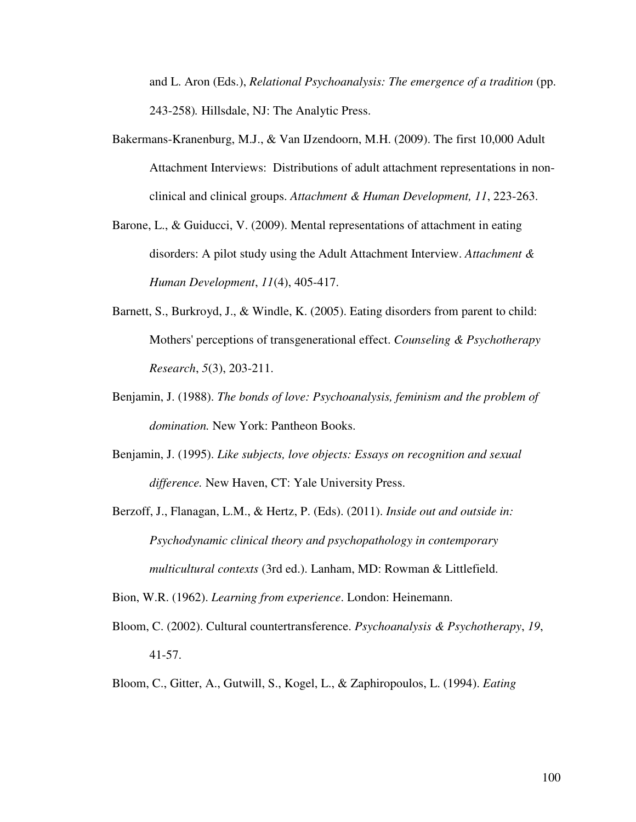and L. Aron (Eds.), *Relational Psychoanalysis: The emergence of a tradition* (pp. 243-258)*.* Hillsdale, NJ: The Analytic Press.

- Bakermans-Kranenburg, M.J., & Van IJzendoorn, M.H. (2009). The first 10,000 Adult Attachment Interviews: Distributions of adult attachment representations in nonclinical and clinical groups. *Attachment & Human Development, 11*, 223-263.
- Barone, L., & Guiducci, V. (2009). Mental representations of attachment in eating disorders: A pilot study using the Adult Attachment Interview. *Attachment & Human Development*, *11*(4), 405-417.
- Barnett, S., Burkroyd, J., & Windle, K. (2005). Eating disorders from parent to child: Mothers' perceptions of transgenerational effect. *Counseling & Psychotherapy Research*, *5*(3), 203-211.
- Benjamin, J. (1988). *The bonds of love: Psychoanalysis, feminism and the problem of domination.* New York: Pantheon Books.
- Benjamin, J. (1995). *Like subjects, love objects: Essays on recognition and sexual difference.* New Haven, CT: Yale University Press.
- Berzoff, J., Flanagan, L.M., & Hertz, P. (Eds). (2011). *Inside out and outside in: Psychodynamic clinical theory and psychopathology in contemporary multicultural contexts* (3rd ed.). Lanham, MD: Rowman & Littlefield.

Bion, W.R. (1962). *Learning from experience*. London: Heinemann.

- Bloom, C. (2002). Cultural countertransference. *Psychoanalysis & Psychotherapy*, *19*, 41-57.
- Bloom, C., Gitter, A., Gutwill, S., Kogel, L., & Zaphiropoulos, L. (1994). *Eating*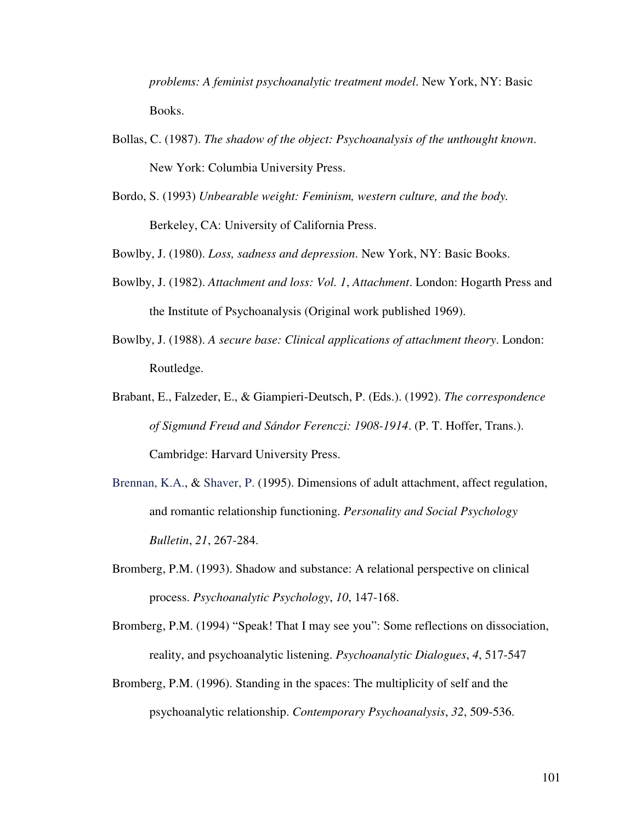*problems: A feminist psychoanalytic treatment model*. New York, NY: Basic Books.

- Bollas, C. (1987). *The shadow of the object: Psychoanalysis of the unthought known*. New York: Columbia University Press.
- Bordo, S. (1993) *Unbearable weight: Feminism, western culture, and the body.* Berkeley, CA: University of California Press.
- Bowlby, J. (1980). *Loss, sadness and depression*. New York, NY: Basic Books.
- Bowlby, J. (1982). *Attachment and loss: Vol. 1*, *Attachment*. London: Hogarth Press and the Institute of Psychoanalysis (Original work published 1969).
- Bowlby, J. (1988). *A secure base: Clinical applications of attachment theory*. London: Routledge.
- Brabant, E., Falzeder, E., & Giampieri-Deutsch, P. (Eds.). (1992). *The correspondence of Sigmund Freud and Sándor Ferenczi: 1908-1914*. (P. T. Hoffer, Trans.). Cambridge: Harvard University Press.
- Brennan, K.A., & Shaver, P. (1995). Dimensions of adult attachment, affect regulation, and romantic relationship functioning. *Personality and Social Psychology Bulletin*, *21*, 267-284.
- Bromberg, P.M. (1993). Shadow and substance: A relational perspective on clinical process. *Psychoanalytic Psychology*, *10*, 147-168.

Bromberg, P.M. (1994) "Speak! That I may see you": Some reflections on dissociation, reality, and psychoanalytic listening. *Psychoanalytic Dialogues*, *4*, 517-547

Bromberg, P.M. (1996). Standing in the spaces: The multiplicity of self and the psychoanalytic relationship. *Contemporary Psychoanalysis*, *32*, 509-536.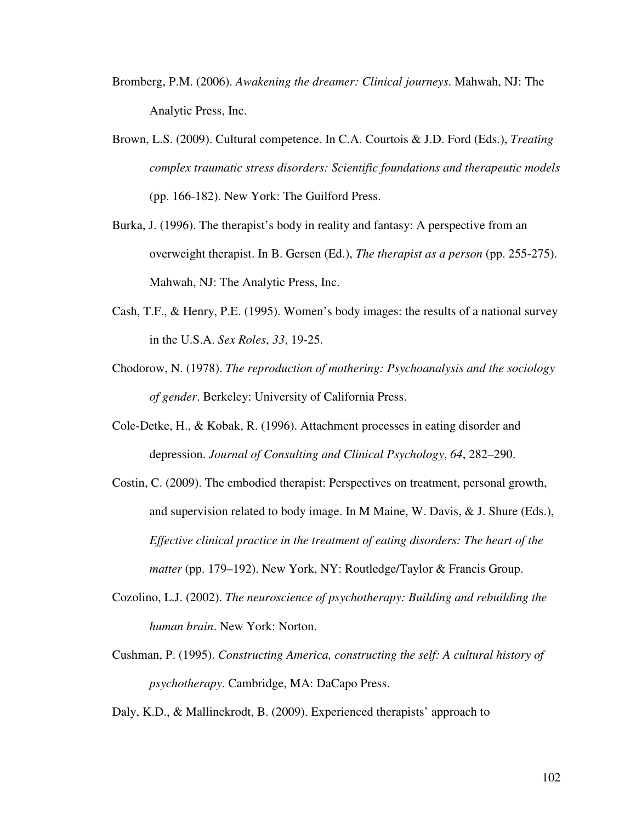- Bromberg, P.M. (2006). *Awakening the dreamer: Clinical journeys*. Mahwah, NJ: The Analytic Press, Inc.
- Brown, L.S. (2009). Cultural competence. In C.A. Courtois & J.D. Ford (Eds.), *Treating complex traumatic stress disorders: Scientific foundations and therapeutic models* (pp. 166-182). New York: The Guilford Press.
- Burka, J. (1996). The therapist's body in reality and fantasy: A perspective from an overweight therapist. In B. Gersen (Ed.), *The therapist as a person* (pp. 255-275). Mahwah, NJ: The Analytic Press, Inc.
- Cash, T.F., & Henry, P.E. (1995). Women's body images: the results of a national survey in the U.S.A. *Sex Roles*, *33*, 19-25.
- Chodorow, N. (1978). *The reproduction of mothering: Psychoanalysis and the sociology of gender*. Berkeley: University of California Press.
- Cole-Detke, H., & Kobak, R. (1996). Attachment processes in eating disorder and depression. *Journal of Consulting and Clinical Psychology*, *64*, 282–290.
- Costin, C. (2009). The embodied therapist: Perspectives on treatment, personal growth, and supervision related to body image. In M Maine, W. Davis, & J. Shure (Eds.), *Effective clinical practice in the treatment of eating disorders: The heart of the matter* (pp. 179–192). New York, NY: Routledge/Taylor & Francis Group.
- Cozolino, L.J. (2002). *The neuroscience of psychotherapy: Building and rebuilding the human brain*. New York: Norton.
- Cushman, P. (1995). *Constructing America, constructing the self: A cultural history of psychotherapy*. Cambridge, MA: DaCapo Press.
- Daly, K.D., & Mallinckrodt, B. (2009). Experienced therapists' approach to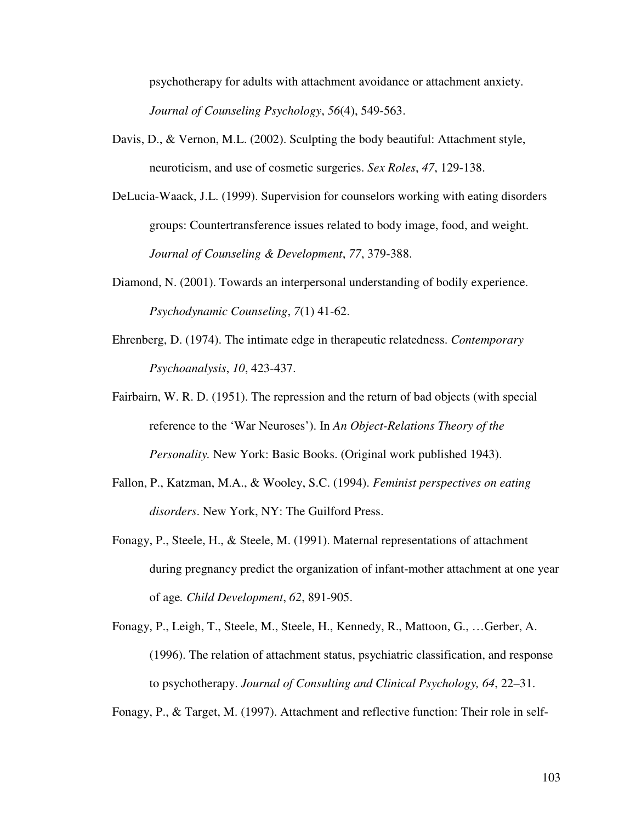psychotherapy for adults with attachment avoidance or attachment anxiety. *Journal of Counseling Psychology*, *56*(4), 549-563.

- Davis, D., & Vernon, M.L. (2002). Sculpting the body beautiful: Attachment style, neuroticism, and use of cosmetic surgeries. *Sex Roles*, *47*, 129-138.
- DeLucia-Waack, J.L. (1999). Supervision for counselors working with eating disorders groups: Countertransference issues related to body image, food, and weight. *Journal of Counseling & Development*, *77*, 379-388.
- Diamond, N. (2001). Towards an interpersonal understanding of bodily experience. *Psychodynamic Counseling*, *7*(1) 41-62.
- Ehrenberg, D. (1974). The intimate edge in therapeutic relatedness. *Contemporary Psychoanalysis*, *10*, 423-437.
- Fairbairn, W. R. D. (1951). The repression and the return of bad objects (with special reference to the 'War Neuroses'). In *An Object-Relations Theory of the Personality.* New York: Basic Books. (Original work published 1943).
- Fallon, P., Katzman, M.A., & Wooley, S.C. (1994). *Feminist perspectives on eating disorders*. New York, NY: The Guilford Press.
- Fonagy, P., Steele, H., & Steele, M. (1991). Maternal representations of attachment during pregnancy predict the organization of infant-mother attachment at one year of age*. Child Development*, *62*, 891-905.
- Fonagy, P., Leigh, T., Steele, M., Steele, H., Kennedy, R., Mattoon, G., …Gerber, A. (1996). The relation of attachment status, psychiatric classification, and response to psychotherapy. *Journal of Consulting and Clinical Psychology, 64*, 22–31.

Fonagy, P., & Target, M. (1997). Attachment and reflective function: Their role in self-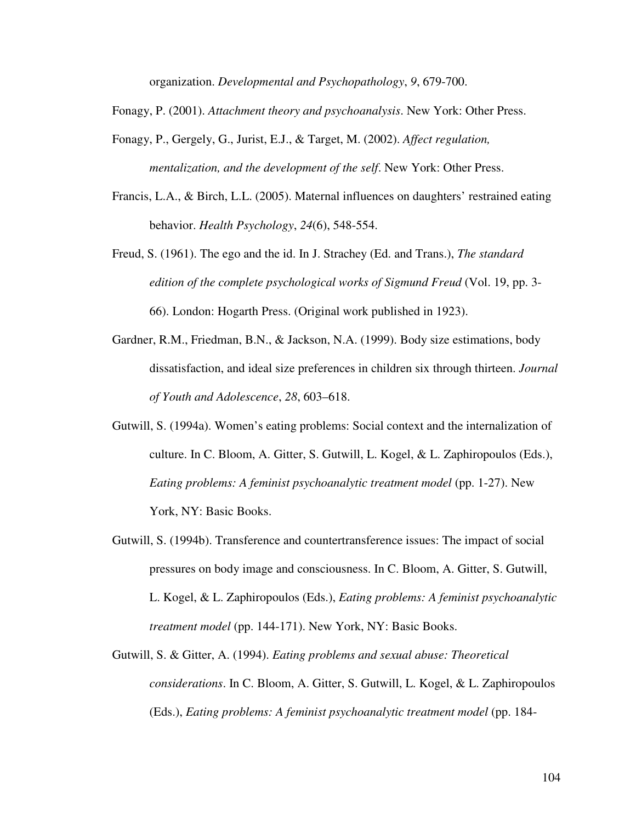organization. *Developmental and Psychopathology*, *9*, 679-700.

Fonagy, P. (2001). *Attachment theory and psychoanalysis*. New York: Other Press.

- Fonagy, P., Gergely, G., Jurist, E.J., & Target, M. (2002). *Affect regulation, mentalization, and the development of the self*. New York: Other Press.
- Francis, L.A., & Birch, L.L. (2005). Maternal influences on daughters' restrained eating behavior. *Health Psychology*, *24*(6), 548-554.
- Freud, S. (1961). The ego and the id. In J. Strachey (Ed. and Trans.), *The standard edition of the complete psychological works of Sigmund Freud* (Vol. 19, pp. 3- 66). London: Hogarth Press. (Original work published in 1923).
- Gardner, R.M., Friedman, B.N., & Jackson, N.A. (1999). Body size estimations, body dissatisfaction, and ideal size preferences in children six through thirteen. *Journal of Youth and Adolescence*, *28*, 603–618.
- Gutwill, S. (1994a). Women's eating problems: Social context and the internalization of culture. In C. Bloom, A. Gitter, S. Gutwill, L. Kogel, & L. Zaphiropoulos (Eds.), *Eating problems: A feminist psychoanalytic treatment model* (pp. 1-27). New York, NY: Basic Books.
- Gutwill, S. (1994b). Transference and countertransference issues: The impact of social pressures on body image and consciousness. In C. Bloom, A. Gitter, S. Gutwill, L. Kogel, & L. Zaphiropoulos (Eds.), *Eating problems: A feminist psychoanalytic treatment model* (pp. 144-171). New York, NY: Basic Books.
- Gutwill, S. & Gitter, A. (1994). *Eating problems and sexual abuse: Theoretical considerations*. In C. Bloom, A. Gitter, S. Gutwill, L. Kogel, & L. Zaphiropoulos (Eds.), *Eating problems: A feminist psychoanalytic treatment model* (pp. 184-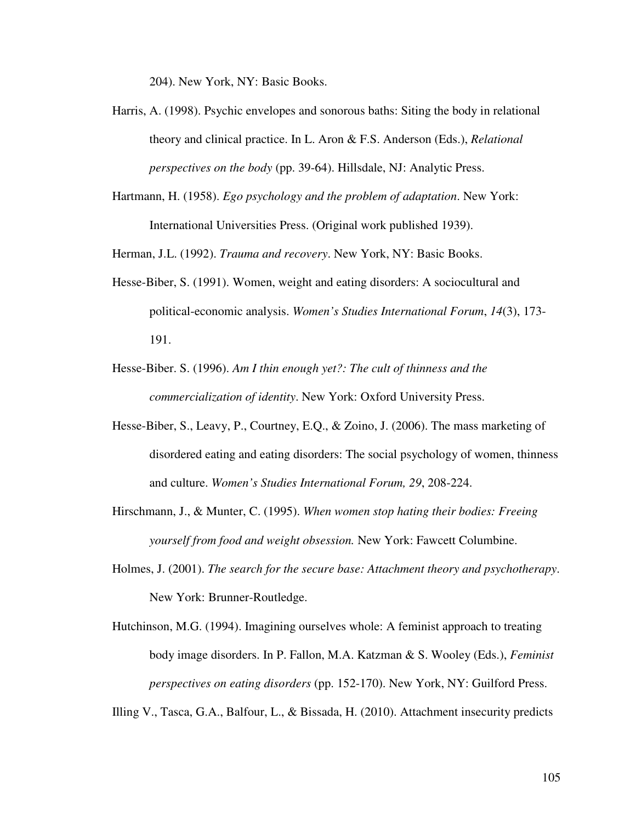204). New York, NY: Basic Books.

- Harris, A. (1998). Psychic envelopes and sonorous baths: Siting the body in relational theory and clinical practice. In L. Aron & F.S. Anderson (Eds.), *Relational perspectives on the body* (pp. 39-64). Hillsdale, NJ: Analytic Press.
- Hartmann, H. (1958). *Ego psychology and the problem of adaptation*. New York: International Universities Press. (Original work published 1939).

Herman, J.L. (1992). *Trauma and recovery*. New York, NY: Basic Books.

- Hesse-Biber, S. (1991). Women, weight and eating disorders: A sociocultural and political-economic analysis. *Women's Studies International Forum*, *14*(3), 173- 191.
- Hesse-Biber. S. (1996). *Am I thin enough yet?: The cult of thinness and the commercialization of identity*. New York: Oxford University Press.
- Hesse-Biber, S., Leavy, P., Courtney, E.Q., & Zoino, J. (2006). The mass marketing of disordered eating and eating disorders: The social psychology of women, thinness and culture. *Women's Studies International Forum, 29*, 208-224.
- Hirschmann, J., & Munter, C. (1995). *When women stop hating their bodies: Freeing yourself from food and weight obsession.* New York: Fawcett Columbine.
- Holmes, J. (2001). *The search for the secure base: Attachment theory and psychotherapy*. New York: Brunner-Routledge.
- Hutchinson, M.G. (1994). Imagining ourselves whole: A feminist approach to treating body image disorders. In P. Fallon, M.A. Katzman & S. Wooley (Eds.), *Feminist perspectives on eating disorders* (pp. 152-170). New York, NY: Guilford Press.

Illing V., Tasca, G.A., Balfour, L., & Bissada, H. (2010). Attachment insecurity predicts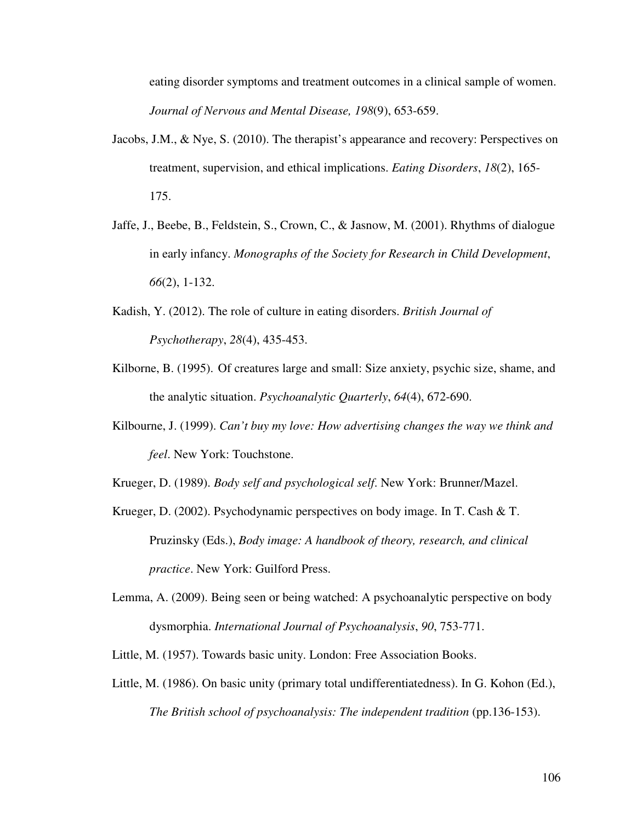eating disorder symptoms and treatment outcomes in a clinical sample of women. *Journal of Nervous and Mental Disease, 198*(9), 653-659.

- Jacobs, J.M., & Nye, S. (2010). The therapist's appearance and recovery: Perspectives on treatment, supervision, and ethical implications. *Eating Disorders*, *18*(2), 165- 175.
- Jaffe, J., Beebe, B., Feldstein, S., Crown, C., & Jasnow, M. (2001). Rhythms of dialogue in early infancy. *Monographs of the Society for Research in Child Development*, *66*(2), 1-132.
- Kadish, Y. (2012). The role of culture in eating disorders. *British Journal of Psychotherapy*, *28*(4), 435-453.
- Kilborne, B. (1995). Of creatures large and small: Size anxiety, psychic size, shame, and the analytic situation. *Psychoanalytic Quarterly*, *64*(4), 672-690.
- Kilbourne, J. (1999). *Can't buy my love: How advertising changes the way we think and feel*. New York: Touchstone.

Krueger, D. (1989). *Body self and psychological self*. New York: Brunner/Mazel.

- Krueger, D. (2002). Psychodynamic perspectives on body image. In T. Cash & T. Pruzinsky (Eds.), *Body image: A handbook of theory, research, and clinical practice*. New York: Guilford Press.
- Lemma, A. (2009). Being seen or being watched: A psychoanalytic perspective on body dysmorphia. *International Journal of Psychoanalysis*, *90*, 753-771.

Little, M. (1957). Towards basic unity. London: Free Association Books.

Little, M. (1986). On basic unity (primary total undifferentiatedness). In G. Kohon (Ed.), *The British school of psychoanalysis: The independent tradition* (pp.136-153).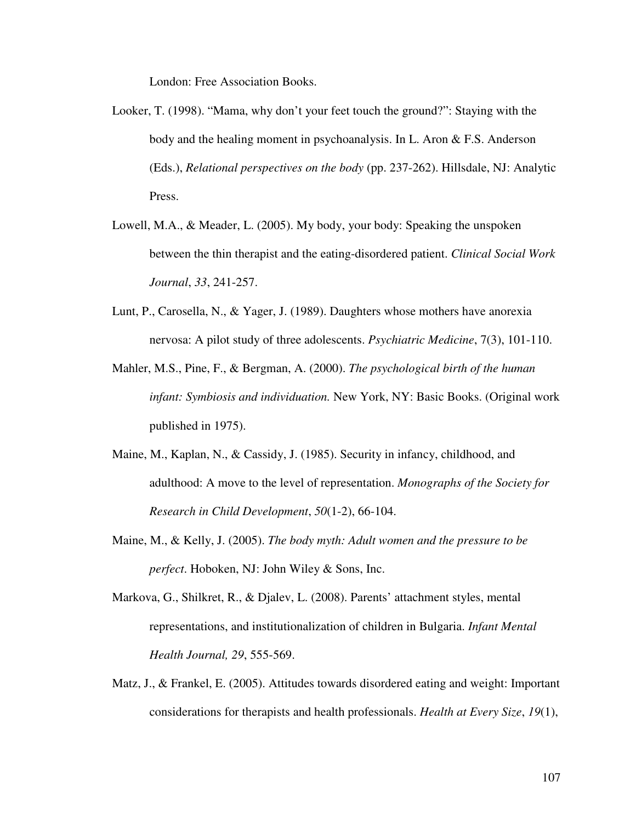London: Free Association Books.

- Looker, T. (1998). "Mama, why don't your feet touch the ground?": Staying with the body and the healing moment in psychoanalysis. In L. Aron & F.S. Anderson (Eds.), *Relational perspectives on the body* (pp. 237-262). Hillsdale, NJ: Analytic Press.
- Lowell, M.A., & Meader, L. (2005). My body, your body: Speaking the unspoken between the thin therapist and the eating-disordered patient. *Clinical Social Work Journal*, *33*, 241-257.
- Lunt, P., Carosella, N., & Yager, J. (1989). Daughters whose mothers have anorexia nervosa: A pilot study of three adolescents. *Psychiatric Medicine*, 7(3), 101-110.
- Mahler, M.S., Pine, F., & Bergman, A. (2000). *The psychological birth of the human infant: Symbiosis and individuation.* New York, NY: Basic Books. (Original work published in 1975).
- Maine, M., Kaplan, N., & Cassidy, J. (1985). Security in infancy, childhood, and adulthood: A move to the level of representation. *Monographs of the Society for Research in Child Development*, *50*(1-2), 66-104.
- Maine, M., & Kelly, J. (2005). *The body myth: Adult women and the pressure to be perfect*. Hoboken, NJ: John Wiley & Sons, Inc.
- Markova, G., Shilkret, R., & Djalev, L. (2008). Parents' attachment styles, mental representations, and institutionalization of children in Bulgaria. *Infant Mental Health Journal, 29*, 555-569.
- Matz, J., & Frankel, E. (2005). Attitudes towards disordered eating and weight: Important considerations for therapists and health professionals. *Health at Every Size*, *19*(1),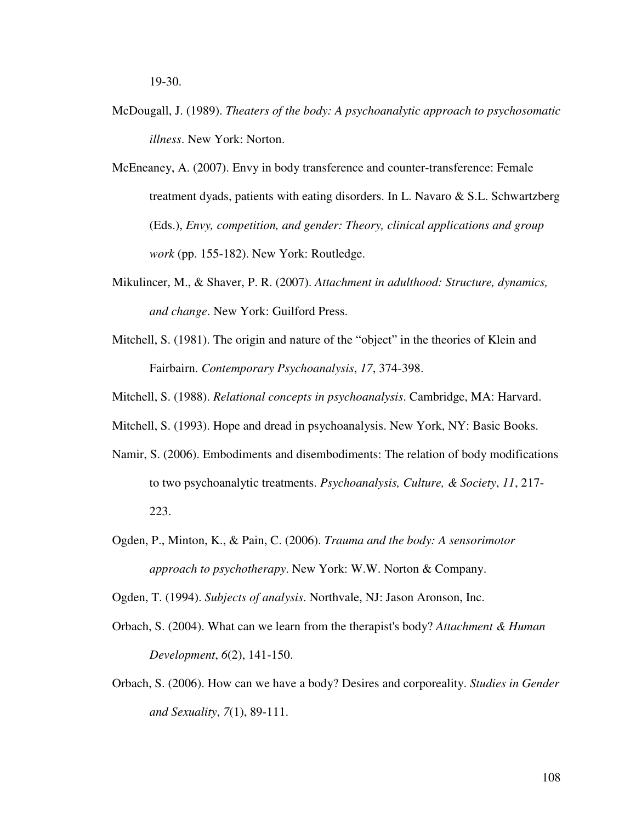- McDougall, J. (1989). *Theaters of the body: A psychoanalytic approach to psychosomatic illness*. New York: Norton.
- McEneaney, A. (2007). Envy in body transference and counter-transference: Female treatment dyads, patients with eating disorders. In L. Navaro & S.L. Schwartzberg (Eds.), *Envy, competition, and gender: Theory, clinical applications and group work* (pp. 155-182). New York: Routledge.
- Mikulincer, M., & Shaver, P. R. (2007). *Attachment in adulthood: Structure, dynamics, and change*. New York: Guilford Press.
- Mitchell, S. (1981). The origin and nature of the "object" in the theories of Klein and Fairbairn. *Contemporary Psychoanalysis*, *17*, 374-398.
- Mitchell, S. (1988). *Relational concepts in psychoanalysis*. Cambridge, MA: Harvard.

Mitchell, S. (1993). Hope and dread in psychoanalysis. New York, NY: Basic Books.

- Namir, S. (2006). Embodiments and disembodiments: The relation of body modifications to two psychoanalytic treatments. *Psychoanalysis, Culture, & Society*, *11*, 217- 223.
- Ogden, P., Minton, K., & Pain, C. (2006). *Trauma and the body: A sensorimotor approach to psychotherapy*. New York: W.W. Norton & Company.

Ogden, T. (1994). *Subjects of analysis*. Northvale, NJ: Jason Aronson, Inc.

- Orbach, S. (2004). What can we learn from the therapist's body? *Attachment & Human Development*, *6*(2), 141-150.
- Orbach, S. (2006). How can we have a body? Desires and corporeality. *Studies in Gender and Sexuality*, *7*(1), 89-111.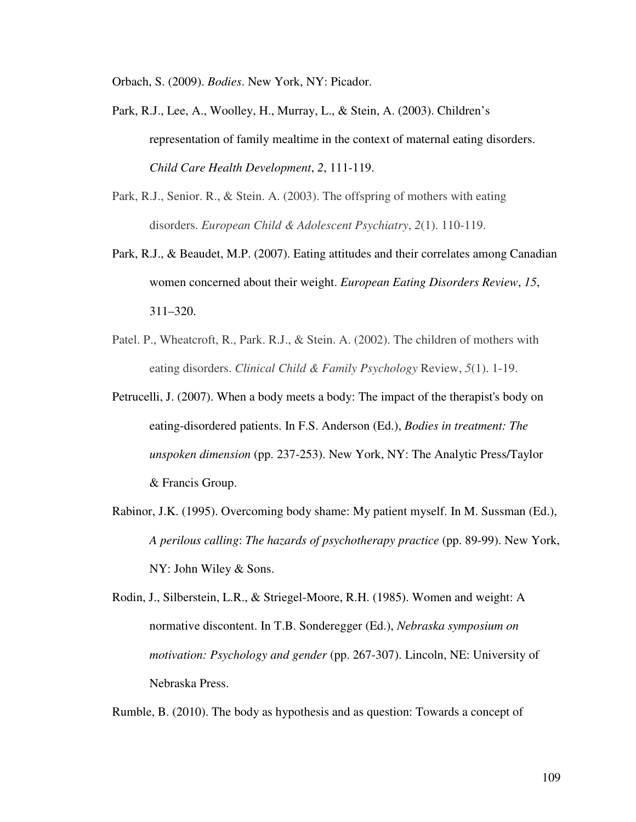Orbach, S. (2009). *Bodies*. New York, NY: Picador.

- Park, R.J., Lee, A., Woolley, H., Murray, L., & Stein, A. (2003). Children's representation of family mealtime in the context of maternal eating disorders. *Child Care Health Development*, *2*, 111-119.
- Park, R.J., Senior. R., & Stein. A. (2003). The offspring of mothers with eating disorders. *European Child & Adolescent Psychiatry*, *2*(1). 110-119.
- Park, R.J., & Beaudet, M.P. (2007). Eating attitudes and their correlates among Canadian women concerned about their weight. *European Eating Disorders Review*, *15*, 311–320.
- Patel. P., Wheatcroft, R., Park. R.J., & Stein. A. (2002). The children of mothers with eating disorders. *Clinical Child & Family Psychology* Review, *5*(1). 1-19.
- Petrucelli, J. (2007). When a body meets a body: The impact of the therapist's body on eating-disordered patients. In F.S. Anderson (Ed.), *Bodies in treatment: The unspoken dimension* (pp. 237-253). New York, NY: The Analytic Press/Taylor & Francis Group.
- Rabinor, J.K. (1995). Overcoming body shame: My patient myself. In M. Sussman (Ed.), *A perilous calling*: *The hazards of psychotherapy practice* (pp. 89-99). New York, NY: John Wiley & Sons.
- Rodin, J., Silberstein, L.R., & Striegel-Moore, R.H. (1985). Women and weight: A normative discontent. In T.B. Sonderegger (Ed.), *Nebraska symposium on motivation: Psychology and gender* (pp. 267-307). Lincoln, NE: University of Nebraska Press.

Rumble, B. (2010). The body as hypothesis and as question: Towards a concept of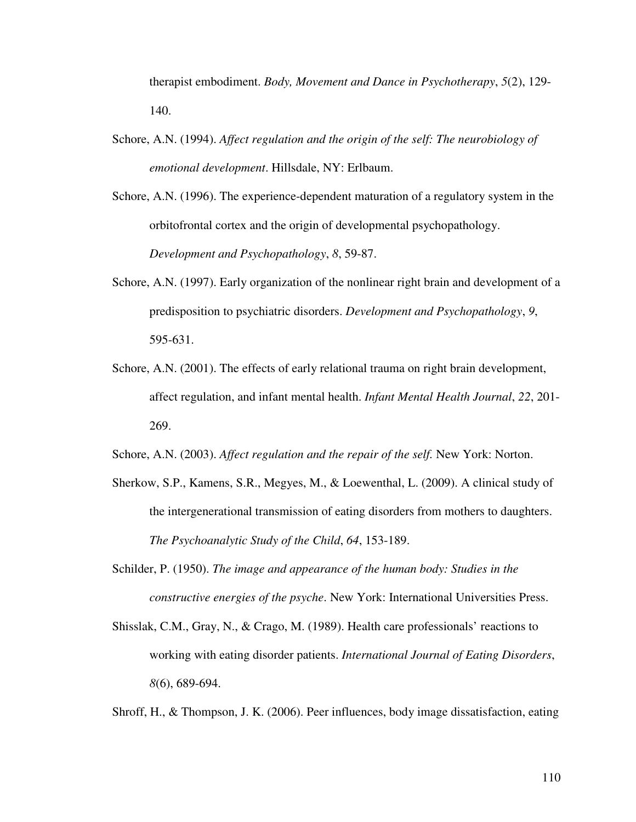therapist embodiment. *Body, Movement and Dance in Psychotherapy*, *5*(2), 129- 140.

- Schore, A.N. (1994). *Affect regulation and the origin of the self: The neurobiology of emotional development*. Hillsdale, NY: Erlbaum.
- Schore, A.N. (1996). The experience-dependent maturation of a regulatory system in the orbitofrontal cortex and the origin of developmental psychopathology. *Development and Psychopathology*, *8*, 59-87.
- Schore, A.N. (1997). Early organization of the nonlinear right brain and development of a predisposition to psychiatric disorders. *Development and Psychopathology*, *9*, 595-631.
- Schore, A.N. (2001). The effects of early relational trauma on right brain development, affect regulation, and infant mental health. *Infant Mental Health Journal*, *22*, 201- 269.

Schore, A.N. (2003). *Affect regulation and the repair of the self*. New York: Norton.

- Sherkow, S.P., Kamens, S.R., Megyes, M., & Loewenthal, L. (2009). A clinical study of the intergenerational transmission of eating disorders from mothers to daughters. *The Psychoanalytic Study of the Child*, *64*, 153-189.
- Schilder, P. (1950). *The image and appearance of the human body: Studies in the constructive energies of the psyche*. New York: International Universities Press.
- Shisslak, C.M., Gray, N., & Crago, M. (1989). Health care professionals' reactions to working with eating disorder patients. *International Journal of Eating Disorders*, *8*(6), 689-694.

Shroff, H., & Thompson, J. K. (2006). Peer influences, body image dissatisfaction, eating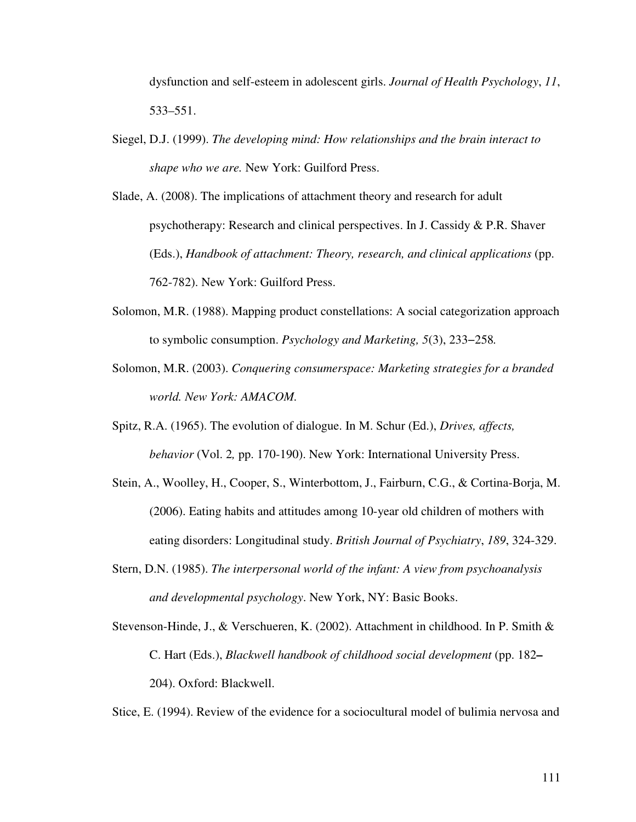dysfunction and self-esteem in adolescent girls. *Journal of Health Psychology*, *11*, 533–551.

- Siegel, D.J. (1999). *The developing mind: How relationships and the brain interact to shape who we are.* New York: Guilford Press.
- Slade, A. (2008). The implications of attachment theory and research for adult psychotherapy: Research and clinical perspectives. In J. Cassidy & P.R. Shaver (Eds.), *Handbook of attachment: Theory, research, and clinical applications* (pp. 762-782). New York: Guilford Press.
- Solomon, M.R. (1988). Mapping product constellations: A social categorization approach to symbolic consumption. *Psychology and Marketing, 5*(3), 233−258*.*
- Solomon, M.R. (2003). *Conquering consumerspace: Marketing strategies for a branded world. New York: AMACOM.*
- Spitz, R.A. (1965). The evolution of dialogue. In M. Schur (Ed.), *Drives, affects, behavior* (Vol. 2*,* pp. 170-190). New York: International University Press.
- Stein, A., Woolley, H., Cooper, S., Winterbottom, J., Fairburn, C.G., & Cortina-Borja, M. (2006). Eating habits and attitudes among 10-year old children of mothers with eating disorders: Longitudinal study. *British Journal of Psychiatry*, *189*, 324-329.
- Stern, D.N. (1985). *The interpersonal world of the infant: A view from psychoanalysis and developmental psychology*. New York, NY: Basic Books.
- Stevenson-Hinde, J., & Verschueren, K. (2002). Attachment in childhood. In P. Smith & C. Hart (Eds.), *Blackwell handbook of childhood social development* (pp. 182**–**  204). Oxford: Blackwell.

Stice, E. (1994). Review of the evidence for a sociocultural model of bulimia nervosa and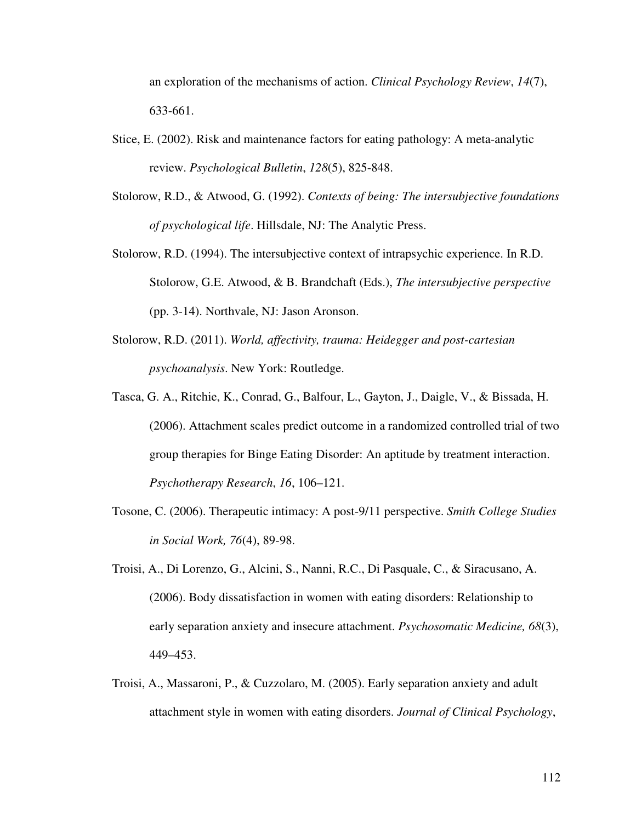an exploration of the mechanisms of action. *Clinical Psychology Review*, *14*(7), 633-661.

- Stice, E. (2002). Risk and maintenance factors for eating pathology: A meta-analytic review. *Psychological Bulletin*, *128*(5), 825-848.
- Stolorow, R.D., & Atwood, G. (1992). *Contexts of being: The intersubjective foundations of psychological life*. Hillsdale, NJ: The Analytic Press.
- Stolorow, R.D. (1994). The intersubjective context of intrapsychic experience. In R.D. Stolorow, G.E. Atwood, & B. Brandchaft (Eds.), *The intersubjective perspective* (pp. 3-14). Northvale, NJ: Jason Aronson.
- Stolorow, R.D. (2011). *World, affectivity, trauma: Heidegger and post-cartesian psychoanalysis*. New York: Routledge.
- Tasca, G. A., Ritchie, K., Conrad, G., Balfour, L., Gayton, J., Daigle, V., & Bissada, H. (2006). Attachment scales predict outcome in a randomized controlled trial of two group therapies for Binge Eating Disorder: An aptitude by treatment interaction. *Psychotherapy Research*, *16*, 106–121.
- Tosone, C. (2006). Therapeutic intimacy: A post-9/11 perspective. *Smith College Studies in Social Work, 76*(4), 89-98.
- Troisi, A., Di Lorenzo, G., Alcini, S., Nanni, R.C., Di Pasquale, C., & Siracusano, A. (2006). Body dissatisfaction in women with eating disorders: Relationship to early separation anxiety and insecure attachment. *Psychosomatic Medicine, 68*(3), 449–453.
- Troisi, A., Massaroni, P., & Cuzzolaro, M. (2005). Early separation anxiety and adult attachment style in women with eating disorders. *Journal of Clinical Psychology*,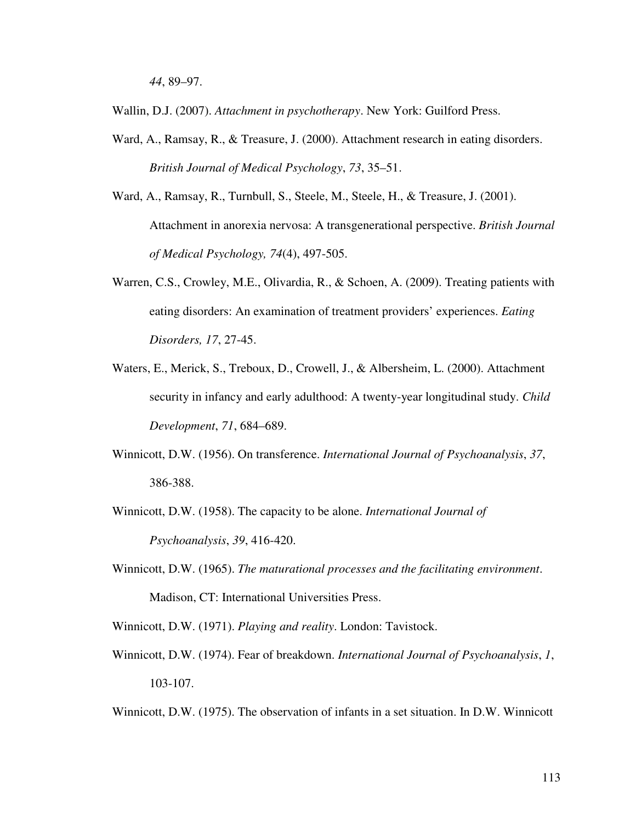*44*, 89–97.

Wallin, D.J. (2007). *Attachment in psychotherapy*. New York: Guilford Press.

- Ward, A., Ramsay, R., & Treasure, J. (2000). Attachment research in eating disorders. *British Journal of Medical Psychology*, *73*, 35–51.
- Ward, A., Ramsay, R., Turnbull, S., Steele, M., Steele, H., & Treasure, J. (2001). Attachment in anorexia nervosa: A transgenerational perspective. *British Journal of Medical Psychology, 74*(4), 497-505.
- Warren, C.S., Crowley, M.E., Olivardia, R., & Schoen, A. (2009). Treating patients with eating disorders: An examination of treatment providers' experiences. *Eating Disorders, 17*, 27-45.
- Waters, E., Merick, S., Treboux, D., Crowell, J., & Albersheim, L. (2000). Attachment security in infancy and early adulthood: A twenty-year longitudinal study. *Child Development*, *71*, 684–689.
- Winnicott, D.W. (1956). On transference. *International Journal of Psychoanalysis*, *37*, 386-388.
- Winnicott, D.W. (1958). The capacity to be alone. *International Journal of Psychoanalysis*, *39*, 416-420.
- Winnicott, D.W. (1965). *The maturational processes and the facilitating environment*. Madison, CT: International Universities Press.

Winnicott, D.W. (1971). *Playing and reality*. London: Tavistock.

Winnicott, D.W. (1974). Fear of breakdown. *International Journal of Psychoanalysis*, *1*, 103-107.

Winnicott, D.W. (1975). The observation of infants in a set situation. In D.W. Winnicott